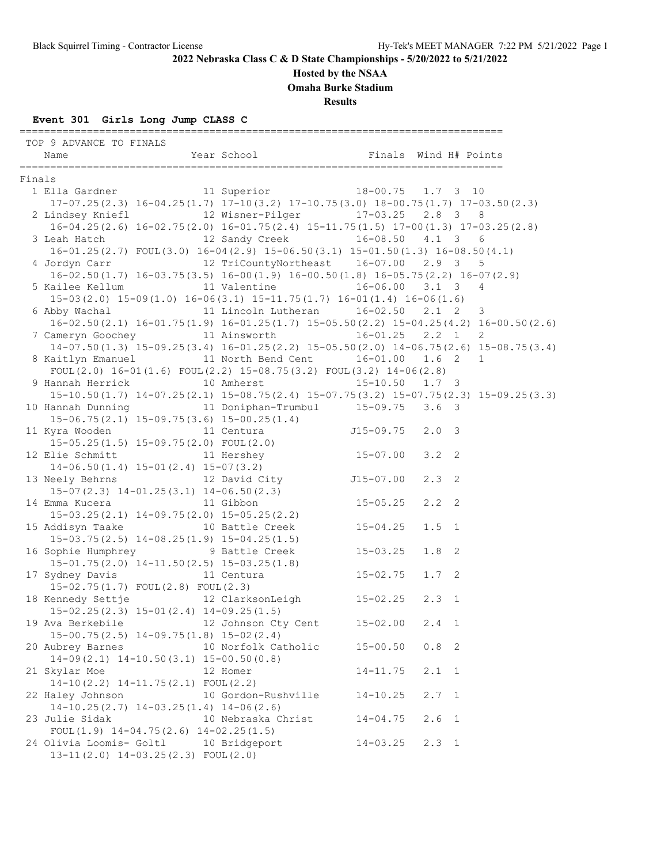#### **Hosted by the NSAA**

**Omaha Burke Stadium**

**Results**

#### **Event 301 Girls Long Jump CLASS C**

=============================================================================== TOP 9 ADVANCE TO FINALS Name Year School Finals Wind H# Points =============================================================================== Finals<br>1 Ella Gardner 11 Superior 18-00.75 1.7 3 10 17-07.25(2.3) 16-04.25(1.7) 17-10(3.2) 17-10.75(3.0) 18-00.75(1.7) 17-03.50(2.3) 2 Lindsey Kniefl 12 Wisner-Pilger 17-03.25 2.8 3 8 16-04.25(2.6) 16-02.75(2.0) 16-01.75(2.4) 15-11.75(1.5) 17-00(1.3) 17-03.25(2.8) 3 Leah Hatch 12 Sandy Creek 16-08.50 4.1 3 6 16-01.25(2.7) FOUL(3.0) 16-04(2.9) 15-06.50(3.1) 15-01.50(1.3) 16-08.50(4.1) 4 Jordyn Carr 12 TriCountyNortheast 16-07.00 2.9 3 5 16-02.50(1.7) 16-03.75(3.5) 16-00(1.9) 16-00.50(1.8) 16-05.75(2.2) 16-07(2.9) 5 Kailee Kellum 11 Valentine 16-06.00 3.1 3 4 15-03(2.0) 15-09(1.0) 16-06(3.1) 15-11.75(1.7) 16-01(1.4) 16-06(1.6) 6 Abby Wachal 11 Lincoln Lutheran 16-02.50 2.1 2 3 16-02.50(2.1) 16-01.75(1.9) 16-01.25(1.7) 15-05.50(2.2) 15-04.25(4.2) 16-00.50(2.6) 7 Cameryn Goochey 11 Ainsworth 16-01.25 2.2 1 2 14-07.50(1.3) 15-09.25(3.4) 16-01.25(2.2) 15-05.50(2.0) 14-06.75(2.6) 15-08.75(3.4) 8 Kaitlyn Emanuel 11 North Bend Cent 16-01.00 1.6 2 1 FOUL $(2.0)$  16-01 $(1.6)$  FOUL $(2.2)$  15-08.75 $(3.2)$  FOUL $(3.2)$  14-06 $(2.8)$  9 Hannah Herrick 10 Amherst 15-10.50 1.7 3 15-10.50(1.7) 14-07.25(2.1) 15-08.75(2.4) 15-07.75(3.2) 15-07.75(2.3) 15-09.25(3.3) 10 Hannah Dunning 11 Doniphan-Trumbul 15-09.75 3.6 3 15-06.75(2.1) 15-09.75(3.6) 15-00.25(1.4) 11 Kyra Wooden 11 Centura J15-09.75 2.0 3 15-05.25(1.5) 15-09.75(2.0) FOUL(2.0) 12 Elie Schmitt 11 Hershey 15-07.00 3.2 2 14-06.50(1.4) 15-01(2.4) 15-07(3.2) 13 Neely Behrns 12 David City 115-07.00 2.3 2 15-07(2.3) 14-01.25(3.1) 14-06.50(2.3)<br>14 Emma Kucera 11 Gibbon 14 Emma Kucera 11 Gibbon 15-05.25 2.2 2 15-03.25(2.1) 14-09.75(2.0) 15-05.25(2.2) 15 Addisyn Taake 10 Battle Creek 15-04.25 1.5 1 15-03.75(2.5) 14-08.25(1.9) 15-04.25(1.5) 16 Sophie Humphrey 9 Battle Creek 15-03.25 1.8 2 15-01.75(2.0) 14-11.50(2.5) 15-03.25(1.8) 17 Sydney Davis 11 Centura 15-02.75 1.7 2<br>15-02.75 1.7 POUL(2.8) FOUL(2.3) 15-02.75(1.7) FOUL(2.8) FOUL(2.3) 18 Kennedy Settje 12 ClarksonLeigh 15-02.25 2.3 1 15-02.25(2.3) 15-01(2.4) 14-09.25(1.5) 19 Ava Berkebile 12 Johnson Cty Cent 15-02.00 2.4 1 15-00.75(2.5) 14-09.75(1.8) 15-02(2.4) 20 Aubrey Barnes 10 Norfolk Catholic 15-00.50 0.8 2 14-09(2.1) 14-10.50(3.1) 15-00.50(0.8) 21 Skylar Moe 12 Homer 14-11.75 2.1 1 14-10(2.2) 14-11.75(2.1) FOUL(2.2) 22 Haley Johnson 10 Gordon-Rushville 14-10.25 2.7 1 14-10.25(2.7) 14-03.25(1.4) 14-06(2.6) 23 Julie Sidak 10 Nebraska Christ 14-04.75 2.6 1 FOUL(1.9) 14-04.75(2.6) 14-02.25(1.5) 24 Olivia Loomis- Goltl 10 Bridgeport 14-03.25 2.3 1 13-11(2.0) 14-03.25(2.3) FOUL(2.0)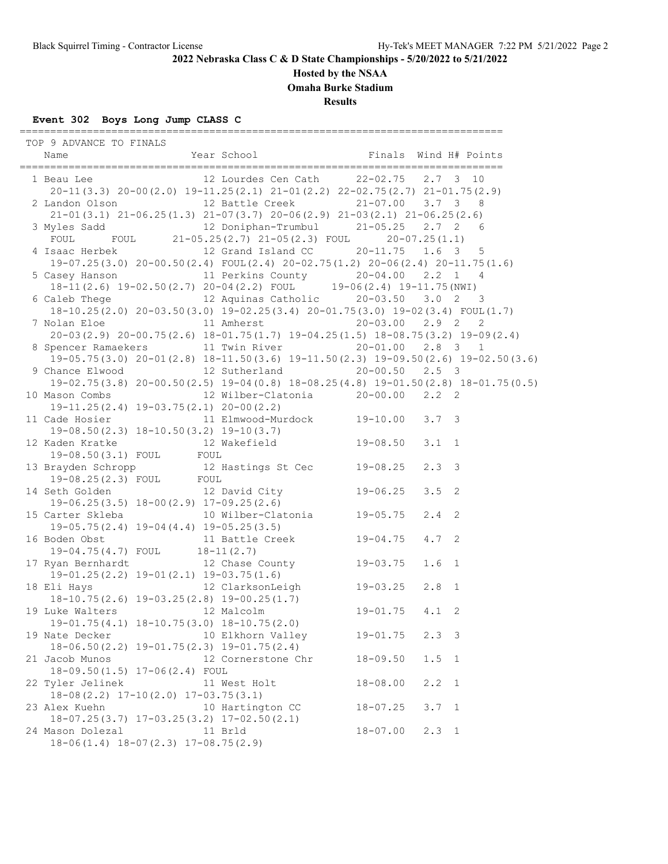## **Hosted by the NSAA**

**Omaha Burke Stadium**

**Results**

# **Event 302 Boys Long Jump CLASS C**

| TOP 9 ADVANCE TO FINALS                                                                                                                         |                                                      |              |                  |  |
|-------------------------------------------------------------------------------------------------------------------------------------------------|------------------------------------------------------|--------------|------------------|--|
| 1 Beau Lee 12 Lourdes Cen Cath 22-02.75 2.7 3 10<br>$20-11(3.3)$ $20-00(2.0)$ $19-11.25(2.1)$ $21-01(2.2)$ $22-02.75(2.7)$ $21-01.75(2.9)$      |                                                      |              |                  |  |
| 2 Landon Olson 12 Battle Creek 21-07.00 3.7 3 8                                                                                                 |                                                      |              |                  |  |
| $21-01(3.1) \quad 21-06.25(1.3) \quad 21-07(3.7) \quad 20-06(2.9) \quad 21-03(2.1) \quad 21-06.25(2.6)$                                         |                                                      |              |                  |  |
| 3 Myles Sadd 12 Doniphan-Trumbul 21-05.25 2.7 2 6<br>FOUL FOUL 21-05.25(2.7) 21-05(2.3) FOUL 20-07.25(1.1)                                      |                                                      |              |                  |  |
| 4 Isaac Herbek 12 Grand Island CC 20-11.75 1.6 3 5<br>$19-07.25(3.0)$ $20-00.50(2.4)$ FOUL $(2.4)$ $20-02.75(1.2)$ $20-06(2.4)$ $20-11.75(1.6)$ |                                                      |              |                  |  |
| 5 Casey Hanson 11 Perkins County 20-04.00 2.2 1 4                                                                                               |                                                      |              |                  |  |
| $18-11(2.6)$ 19-02.50(2.7) 20-04(2.2) FOUL 19-06(2.4) 19-11.75(NWI)                                                                             |                                                      |              |                  |  |
| 6 Caleb Thege 12 Aquinas Catholic 20-03.50 3.0 2 3<br>18-10.25(2.0) 20-03.50(3.0) 19-02.25(3.4) 20-01.75(3.0) 19-02(3.4) FOUL(1.7)              |                                                      |              |                  |  |
|                                                                                                                                                 |                                                      |              |                  |  |
| $20-03(2.9)$ $20-00.75(2.6)$ $18-01.75(1.7)$ $19-04.25(1.5)$ $18-08.75(3.2)$ $19-09(2.4)$                                                       |                                                      |              |                  |  |
| 8 Spencer Ramaekers 11 Twin River 20-01.00 2.8 3 1                                                                                              |                                                      |              |                  |  |
| $19-05.75(3.0)$ $20-01(2.8)$ $18-11.50(3.6)$ $19-11.50(2.3)$ $19-09.50(2.6)$ $19-02.50(3.6)$                                                    |                                                      |              |                  |  |
| 9 Chance Elwood 12 Sutherland 20-00.50 2.5 3<br>19-02.75(3.8) 20-00.50(2.5) 19-04(0.8) 18-08.25(4.8) 19-01.50(2.8) 18-01.75(0.5)                |                                                      |              |                  |  |
| 10 Mason Combs 12 Wilber-Clatonia 20-00.00 2.2 2                                                                                                |                                                      |              |                  |  |
| $19-11.25(2.4)$ $19-03.75(2.1)$ $20-00(2.2)$                                                                                                    |                                                      |              |                  |  |
| 11 Cade Hosier 11 Elmwood-Murdock 19-10.00 3.7 3                                                                                                |                                                      |              |                  |  |
|                                                                                                                                                 |                                                      |              |                  |  |
| 19-08.50(2.3) 18-10.50(3.2) 19-10(3.7)<br>12 Kaden Kratke 12 Wakefield 19-08.50<br>19-08.50(3.1) FOUL FOUL                                      |                                                      |              | $3.1 \quad 1$    |  |
|                                                                                                                                                 |                                                      |              |                  |  |
| 13 Brayden Schropp 12 Hastings St Cec 19-08.25                                                                                                  |                                                      |              | $2.3 \quad 3$    |  |
| 19-08.25(2.3) FOUL FOUL<br>14 Seth Golden 12 David City 19-06.25                                                                                |                                                      |              |                  |  |
|                                                                                                                                                 |                                                      |              | $3.5 \quad 2$    |  |
|                                                                                                                                                 |                                                      |              | $2.4$ 2          |  |
| 19-06.25(3.5) 18-00(2.9) 17-09.25(2.6)<br>15 Carter Skleba 10 Wilber-Clatonia 19-05.75<br>19-05.75(2.4) 19-04(4.4) 19-05.25(3.5)                |                                                      |              |                  |  |
| $19-05.75(2.4)$ $19-04(4.4)$ $19-03.25(3.5)$<br>16 Boden Obst 11 Battle Creek 19-04.75                                                          |                                                      |              | $4.7-2$          |  |
| $19-04.75(4.7)$ FOUL $18-11(2.7)$                                                                                                               |                                                      |              |                  |  |
| 17 Ryan Bernhardt 12 Chase County 19-03.75                                                                                                      |                                                      |              | 1.6 <sub>1</sub> |  |
| $19-01.25(2.2)$ $19-01(2.1)$ $19-03.75(1.6)$                                                                                                    |                                                      |              |                  |  |
| 18 Eli Hays                                                                                                                                     | 9-01(2.1) 19-03.75(1.6)<br>12 ClarksonLeigh 19-03.25 |              | $2.8 \quad 1$    |  |
| 18-10.75(2.6) 19-03.25(2.8) 19-00.25(1.7)<br>uke Walters 12 Malcolm 19-01.75 4.1 2                                                              |                                                      |              |                  |  |
| 19 Luke Walters 12 Malcolm<br>19-01.75(4.1) 18-10.75(3.0) 18-10.75(2.0)                                                                         |                                                      |              |                  |  |
| 19 Nate Decker                                                                                                                                  | 10 Elkhorn Valley                                    | $19 - 01.75$ | $2.3$ 3          |  |
| $18-06.50(2.2)$ $19-01.75(2.3)$ $19-01.75(2.4)$                                                                                                 |                                                      |              |                  |  |
| 21 Jacob Munos                                                                                                                                  | 12 Cornerstone Chr                                   | $18 - 09.50$ | $1.5 \quad 1$    |  |
| 18-09.50(1.5) 17-06(2.4) FOUL                                                                                                                   |                                                      |              |                  |  |
| 22 Tyler Jelinek                                                                                                                                | 11 West Holt                                         | $18 - 08.00$ | $2.2 \quad 1$    |  |
| 18-08 (2.2) 17-10 (2.0) 17-03.75 (3.1)                                                                                                          |                                                      |              |                  |  |
| 23 Alex Kuehn<br>$18-07.25(3.7)$ $17-03.25(3.2)$ $17-02.50(2.1)$                                                                                | 10 Hartington CC                                     | $18 - 07.25$ | $3.7 \quad 1$    |  |
| 24 Mason Dolezal                                                                                                                                | 11 Brld                                              | $18 - 07.00$ | $2.3 \quad 1$    |  |
| $18-06(1.4)$ $18-07(2.3)$ $17-08.75(2.9)$                                                                                                       |                                                      |              |                  |  |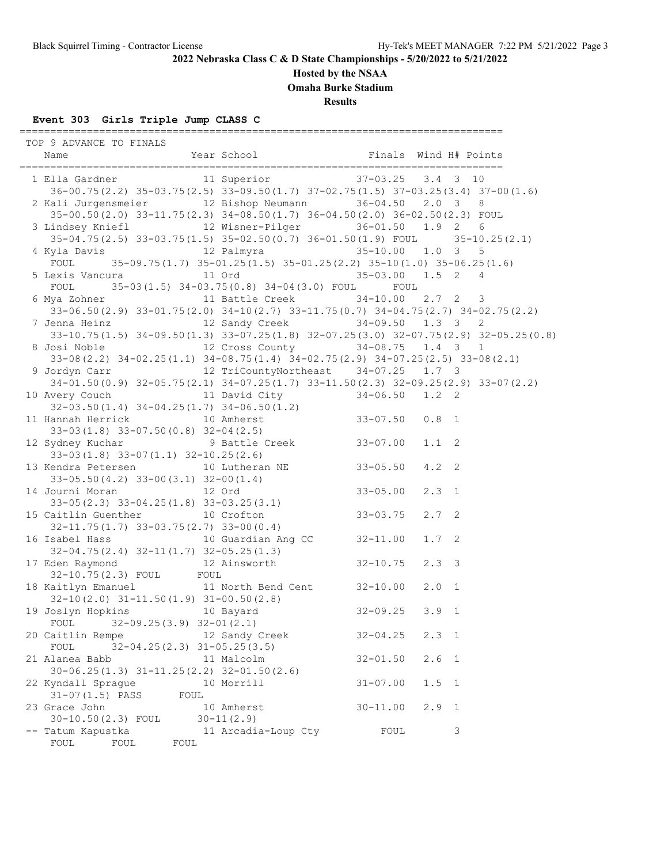## **Hosted by the NSAA**

**Omaha Burke Stadium**

**Results**

## **Event 303 Girls Triple Jump CLASS C**

| TOP 9 ADVANCE TO FINALS<br>Name                                                                                                                                            |      | NOW IO FINALS<br>Year School Tinals Wind H# Points |              |               |              |
|----------------------------------------------------------------------------------------------------------------------------------------------------------------------------|------|----------------------------------------------------|--------------|---------------|--------------|
| 1 Ella Gardner 11 Superior 37-03.25 3.4 3 10                                                                                                                               |      |                                                    |              |               |              |
| 36-00.75 (2.2) 35-03.75 (2.5) 33-09.50 (1.7) 37-02.75 (1.5) 37-03.25 (3.4) 37-00 (1.6)                                                                                     |      |                                                    |              |               |              |
| 2 Kali Jurgensmeier 12 Bishop Neumann 36-04.50 2.0 3 8                                                                                                                     |      |                                                    |              |               |              |
| 35-00.50(2.0) 33-11.75(2.3) 34-08.50(1.7) 36-04.50(2.0) 36-02.50(2.3) FOUL                                                                                                 |      |                                                    |              |               |              |
| 3 Lindsey Kniefl 12 Wisner-Pilger 36-01.50 1.9 2 6                                                                                                                         |      |                                                    |              |               |              |
| $35-04.75(2.5)$ $33-03.75(1.5)$ $35-02.50(0.7)$ $36-01.50(1.9)$ FOUL $35-10.25(2.1)$                                                                                       |      |                                                    |              |               |              |
| 4 Kyla Davis                       12 Palmyra                       35-10.00     1.0   3     5                                                                             |      |                                                    |              |               |              |
| FOUL 35-09.75(1.7) 35-01.25(1.5) 35-01.25(2.2) 35-10(1.0) 35-06.25(1.6)                                                                                                    |      |                                                    |              |               |              |
| 5 Lexis Vancura                 11 Ord                               35-03.00     1.5   2     4                                                                            |      |                                                    |              |               |              |
| FOUL 35-03(1.5) 34-03.75(0.8) 34-04(3.0) FOUL FOUL                                                                                                                         |      |                                                    |              |               |              |
| 6 Mya Zohner 11 Battle Creek 34-10.00 2.7 2 3                                                                                                                              |      |                                                    |              |               |              |
| $33-06.50(2.9)$ $33-01.75(2.0)$ $34-10(2.7)$ $33-11.75(0.7)$ $34-04.75(2.7)$ $34-02.75(2.2)$                                                                               |      |                                                    |              |               |              |
| 7 Jenna Heinz 12 Sandy Creek 34-09.50 1.3 3                                                                                                                                |      |                                                    |              |               | 2            |
| 33-10.75(1.5) 34-09.50(1.3) 33-07.25(1.8) 32-07.25(3.0) 32-07.75(2.9) 32-05.25(0.8)                                                                                        |      |                                                    |              |               |              |
| 8 Josi Noble 12 Cross County 34-08.75 1.4 3 1                                                                                                                              |      |                                                    |              |               |              |
| 33-08 (2.2) 34-02.25 (1.1) 34-08.75 (1.4) 34-02.75 (2.9) 34-07.25 (2.5) 33-08 (2.1)                                                                                        |      |                                                    |              |               |              |
| 9 Jordyn Carr 12 TriCountyNortheast 34-07.25 1.7 3                                                                                                                         |      |                                                    |              |               |              |
| $34-01.50(0.9)$ $32-05.75(2.1)$ $34-07.25(1.7)$ $33-11.50(2.3)$ $32-09.25(2.9)$ $33-07(2.2)$                                                                               |      |                                                    |              |               |              |
| 10 Avery Couch 11 David City 34-06.50 1.2 2                                                                                                                                |      |                                                    |              |               |              |
| 10 Avery Couch<br>32-03.50(1.4) 34-04.25(1.7) 34-06.50(1.2)<br>11 Hannah Herrick 10 Amherst 33-07.50 0.8 1                                                                 |      |                                                    |              |               |              |
|                                                                                                                                                                            |      |                                                    |              |               |              |
| 33-03(1.8) 33-07.50(0.8) 32-04(2.5)<br>12 Sydney Kuchar 9 Battle Creek 33-07.00                                                                                            |      |                                                    |              |               |              |
|                                                                                                                                                                            |      |                                                    |              | $1.1 \quad 2$ |              |
| $33-03(1.8)$ $33-07(1.1)$ $32-10.25(2.6)$                                                                                                                                  |      |                                                    |              |               |              |
| 13 Kendra Petersen 10 Lutheran NE 33-05.50                                                                                                                                 |      |                                                    |              | $4.2 \quad 2$ |              |
| $33-05.50(4.2)$ $33-00(3.1)$ $32-00(1.4)$                                                                                                                                  |      |                                                    |              |               |              |
|                                                                                                                                                                            |      |                                                    |              | $2.3 \quad 1$ |              |
|                                                                                                                                                                            |      |                                                    |              |               |              |
| 14 Journal Moran<br>33-05.00<br>33-05(2.3) 33-04.25(1.8) 33-03.25(3.1)<br>15 Caitlin Guenther<br>32-11.75(1.7) 33-03.75(2.7) 33-00(0.4)<br>16 Care Sample Control 32-03.75 |      |                                                    |              | $2.7-2$       |              |
|                                                                                                                                                                            |      |                                                    |              |               |              |
| 16 Isabel Hass 10 Guardian Ang CC 32-11.00                                                                                                                                 |      |                                                    |              | $1.7-2$       |              |
| $32-04.75(2.4)$ $32-11(1.7)$ $32-05.25(1.3)$                                                                                                                               |      |                                                    |              |               |              |
| 17 Eden Raymond 12 Ainsworth 32-10.75                                                                                                                                      |      |                                                    |              | $2.3 \quad 3$ |              |
| 32-10.75(2.3) FOUL FOUL<br>18 Kaitlyn Emanuel 11 North Bend Cent 32-10.00                                                                                                  |      |                                                    |              |               |              |
| Alianus (Alianus)<br>32-10(2.0) 31-11.50(1.9) 31-00.50(2.8)<br>10 Bayard 32-09.25 3.9 1                                                                                    |      |                                                    |              | $2.0 \quad 1$ |              |
| 19 Joslyn Hopkins 10 Bayard                                                                                                                                                |      |                                                    |              |               |              |
| FOUL $32-09.25(3.9)$ $32-01(2.1)$                                                                                                                                          |      |                                                    |              |               |              |
| 20 Caitlin Rempe                                                                                                                                                           |      | 12 Sandy Creek                                     | $32 - 04.25$ | $2.3 \quad 1$ |              |
| $32 - 04.25(2.3)$ $31 - 05.25(3.5)$<br>FOUL                                                                                                                                |      |                                                    |              |               |              |
| 21 Alanea Babb                                                                                                                                                             |      | 11 Malcolm                                         | $32 - 01.50$ | 2.6           | $\mathbf{1}$ |
| $30-06.25(1.3)$ $31-11.25(2.2)$ $32-01.50(2.6)$                                                                                                                            |      |                                                    |              |               |              |
| 22 Kyndall Sprague                                                                                                                                                         |      | 10 Morrill                                         | $31 - 07.00$ | 1.5           | $\sqrt{1}$   |
| $31 - 07(1.5)$ PASS                                                                                                                                                        | FOUL |                                                    |              |               |              |
| 23 Grace John                                                                                                                                                              |      | 10 Amherst                                         | $30 - 11.00$ | 2.9           | $\sqrt{1}$   |
| 30-10.50(2.3) FOUL                                                                                                                                                         |      | $30 - 11(2.9)$                                     |              |               |              |
| -- Tatum Kapustka                                                                                                                                                          |      | 11 Arcadia-Loup Cty                                | FOUL         |               | 3            |
| FOUL<br>FOUL<br>FOUL                                                                                                                                                       |      |                                                    |              |               |              |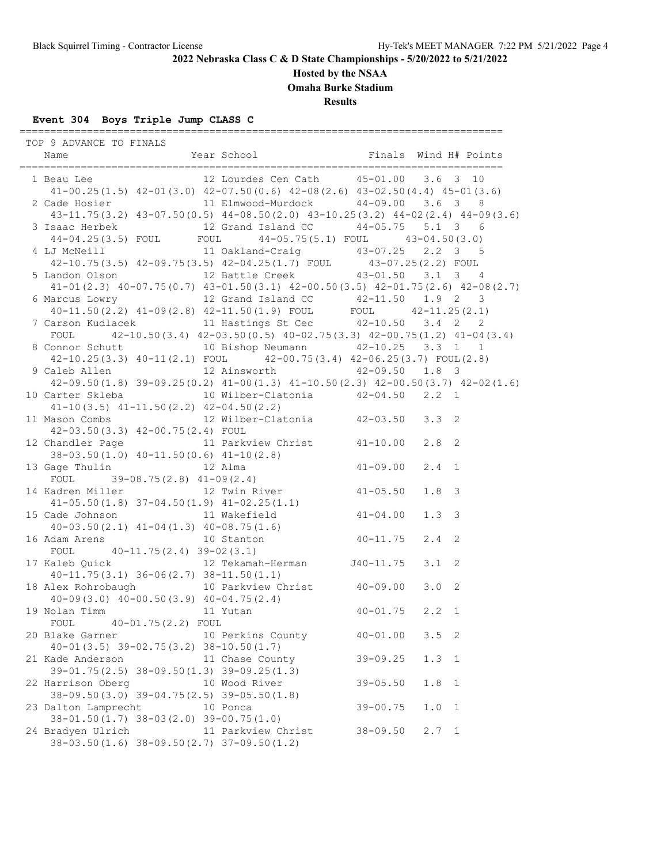## **Hosted by the NSAA**

**Omaha Burke Stadium**

**Results**

# **Event 304 Boys Triple Jump CLASS C**

| TOP 9 ADVANCE TO FINALS                                                                                                     |                    |              |                       |
|-----------------------------------------------------------------------------------------------------------------------------|--------------------|--------------|-----------------------|
| 1 Beau Lee 12 Lourdes Cen Cath 15-01.00 3.6 3 10                                                                            |                    |              |                       |
| $41-00.25(1.5)$ $42-01(3.0)$ $42-07.50(0.6)$ $42-08(2.6)$ $43-02.50(4.4)$ $45-01(3.6)$                                      |                    |              |                       |
| 2 Cade Hosier 11 Elmwood-Murdock 44-09.00 3.6 3 8                                                                           |                    |              |                       |
| $43-11.75(3.2)$ $43-07.50(0.5)$ $44-08.50(2.0)$ $43-10.25(3.2)$ $44-02(2.4)$ $44-09(3.6)$                                   |                    |              |                       |
|                                                                                                                             |                    |              |                       |
| 3 Isaac Herbek 12 Grand Island CC 44-05.75 5.1 3 6<br>44-04.25(3.5) FOUL FOUL 44-05.75(5.1) FOUL 43-04.50(3.0)              |                    |              |                       |
| 4 LJ McNeill 11 Oakland-Craig 43-07.25 2.2 3 5                                                                              |                    |              |                       |
| 42-10.75(3.5) 42-09.75(3.5) 42-04.25(1.7) FOUL 43-07.25(2.2) FOUL                                                           |                    |              |                       |
| 5 Landon Olson 12 Battle Creek 43-01.50 3.1 3 4                                                                             |                    |              |                       |
| $41-01$ (2.3) $40-07.75$ (0.7) $43-01.50$ (3.1) $42-00.50$ (3.5) $42-01.75$ (2.6) $42-08$ (2.7)                             |                    |              |                       |
| 6 Marcus Lowry<br>40-11.50(2.2) 41-09(2.8) 42-11.50(1.9) FOUL<br>7 Carson Kudlacek<br>11 Hastings St Cec (42-10.50) 3.4 2 2 |                    |              |                       |
|                                                                                                                             |                    |              |                       |
|                                                                                                                             |                    |              |                       |
| FOUL $42-10.50(3.4)$ $42-03.50(0.5)$ $40-02.75(3.3)$ $42-00.75(1.2)$ $41-04(3.4)$                                           |                    |              |                       |
| 8 Connor Schutt 10 Bishop Neumann 42-10.25 3.3 1 1                                                                          |                    |              |                       |
| $42-10.25(3.3)$ $40-11(2.1)$ FOUL $42-00.75(3.4)$ $42-06.25(3.7)$ FOUL(2.8)                                                 |                    |              |                       |
| 9 Caleb Allen 12 Ainsworth 42-09.50 1.8 3                                                                                   |                    |              |                       |
| $42-09.50(1.8)$ $39-09.25(0.2)$ $41-00(1.3)$ $41-10.50(2.3)$ $42-00.50(3.7)$ $42-02(1.6)$                                   |                    |              |                       |
| 10 Carter Skleba    10 Wilber-Clatonia    42-04.50    2.2    1                                                              |                    |              |                       |
| $41-10(3.5)$ $41-11.50(2.2)$ $42-04.50(2.2)$                                                                                |                    |              |                       |
| 11 Mason Combs (12 Wilber-Clatonia (2-03.50 3.3 2)                                                                          |                    |              |                       |
| 42-03.50(3.3) 42-00.75(2.4) FOUL                                                                                            |                    |              |                       |
| 12 Chandler Page 11 Parkview Christ 41-10.00 2.8 2                                                                          |                    |              |                       |
| 38-03.50(1.0) $40-11.50(0.6)$ $41-10(2.8)$<br>13 Gage Thulin 12 Alma $41-09.00$                                             |                    |              |                       |
|                                                                                                                             |                    |              | $2.4 \quad 1$         |
| FOUL $39-08.75(2.8)$ $41-09(2.4)$                                                                                           |                    |              |                       |
| 14 Kadren Miller 12 Twin River 41-05.50                                                                                     |                    |              | 1.8 <sup>3</sup>      |
| $41-05.50(1.8)$ $37-04.50(1.9)$ $41-02.25(1.1)$                                                                             |                    |              |                       |
| 15 Cade Johnson 11 Wakefield 41-04.00                                                                                       |                    |              | 1.3 <sup>3</sup>      |
|                                                                                                                             |                    |              | $2.4$ 2               |
| $40-03.50(2.1)$ $41-04(1.3)$ $40-08.75(1.6)$<br>16 Adam Arens 10 Stanton $40-11.75$<br>FOUL $40-11.75(2.4)$ $39-02(3.1)$    |                    |              |                       |
|                                                                                                                             |                    |              |                       |
| $40-11.75(3.1)$ $36-06(2.7)$ $38-11.50(1.1)$                                                                                |                    |              |                       |
| 18 Alex Rohrobaugh 10 Parkview Christ 40-09.00                                                                              |                    |              | 3.0 <sub>2</sub>      |
| Alex Ronrobaugh<br>40-09(3.0) 40-00.50(3.9) 40-04.75(2.4)<br>Nolan Timm 11 Yutan 40-01.75 2.2 1                             |                    |              |                       |
| 19 Nolan Timm 11 Yutan                                                                                                      |                    |              |                       |
| FOUL 40-01.75(2.2) FOUL                                                                                                     |                    |              |                       |
| 20 Blake Garner                                                                                                             | 10 Perkins County  | $40 - 01.00$ | $3.5 \quad 2$         |
| $40 - 01(3.5)$ $39 - 02.75(3.2)$ $38 - 10.50(1.7)$                                                                          |                    |              |                       |
| 21 Kade Anderson 11 Chase County                                                                                            |                    | $39 - 09.25$ | 1.3<br>$\overline{1}$ |
| $39-01.75(2.5)$ $38-09.50(1.3)$ $39-09.25(1.3)$                                                                             |                    |              |                       |
| 22 Harrison Oberg                                                                                                           | 10 Wood River      | $39 - 05.50$ | 1.8<br>$\overline{1}$ |
| 38-09.50(3.0) 39-04.75(2.5) 39-05.50(1.8)                                                                                   |                    |              |                       |
| 23 Dalton Lamprecht                                                                                                         | 10 Ponca           | $39 - 00.75$ | 1.0<br>$\mathbf{1}$   |
| $38 - 01.50(1.7)$ $38 - 03(2.0)$ $39 - 00.75(1.0)$                                                                          |                    |              |                       |
| 24 Bradyen Ulrich                                                                                                           | 11 Parkview Christ | $38 - 09.50$ | $2.7 \quad 1$         |
| $38-03.50(1.6)$ $38-09.50(2.7)$ $37-09.50(1.2)$                                                                             |                    |              |                       |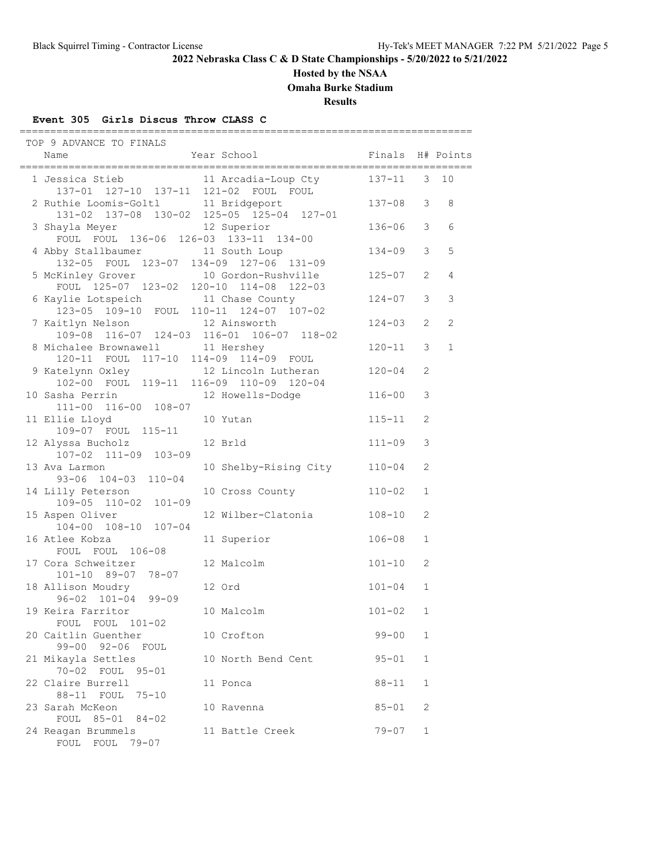### **Hosted by the NSAA**

**Omaha Burke Stadium**

**Results**

#### **Event 305 Girls Discus Throw CLASS C**

 TOP 9 ADVANCE TO FINALS Name The Year School Team and Finals H# Points ========================================================================== 1 Jessica Stieb 11 Arcadia-Loup Cty 137-11 3 10 1 Jessica Stiep<br>137-01 127-10 137-11 121-02 FOUL FOUL<br>2 Ruthie Loomis-Goltl 11 Bridgeport 2 Ruthie Loomis-Goltl 11 Bridgeport 137-08 3 8 131-02 137-08 130-02 125-05 125-04 127-01 3 Shayla Meyer 12 Superior 136-06 3 6 FOUL FOUL 136-06 126-03 133-11 134-00 4 Abby Stallbaumer 11 South Loup 134-09 3 5 132-05 FOUL 123-07 134-09 127-06 131-09 5 McKinley Grover 10 Gordon-Rushville 125-07 2 4 FOUL 125-07 123-02 120-10 114-08 122-03 6 Kaylie Lotspeich 11 Chase County 124-07 3 3 123-05 109-10 FOUL 110-11 124-07 107-02 7 Kaitlyn Nelson 12 Ainsworth 124-03 2 2 109-08 116-07 124-03 116-01 106-07 118-02 8 Michalee Brownawell 11 Hershey 120-11 3 1 120-11 FOUL 117-10 114-09 114-09 FOUL 9 Katelynn Oxley 12 Lincoln Lutheran 120-04 2 102-00 FOUL 119-11 116-09 110-09 120-04 10 Sasha Perrin 12 Howells-Dodge 116-00 3 111-00 116-00 108-07 11 Ellie Lloyd 10 Yutan 115-11 2 109-07 FOUL 115-11 12 Alyssa Bucholz 12 Brld 111-09 3 107-02 111-09 103-09 13 Ava Larmon 10 Shelby-Rising City 110-04 2 93-06 104-03 110-04 14 Lilly Peterson 10 Cross County 110-02 1 109-05 110-02 101-09 15 Aspen Oliver 12 Wilber-Clatonia 108-10 2 104-00 108-10 107-04 16 Atlee Kobza 11 Superior 106-08 1 FOUL FOUL 106-08 17 Cora Schweitzer 12 Malcolm 101-10 2 101-10 89-07 78-07 18 Allison Moudry 12 Ord 101-04 1 96-02 101-04 99-09 19 Keira Farritor 101.00 10 Malcolm 101-02 1 FOUL FOUL 101-02 20 Caitlin Guenther 10 Crofton 10 - 99-00 1 99-00 92-06 FOUL 21 Mikayla Settles 10 North Bend Cent 95-01 1 70-02 FOUL 95-01 22 Claire Burrell 11 Ponca and 88-11 1 88-11 FOUL 75-10 23 Sarah McKeon 10 Ravenna 85-01 2 FOUL 85-01 84-02 24 Reagan Brummels 11 Battle Creek 79-07 1 FOUL FOUL 79-07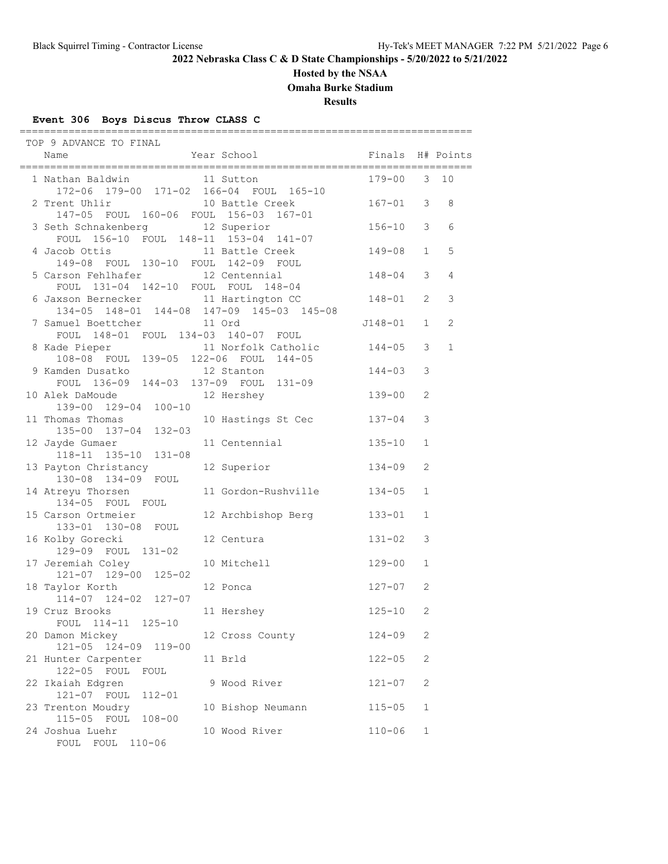## **Hosted by the NSAA**

**Omaha Burke Stadium**

**Results**

## **Event 306 Boys Discus Throw CLASS C**

| TOP 9 ADVANCE TO FINAL                                                           |                          |                      |               |                |
|----------------------------------------------------------------------------------|--------------------------|----------------------|---------------|----------------|
| Name                                                                             | Year School              | Finals H# Points     |               |                |
| 1 Nathan Baldwin 11 Sutton<br>172-06 179-00 171-02 166-04 FOUL 165-10            |                          | 179-00               | $\mathcal{S}$ | 10             |
| 2 Trent Uhlir<br>147-05 FOUL 160-06 FOUL 156-03 167-01                           | 10 Battle Creek          | $167 - 01$           | 3             | 8              |
| 3 Seth Schnakenberg<br>FOUL 156-10 FOUL 148-11 153-04 141-07                     | 12 Superior              | $156 - 10$           | 3             | 6              |
| 4 Jacob Ottis<br>149-08 FOUL 130-10 FOUL 142-09 FOUL                             | 11 Battle Creek          | 149-08               | $\mathbf{1}$  | 5              |
| 5 Carson Fehlhafer 12 Centennial<br>FOUL 131-04 142-10 FOUL FOUL 148-04          |                          | $148 - 04$           | 3             | $\overline{4}$ |
| 6 Jaxson Bernecker 11 Hartington CC<br>134-05 148-01 144-08 147-09 145-03 145-08 |                          | 148-01               | 2             | 3              |
| 7 Samuel Boettcher 11 Ord<br>FOUL 148-01 FOUL 134-03 140-07 FOUL                 |                          | J148-01              | $\mathbf{1}$  | 2              |
| 8 Kade Pieper 11 Norfolk Catholic<br>108-08 FOUL 139-05 122-06 FOUL 144-05       | 11 Norfolk Catholic      | $144 - 05$           | 3<br>3        | $\mathbf{1}$   |
| 9 Kamden Dusatko<br>FOUL 136-09 144-03 137-09 FOUL 131-09<br>10 Alek DaMoude     | 12 Stanton<br>12 Hershey | 144-03<br>$139 - 00$ | 2             |                |
| 139-00 129-04 100-10<br>11 Thomas Thomas                                         | 10 Hastings St Cec       | $137 - 04$           | 3             |                |
| 135-00 137-04 132-03<br>12 Jayde Gumaer                                          | 11 Centennial            | $135 - 10$           | $\mathbf{1}$  |                |
| 118-11 135-10 131-08<br>13 Payton Christancy                                     | 12 Superior              | $134 - 09$           | 2             |                |
| 130-08 134-09 FOUL<br>14 Atreyu Thorsen                                          | 11 Gordon-Rushville      | $134 - 05$           | $\mathbf{1}$  |                |
| 134-05 FOUL FOUL<br>15 Carson Ortmeier                                           | 12 Archbishop Berg       | $133 - 01$           | $\mathbf{1}$  |                |
| 133-01 130-08 FOUL<br>16 Kolby Gorecki                                           | 12 Centura               | $131 - 02$           | 3             |                |
| 129-09 FOUL 131-02<br>17 Jeremiah Coley                                          | 10 Mitchell              | 129-00               | $\mathbf 1$   |                |
| $121 - 07$ $129 - 00$ $125 - 02$<br>18 Taylor Korth                              | 12 Ponca                 | 127-07               | 2             |                |
| 114-07 124-02 127-07<br>19 Cruz Brooks                                           | 11 Hershey               | $125 - 10$           | 2             |                |
| FOUL 114-11 125-10<br>20 Damon Mickey                                            | 12 Cross County          | $124 - 09$           | 2             |                |
| $121 - 05$<br>124-09 119-00<br>21 Hunter Carpenter                               | 11 Brld                  | $122 - 05$           | 2             |                |
| 122-05 FOUL<br>FOUL<br>22 Ikaiah Edgren<br>121-07 FOUL<br>$112 - 01$             | 9 Wood River             | $121 - 07$           | $\mathbf{2}$  |                |
| 23 Trenton Moudry<br>115-05 FOUL<br>$108 - 00$                                   | 10 Bishop Neumann        | $115 - 05$           | $\mathbf 1$   |                |
| 24 Joshua Luehr<br>FOUL<br>$110 - 06$<br>FOUL                                    | 10 Wood River            | $110 - 06$           | $\mathbf 1$   |                |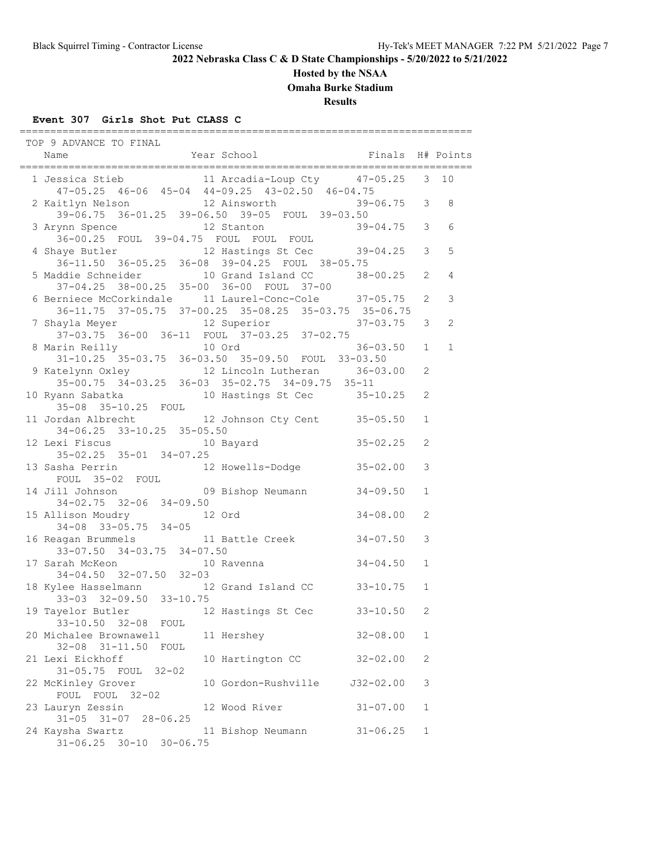#### **Hosted by the NSAA**

**Omaha Burke Stadium**

**Results**

#### **Event 307 Girls Shot Put CLASS C**

 TOP 9 ADVANCE TO FINAL Name Year School Finals H# Points ========================================================================== 1 Jessica Stieb 11 Arcadia-Loup Cty 47-05.25 3 10 47-05.25 46-06 45-04 44-09.25 43-02.50 46-04.75 2 Kaitlyn Nelson 12 Ainsworth 39-06.75 3 8 39-06.75 36-01.25 39-06.50 39-05 FOUL 39-03.50 3 Arynn Spence 12 Stanton 39-04.75 3 6 36-00.25 FOUL 39-04.75 FOUL FOUL FOUL 4 Shaye Butler 12 Hastings St Cec 39-04.25 3 5 36-11.50 36-05.25 36-08 39-04.25 FOUL 38-05.75 5 Maddie Schneider 10 Grand Island CC 38-00.25 2 4 37-04.25 38-00.25 35-00 36-00 FOUL 37-00 6 Berniece McCorkindale 11 Laurel-Conc-Cole 37-05.75 2 3 36-11.75 37-05.75 37-00.25 35-08.25 35-03.75 35-06.75 7 Shayla Meyer 12 Superior 37-03.75 3 2 37-03.75 36-00 36-11 FOUL 37-03.25 37-02.75 8 Marin Reilly 10 Ord 36-03.50 1 1 31-10.25 35-03.75 36-03.50 35-09.50 FOUL 33-03.50 9 Katelynn Oxley 12 Lincoln Lutheran 36-03.00 2 35-00.75 34-03.25 36-03 35-02.75 34-09.75 35-11 10 Ryann Sabatka 10 Hastings St Cec 35-10.25 2 35-08 35-10.25 FOUL 11 Jordan Albrecht 12 Johnson Cty Cent 35-05.50 1 34-06.25 33-10.25 35-05.50 12 Lexi Fiscus 10 Bayard 35-02.25 2 35-02.25 35-01 34-07.25 13 Sasha Perrin 12 Howells-Dodge 35-02.00 3 FOUL 35-02 FOUL 14 Jill Johnson 09 Bishop Neumann 34-09.50 1 34-02.75 32-06 34-09.50 15 Allison Moudry 12 Ord 34-08.00 2 34-08 33-05.75 34-05 16 Reagan Brummels<br>
33-07.50 34-03.75 34-07.50 33-07.50 34-03.75 34-07.50 17 Sarah McKeon 10 Ravenna 34-04.50 1 34-04.50 32-07.50 32-03 18 Kylee Hasselmann 12 Grand Island CC 33-10.75 1 33-03 32-09.50 33-10.75 19 Tayelor Butler 12 Hastings St Cec 33-10.50 2 33-10.50 32-08 FOUL 20 Michalee Brownawell 11 Hershey 32-08.00 1 32-08 31-11.50 FOUL 21 Lexi Eickhoff 10 Hartington CC 32-02.00 2 31-05.75 FOUL 32-02 22 McKinley Grover 10 Gordon-Rushville J32-02.00 3<br>FOUL FOUL 32-02 FOUL FOUL 32-02 23 Lauryn Zessin 12 Wood River 31-07.00 1 31-05 31-07 28-06.25 24 Kaysha Swartz 11 Bishop Neumann 31-06.25 1 31-06.25 30-10 30-06.75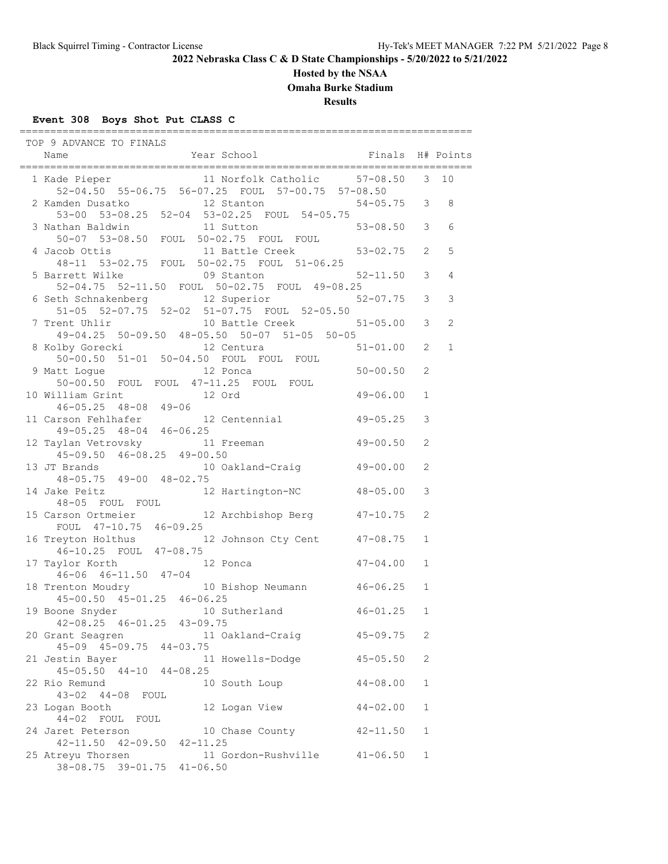#### **Hosted by the NSAA**

**Omaha Burke Stadium**

**Results**

### **Event 308 Boys Shot Put CLASS C**

 TOP 9 ADVANCE TO FINALS Name The Year School The Finals H# Points ========================================================================== 1 Kade Pieper 11 Norfolk Catholic 57-08.50 3 10 52-04.50 55-06.75 56-07.25 FOUL 57-00.75 57-08.50 2 Kamden Dusatko 12 Stanton 54-05.75 3 8 53-00 53-08.25 52-04 53-02.25 FOUL 54-05.75 3 Nathan Baldwin 11 Sutton 50-07 53-08.50 FOUL 50-02.75 FOUL FOUL 4 Jacob Ottis 11 Battle Creek 53-02.75 2 5 48-11 53-02.75 FOUL 50-02.75 FOUL 51-06.25 5 Barrett Wilke 09 Stanton 52-11.50 3 4 52-04.75 52-11.50 FOUL 50-02.75 FOUL 49-08.25 6 Seth Schnakenberg 12 Superior 51-05 52-07.75 52-02 51-07.75 FOUL 52-05.50<br>7 Trent Uhlir 10 Battle Creek 10 Battle Creek 51-05.00 3 2 49-04.25 50-09.50 48-05.50 50-07 51-05 50-05 8 Kolby Gorecki 12 Centura 51-01.00 2 1 50-00.50 51-01 50-04.50 FOUL FOUL FOUL 9 Matt Logue **12 Ponca** 50-00.50 2 50-00.50 FOUL FOUL 47-11.25 FOUL FOUL 10 William Grint 12 Ord 49-06.00 1 46-05.25 48-08 49-06 11 Carson Fehlhafer 12 Centennial 49-05.25 3 49-05.25 48-04 46-06.25 12 Taylan Vetrovsky 11 Freeman 49-00.50 2 45-09.50 46-08.25 49-00.50<br>13 JT Brands 10 Oakland 10 Oakland-Craig 49-00.00 2 48-05.75 49-00 48-02.75 14 Jake Peitz 12 Hartington-NC 48-05.00 3 48-05 FOUL FOUL 15 Carson Ortmeier 12 Archbishop Berg 47-10.75 2 FOUL 47-10.75 46-09.25 16 Treyton Holthus 12 Johnson Cty Cent 47-08.75 1 46-10.25 FOUL 47-08.75 17 Taylor Korth 12 Ponca 47-04.00 1 46-06 46-11.50 47-04 18 Trenton Moudry 10 Bishop Neumann 46-06.25 1 45-00.50 45-01.25 46-06.25 19 Boone Snyder 10 Sutherland 46-01.25 1 42-08.25 46-01.25 43-09.75 42-00.23 40 01.23 10 00.10<br>20 Grant Seagren 11 Oakland-Craig 45-09.75 2 45-09 45-09.75 44-03.75 21 Jestin Bayer 11 Howells-Dodge 45-05.50 2 45-05.50 44-10 44-08.25 22 Rio Remund 10 South Loup 44-08.00 1 43-02 44-08 FOUL 23 Logan Booth 12 Logan View 44-02.00 1 44-02 FOUL FOUL 24 Jaret Peterson 10 Chase County 42-11.50 1 42-11.50 42-09.50 42-11.25 25 Atreyu Thorsen 11 Gordon-Rushville 41-06.50 1 38-08.75 39-01.75 41-06.50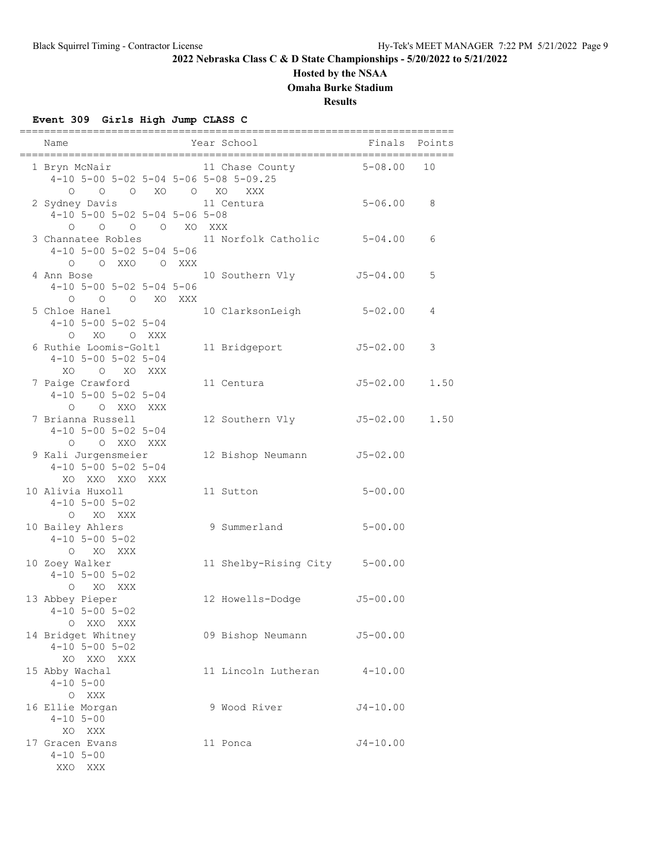# **Hosted by the NSAA**

**Omaha Burke Stadium**

**Results**

## **Event 309 Girls High Jump CLASS C**

| Name                                                                         |  | Year School                   | Finals       | Points |
|------------------------------------------------------------------------------|--|-------------------------------|--------------|--------|
| 1 Bryn McNair<br>4-10 5-00 5-02 5-04 5-06 5-08 5-09.25                       |  | 11 Chase County               | $5 - 08.00$  | 10     |
| $O$ $O$ $O$ $XO$ $O$ $XO$<br>2 Sydney Davis<br>4-10 5-00 5-02 5-04 5-06 5-08 |  | XXX<br>11 Centura             | $5 - 06.00$  | 8      |
| O O O XO XXX<br>$\circ$<br>3 Channatee Robles<br>$4-10$ 5-00 5-02 5-04 5-06  |  | 11 Norfolk Catholic 5-04.00   |              | 6      |
| O O XXO O XXX<br>4 Ann Bose<br>$4-10$ 5-00 5-02 5-04 5-06                    |  | 10 Southern Vly               | J5-04.00     | 5      |
| O O XO XXX<br>$\circ$<br>5 Chloe Hanel<br>$4-10$ 5-00 5-02 5-04              |  | 10 ClarksonLeigh              | $5 - 02.00$  | 4      |
| O XO O XXX<br>6 Ruthie Loomis-Goltl<br>$4-10$ 5-00 5-02 5-04                 |  | 11 Bridgeport                 | J5-02.00     | 3      |
| XO O XO<br>XXX<br>7 Paige Crawford<br>$4-10$ 5-00 5-02 5-04                  |  | 11 Centura                    | J5-02.00     | 1.50   |
| Q Q XXQ XXX<br>7 Brianna Russell<br>$4-10$ 5-00 5-02 5-04                    |  | 12 Southern Vly               | $J5 - 02.00$ | 1.50   |
| O XXO XXX<br>$\Omega$<br>9 Kali Jurgensmeier<br>$4-10$ 5-00 5-02 5-04        |  | 12 Bishop Neumann             | $J5 - 02.00$ |        |
| XO XXO XXO XXX<br>10 Alivia Huxoll<br>$4 - 10$ 5 - 00 5 - 02                 |  | 11 Sutton                     | $5 - 00.00$  |        |
| O XO XXX<br>10 Bailey Ahlers<br>$4-10$ 5-00 5-02<br>O XO XXX                 |  | 9 Summerland                  | $5 - 00.00$  |        |
| 10 Zoey Walker<br>$4 - 10$ 5 - 00 5 - 02<br>O XO XXX                         |  | 11 Shelby-Rising City 5-00.00 |              |        |
| 13 Abbey Pieper<br>$4 - 10$ 5 - 00 5 - 02<br>O XXO XXX                       |  | 12 Howells-Dodge              | $J5 - 00.00$ |        |
| 14 Bridget Whitney<br>$4-10$ 5-00 5-02<br>XO XXO XXX                         |  | 09 Bishop Neumann             | $J5 - 00.00$ |        |
| 15 Abby Wachal<br>$4 - 10$ 5-00<br>O XXX                                     |  | 11 Lincoln Lutheran           | $4 - 10.00$  |        |
| 16 Ellie Morgan<br>$4 - 10$ 5-00<br>XO XXX                                   |  | 9 Wood River                  | $J4 - 10.00$ |        |
| 17 Gracen Evans<br>$4 - 10$ 5-00<br>XXO XXX                                  |  | 11 Ponca                      | $J4 - 10.00$ |        |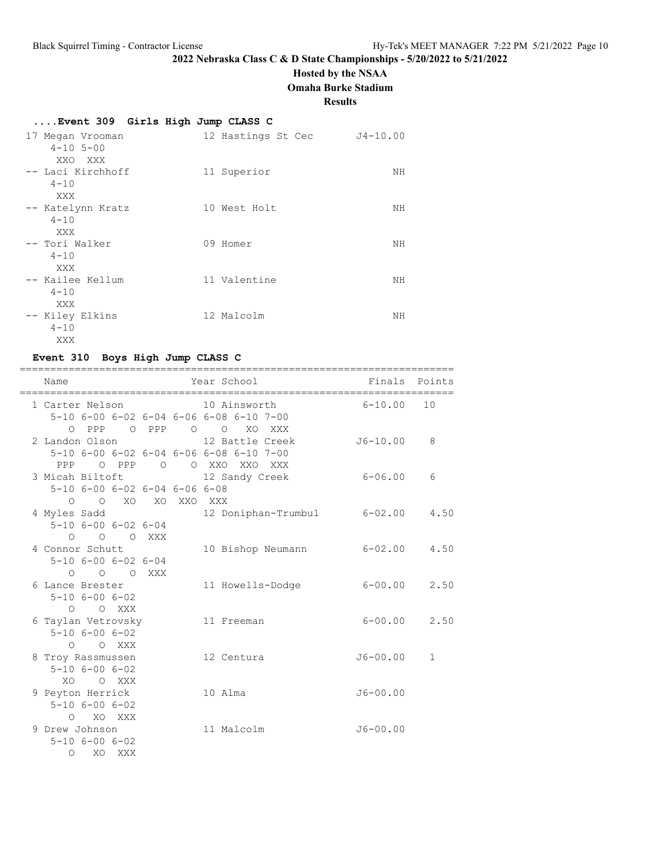## **Hosted by the NSAA**

**Omaha Burke Stadium**

#### **Results**

# **....Event 309 Girls High Jump CLASS C**

| 17 Megan Vrooman<br>$4 - 10$ 5-00<br>XXO XXX | 12 Hastings St Cec | $J4 - 10.00$ |
|----------------------------------------------|--------------------|--------------|
| -- Laci Kirchhoff<br>$4 - 10$<br>XXX         | 11 Superior        | NΗ           |
| -- Katelynn Kratz<br>$4 - 10$<br>XXX         | 10 West Holt       | NΗ           |
| -- Tori Walker<br>$4 - 10$<br>XXX            | 09 Homer           | NΗ           |
| -- Kailee Kellum<br>$4 - 10$<br>XXX          | 11 Valentine       | ΝH           |
| -- Kiley Elkins<br>$4 - 10$<br>XXX           | 12 Malcolm         | ΝH           |

# **Event 310 Boys High Jump CLASS C**

| Name                                                                     |                                      | =========<br>Finals<br>Year School                                                                            | Points |
|--------------------------------------------------------------------------|--------------------------------------|---------------------------------------------------------------------------------------------------------------|--------|
|                                                                          |                                      | 1 Carter Nelson 10 Ainsworth<br>$6 - 10.00$<br>5-10 6-00 6-02 6-04 6-06 6-08 6-10 7-00                        | 10     |
| O PPP<br>2 Landon Olson                                                  | O PPP                                | $\circ$<br>XO<br>$\circ$<br>XXX<br>$J6 - 10.00$<br>12 Battle Creek<br>5-10 6-00 6-02 6-04 6-06 6-08 6-10 7-00 | 8      |
| 3 Micah Biltoft<br>$5 - 10$ $6 - 00$ $6 - 02$ $6 - 04$ $6 - 06$ $6 - 08$ |                                      | PPP O PPP O O XXO XXO XXX<br>$6 - 06.00$<br>12 Sandy Creek                                                    | 6      |
| 4 Myles Sadd<br>$5 - 10$ $6 - 00$ $6 - 02$ $6 - 04$                      |                                      | O O XO XO XXO XXX<br>$6 - 02.00$<br>12 Doniphan-Trumbul                                                       | 4.50   |
| 4 Connor Schutt<br>$5 - 10$ 6-00 6-02 6-04                               | $O$ $O$ $O$ XXX<br>$O$ $O$ $O$ $XXX$ | 6-02.00<br>10 Bishop Neumann                                                                                  | 4.50   |
| 6 Lance Brester<br>$5 - 10$ $6 - 00$ $6 - 02$<br>$\Omega$                | O XXX                                | $6 - 00.00$<br>11 Howells-Dodge                                                                               | 2.50   |
| 6 Taylan Vetrovsky<br>$5 - 10$ $6 - 00$ $6 - 02$<br>O XXX<br>$\bigcirc$  |                                      | $6 - 00.00$<br>11 Freeman                                                                                     | 2.50   |
| 8 Troy Rassmussen<br>$5 - 10$ $6 - 00$ $6 - 02$<br>XO.                   | Q XXX                                | $J6 - 00.00$<br>12 Centura                                                                                    | 1      |
| 9 Peyton Herrick<br>$5 - 10$ $6 - 00$ $6 - 02$<br>O XO XXX               |                                      | $J6 - 00.00$<br>10 Alma                                                                                       |        |
| 9 Drew Johnson<br>$5 - 10$ $6 - 00$ $6 - 02$<br>$\Omega$<br>XO           | XXX                                  | $J6 - 00.00$<br>11 Malcolm                                                                                    |        |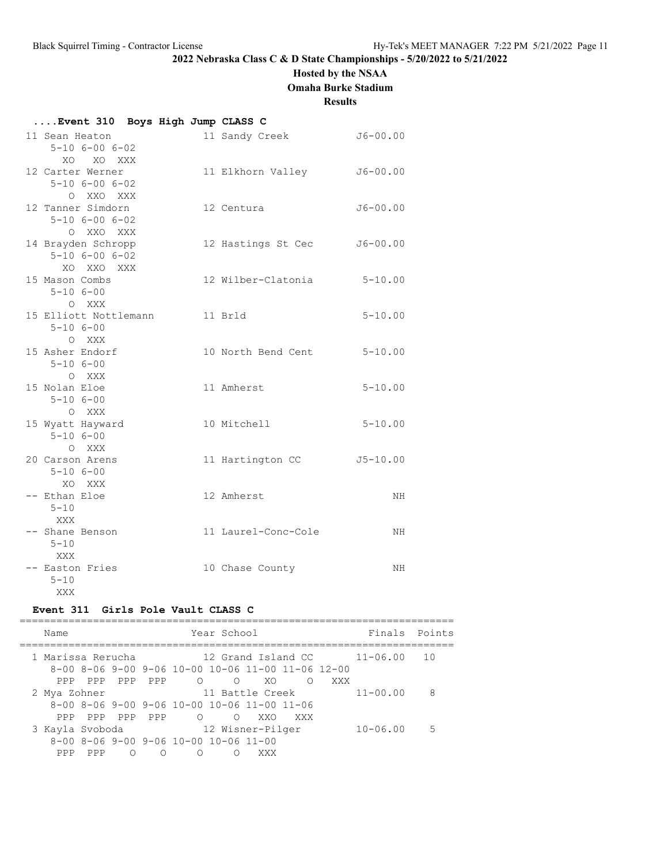# **Hosted by the NSAA**

**Omaha Burke Stadium**

#### **Results**

# **....Event 310 Boys High Jump CLASS C**

| 11 Sean Heaton<br>$5 - 10$ $6 - 00$ $6 - 02$                  | 11 Sandy Creek             | $J6 - 00.00$ |
|---------------------------------------------------------------|----------------------------|--------------|
| XO XO XXX<br>12 Carter Werner                                 | 11 Elkhorn Valley J6-00.00 |              |
| $5 - 10$ $6 - 00$ $6 - 02$<br>O XXO XXX                       |                            |              |
| 12 Tanner Simdorn<br>$5 - 10$ $6 - 00$ $6 - 02$               | 12 Centura                 | $J6 - 00.00$ |
| O XXO XXX<br>14 Brayden Schropp<br>$5 - 10$ $6 - 00$ $6 - 02$ | 12 Hastings St Cec         | $J6 - 00.00$ |
| XO XXO XXX<br>15 Mason Combs<br>$5 - 106 - 00$                | 12 Wilber-Clatonia         | $5 - 10.00$  |
| O XXX<br>15 Elliott Nottlemann<br>$5 - 106 - 00$              | 11 Brld                    | $5 - 10.00$  |
| O XXX<br>15 Asher Endorf<br>$5 - 106 - 00$                    | 10 North Bend Cent         | $5 - 10.00$  |
| O XXX<br>15 Nolan Eloe<br>$5 - 106 - 00$                      | 11 Amherst                 | $5 - 10.00$  |
| O XXX<br>15 Wyatt Hayward<br>$5 - 106 - 00$                   | 10 Mitchell                | $5 - 10.00$  |
| O XXX<br>20 Carson Arens<br>$5 - 106 - 00$                    | 11 Hartington CC           | $J5 - 10.00$ |
| XO XXX<br>-- Ethan Eloe<br>$5 - 10$<br>XXX                    | 12 Amherst                 | NH           |
| -- Shane Benson<br>$5 - 10$                                   | 11 Laurel-Conc-Cole        | NH           |
| XXX<br>-- Easton Fries<br>$5 - 10$<br>XXX                     | 10 Chase County            | NH           |

### **Event 311 Girls Pole Vault CLASS C**

|  | Name              |     |     |          |                                                     | Year School |                                                                     |     |     | Finals Points |             |
|--|-------------------|-----|-----|----------|-----------------------------------------------------|-------------|---------------------------------------------------------------------|-----|-----|---------------|-------------|
|  | 1 Marissa Rerucha |     |     |          |                                                     |             | 12 Grand Island CC                                                  |     |     | $11 - 06.00$  | 10          |
|  |                   |     |     |          |                                                     |             | $8-00$ $8-06$ $9-00$ $9-06$ $10-00$ $10-06$ $11-00$ $11-06$ $12-00$ |     |     |               |             |
|  | PPP               | PPP | PPP | PPP      | $\circ$                                             | $\bigcirc$  | XO.                                                                 | ∩   | XXX |               |             |
|  | 2 Mya Zohner      |     |     |          |                                                     |             | 11 Battle Creek                                                     |     |     | $11 - 00.00$  | 8           |
|  |                   |     |     |          |                                                     |             | $8-00$ $8-06$ $9-00$ $9-06$ $10-00$ $10-06$ $11-00$ $11-06$         |     |     |               |             |
|  | PPP               | PPP | PPP | PPP      | ∩                                                   | ∩           | XXO                                                                 | XXX |     |               |             |
|  | 3 Kayla Svoboda   |     |     |          |                                                     |             | 12 Wisner-Pilger                                                    |     |     | $10 - 06.00$  | $5^{\circ}$ |
|  |                   |     |     |          | $8-00$ $8-06$ $9-00$ $9-06$ $10-00$ $10-06$ $11-00$ |             |                                                                     |     |     |               |             |
|  | PPP.              | PPP | ∩   | $\Omega$ | ∩                                                   |             | XXX                                                                 |     |     |               |             |
|  |                   |     |     |          |                                                     |             |                                                                     |     |     |               |             |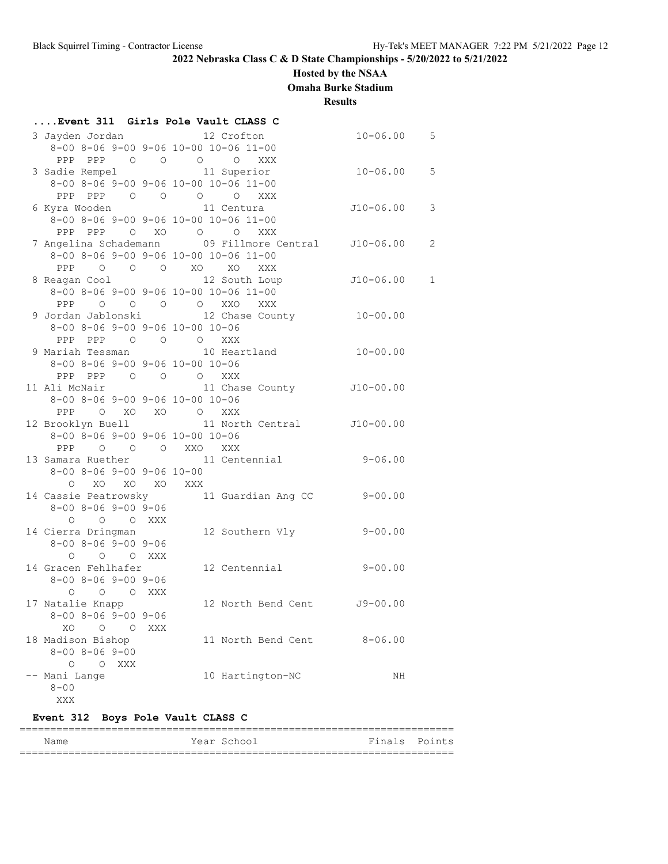# **Hosted by the NSAA**

**Omaha Burke Stadium**

**Results**

|                                     |     | Event 311 Girls Pole Vault CLASS C                   |                |                |
|-------------------------------------|-----|------------------------------------------------------|----------------|----------------|
|                                     |     | 3 Jayden Jordan 12 Crofton                           | $10 - 06.00$ 5 |                |
|                                     |     | 8-00 8-06 9-00 9-06 10-00 10-06 11-00                |                |                |
|                                     |     | PPP PPP 0 0 0 0 XXX                                  |                |                |
|                                     |     | 3 Sadie Rempel 11 Superior                           | $10 - 06.00$ 5 |                |
|                                     |     | 8-00 8-06 9-00 9-06 10-00 10-06 11-00                |                |                |
|                                     |     | PPP PPP 0 0 0 0 XXX                                  |                |                |
|                                     |     | 6 Kyra Wooden 11 Centura                             | $J10-06.00$    | 3              |
|                                     |     | 8-00 8-06 9-00 9-06 10-00 10-06 11-00                |                |                |
|                                     |     | PPP PPP 0 XO 0 0 XXX                                 |                |                |
|                                     |     | 7 Angelina Schademann (09 Fillmore Central 110-06.00 |                | $\overline{c}$ |
|                                     |     | 8-00 8-06 9-00 9-06 10-00 10-06 11-00                |                |                |
|                                     |     | PPP 0 0 0 XO XO XXX                                  |                |                |
| 8 Reagan Cool                       |     | 12 South Loup J10-06.00 1                            |                |                |
|                                     |     | 8-00 8-06 9-00 9-06 10-00 10-06 11-00                |                |                |
|                                     |     | PPP 0 0 0 0 XXO XXX                                  |                |                |
|                                     |     | 9 Jordan Jablonski 12 Chase County 10-00.00          |                |                |
| 8-00 8-06 9-00 9-06 10-00 10-06     |     |                                                      |                |                |
| PPP PPP 0 0 0 XXX                   |     |                                                      |                |                |
|                                     |     | 9 Mariah Tessman 10 Heartland                        | $10 - 00.00$   |                |
| 8-00 8-06 9-00 9-06 10-00 10-06     |     |                                                      |                |                |
| PPP PPP 0 0 0 XXX                   |     |                                                      |                |                |
| 8-00 8-06 9-00 9-06 10-00 10-06     |     | 11 Ali McNair 11 Chase County 510-00.00              |                |                |
|                                     |     |                                                      |                |                |
| PPP O XO XO O XXX                   |     | 12 Brooklyn Buell 11 North Central 510-00.00         |                |                |
| 8-00 8-06 9-00 9-06 10-00 10-06     |     |                                                      |                |                |
| PPP 0 0 0 XXO XXX                   |     |                                                      |                |                |
|                                     |     | 13 Samara Ruether 11 Centennial 9-06.00              |                |                |
| $8-00$ $8-06$ $9-00$ $9-06$ $10-00$ |     |                                                      |                |                |
| O XO XO XO XXX                      |     |                                                      |                |                |
|                                     |     | 14 Cassie Peatrowsky 11 Guardian Ang CC              | $9 - 00.00$    |                |
| $8 - 00$ $8 - 06$ $9 - 00$ $9 - 06$ |     |                                                      |                |                |
| O O O XXX                           |     |                                                      |                |                |
| 14 Cierra Dringman                  |     | 12 Southern Vly                                      | $9 - 00.00$    |                |
| $8 - 00$ $8 - 06$ $9 - 00$ $9 - 06$ |     |                                                      |                |                |
| O O O XXX                           |     |                                                      |                |                |
| 14 Gracen Fehlhafer                 |     | 12 Centennial                                        | $9 - 00.00$    |                |
| $8 - 00$ $8 - 06$ $9 - 00$ $9 - 06$ |     |                                                      |                |                |
| O O O XXX                           |     |                                                      |                |                |
| 17 Natalie Knapp                    |     | 12 North Bend Cent J9-00.00                          |                |                |
| $8 - 00$ $8 - 06$ $9 - 00$ $9 - 06$ |     |                                                      |                |                |
| XO O O                              | XXX |                                                      |                |                |
| 18 Madison Bishop                   |     | 11 North Bend Cent                                   | $8 - 06.00$    |                |
| $8 - 00$ $8 - 06$ $9 - 00$          |     |                                                      |                |                |
| O O XXX                             |     |                                                      |                |                |
| -- Mani Lange                       |     | 10 Hartington-NC                                     | NH             |                |
| $8 - 00$                            |     |                                                      |                |                |
| XXX                                 |     |                                                      |                |                |

# **Event 312 Boys Pole Vault CLASS C**

| Name | Year School | Finals Points |
|------|-------------|---------------|
|      |             |               |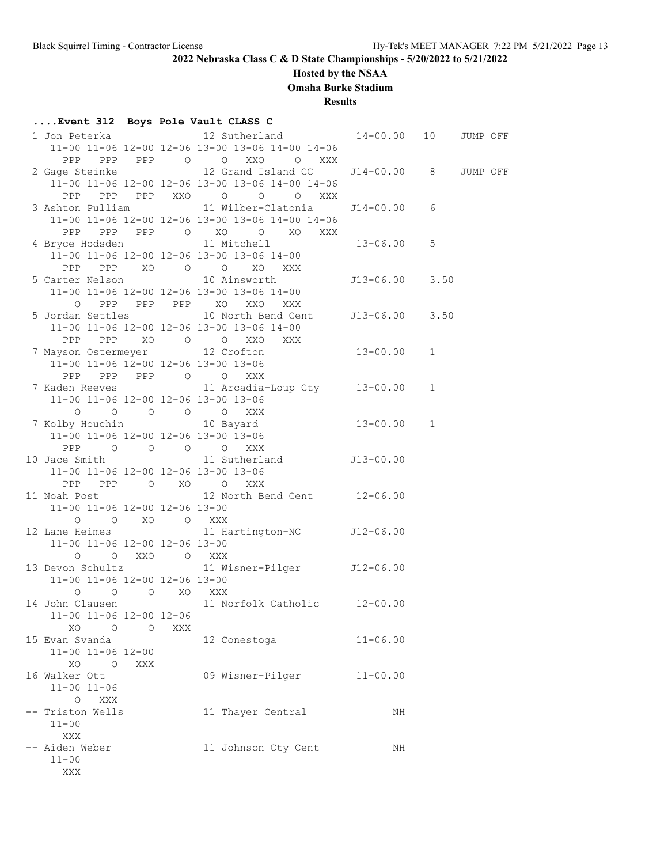# **Hosted by the NSAA**

**Omaha Burke Stadium**

**Results**

# **....Event 312 Boys Pole Vault CLASS C**

|                                                    |     | 11-00 11-06 12-00 12-06 13-00 13-06 14-00 14-06                     |                |          |  |
|----------------------------------------------------|-----|---------------------------------------------------------------------|----------------|----------|--|
| PPP                                                |     | PPP PPP 0 0 XXO 0 XXX                                               |                |          |  |
|                                                    |     | 2 Gage Steinke 12 Grand Island CC 514-00.00 8                       |                | JUMP OFF |  |
|                                                    |     | 11-00 11-06 12-00 12-06 13-00 13-06 14-00 14-06                     |                |          |  |
| PPP                                                |     | PPP PPP XXO O O O XXX                                               |                |          |  |
|                                                    |     |                                                                     |                |          |  |
|                                                    |     | 11-00 11-06 12-00 12-06 13-00 13-06 14-00 14-06                     |                |          |  |
| PPP                                                |     | PPP PPP 0 XO 0 XO XXX                                               |                |          |  |
|                                                    |     | 4 Bryce Hodsden 11 Mitchell 13-06.00 5                              |                |          |  |
|                                                    |     | 11-00 11-06 12-00 12-06 13-00 13-06 14-00                           |                |          |  |
|                                                    |     |                                                                     |                |          |  |
|                                                    |     | PPP PPP XO O O XO XXX                                               | J13-06.00 3.50 |          |  |
|                                                    |     | 5 Carter Nelson 10 Ainsworth                                        |                |          |  |
|                                                    |     | 11-00 11-06 12-00 12-06 13-00 13-06 14-00                           |                |          |  |
| $\circ$                                            |     | PPP PPP PPP XO XXO XXX                                              |                |          |  |
|                                                    |     | 5 Jordan Settles 10 North Bend Cent J13-06.00 3.50                  |                |          |  |
|                                                    |     | 11-00 11-06 12-00 12-06 13-00 13-06 14-00                           |                |          |  |
|                                                    |     |                                                                     |                |          |  |
|                                                    |     | PPP PPP XO O O XXO XXX<br>7 Mayson Ostermeyer 12 Crofton 13-00.00 1 |                |          |  |
|                                                    |     | $11-00$ $11-06$ $12-00$ $12-06$ $13-00$ $13-06$                     |                |          |  |
| PPP                                                |     | PPP PPP 0 0 XXX                                                     |                |          |  |
|                                                    |     | 7 Kaden Reeves 11 Arcadia-Loup Cty 13-00.00 1                       |                |          |  |
| 11-00 11-06 12-00 12-06 13-00 13-06                |     |                                                                     |                |          |  |
|                                                    |     |                                                                     |                |          |  |
|                                                    |     | 0 0 0 0 0 0 XXX<br>7 Kolby Houchin 10 Bayard 13-00.00 1             |                |          |  |
| 11-00 11-06 12-00 12-06 13-00 13-06                |     |                                                                     |                |          |  |
| PPP 0 0 0 0 XXX                                    |     |                                                                     |                |          |  |
|                                                    |     | 10 Jace Smith 11 Sutherland J13-00.00                               |                |          |  |
| 11-00 11-06 12-00 12-06 13-00 13-06                |     |                                                                     |                |          |  |
|                                                    |     |                                                                     |                |          |  |
| PPP PPP 0 XO 0 XXX                                 |     | 11 Noah Post 12 North Bend Cent 12-06.00                            |                |          |  |
|                                                    |     |                                                                     |                |          |  |
| 11-00 11-06 12-00 12-06 13-00                      |     |                                                                     |                |          |  |
| $\begin{matrix} 0 & 0 & X0 & 0 & XXX \end{matrix}$ |     |                                                                     |                |          |  |
|                                                    |     | 12 Lane Heimes 11 Hartington-NC J12-06.00                           |                |          |  |
| 11-00 11-06 12-00 12-06 13-00                      |     |                                                                     |                |          |  |
| O O XXO O XXX                                      |     |                                                                     |                |          |  |
|                                                    |     | 13 Devon Schultz 11 Wisner-Pilger 512-06.00                         |                |          |  |
| 11-00 11-06 12-00 12-06 13-00                      |     |                                                                     |                |          |  |
| 0 0 0 XO XXX                                       |     |                                                                     |                |          |  |
|                                                    |     | 14 John Clausen 11 Norfolk Catholic 12-00.00                        |                |          |  |
| 11-00 11-06 12-00 12-06                            |     |                                                                     |                |          |  |
| XO O<br>$\circ$                                    | XXX |                                                                     |                |          |  |
| 15 Evan Svanda                                     |     | 12 Conestoga                                                        | $11 - 06.00$   |          |  |
| 11-00 11-06 12-00                                  |     |                                                                     |                |          |  |
| XO O<br>XXX                                        |     |                                                                     |                |          |  |
| 16 Walker Ott                                      |     | 09 Wisner-Pilger                                                    | $11 - 00.00$   |          |  |
| $11 - 00$ $11 - 06$                                |     |                                                                     |                |          |  |
| O XXX                                              |     |                                                                     |                |          |  |
| -- Triston Wells                                   |     | 11 Thayer Central                                                   | ΝH             |          |  |
|                                                    |     |                                                                     |                |          |  |
| $11 - 00$                                          |     |                                                                     |                |          |  |
| XXX                                                |     |                                                                     |                |          |  |
| -- Aiden Weber                                     |     | 11 Johnson Cty Cent                                                 | ΝH             |          |  |
| $11 - 00$                                          |     |                                                                     |                |          |  |
| XXX                                                |     |                                                                     |                |          |  |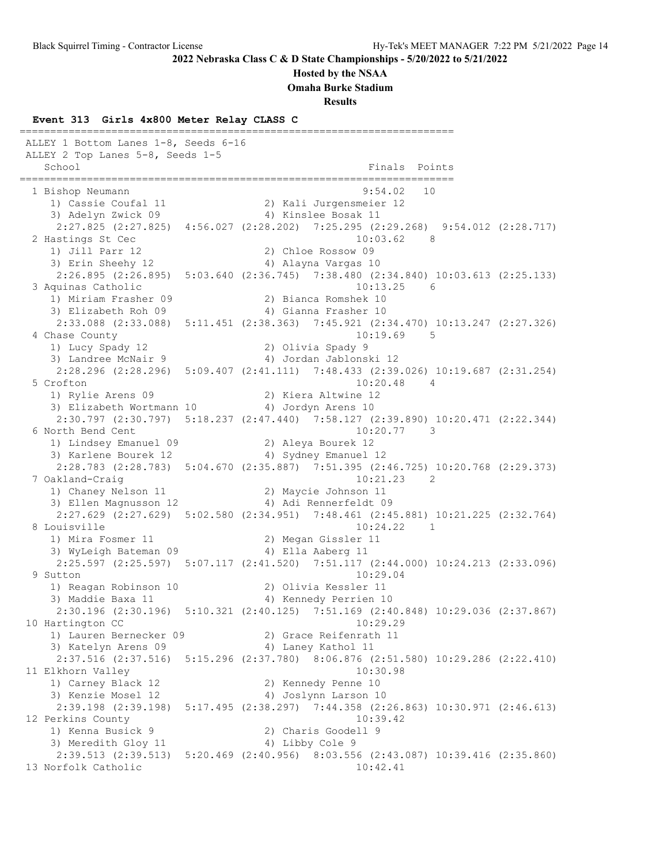**Hosted by the NSAA**

**Omaha Burke Stadium**

**Results**

## **Event 313 Girls 4x800 Meter Relay CLASS C**

======================================================================= ALLEY 1 Bottom Lanes 1-8, Seeds 6-16 ALLEY 2 Top Lanes 5-8, Seeds 1-5 School **Finals** Points **Points** ======================================================================= 1 Bishop Neumann 9:54.02 10 1) Cassie Coufal 11 2) Kali Jurgensmeier 12 3) Adelyn Zwick 09 4) Kinslee Bosak 11 2:27.825 (2:27.825) 4:56.027 (2:28.202) 7:25.295 (2:29.268) 9:54.012 (2:28.717) 2 Hastings St Cec 10:03.62 8 1) Jill Parr 12 2) Chloe Rossow 09 3) Erin Sheehy 12 4) Alayna Vargas 10 2:26.895 (2:26.895) 5:03.640 (2:36.745) 7:38.480 (2:34.840) 10:03.613 (2:25.133) 3 Aquinas Catholic 10:13.25 6 1) Miriam Frasher 09 2) Bianca Romshek 10 3) Elizabeth Roh 09 1988 1998 1999 10 4) Gianna Frasher 2:33.088 (2:33.088) 5:11.451 (2:38.363) 7:45.921 (2:34.470) 10:13.247 (2:27.326) 4 Chase County 10:19.69 5 1) Lucy Spady 12 2) Olivia Spady 9 3) Landree McNair 9 4) Jordan Jablonski 12 2:28.296 (2:28.296) 5:09.407 (2:41.111) 7:48.433 (2:39.026) 10:19.687 (2:31.254) 5 Crofton 10:20.48 4<br>1) Rylie Arens 09 2) Kiera Altwine 12 1) Rylie Arens 09 2) Kiera Altwine 12 3) Elizabeth Wortmann 10 4) Jordyn Arens 10 2:30.797 (2:30.797) 5:18.237 (2:47.440) 7:58.127 (2:39.890) 10:20.471 (2:22.344) 6 North Bend Cent 10:20.77 3 1) Lindsey Emanuel 09 2) Aleya Bourek 12 3) Karlene Bourek 12 4) Sydney Emanuel 12 2:28.783 (2:28.783) 5:04.670 (2:35.887) 7:51.395 (2:46.725) 10:20.768 (2:29.373) 7 Oakland-Craig 10:21.23 2 1) Chaney Nelson 11 2) Maycie Johnson 11 3) Ellen Magnusson 12 4) Adi Rennerfeldt 09 2:27.629 (2:27.629) 5:02.580 (2:34.951) 7:48.461 (2:45.881) 10:21.225 (2:32.764) 8 Louisville 10:24.22 1<br>1) Mira Fosmer 11 2) Megan Gissler 11 1) Mira Fosmer 11 2) Megan Gissler 11 3) WyLeigh Bateman 09 4) Ella Aaberg 11 2:25.597 (2:25.597) 5:07.117 (2:41.520) 7:51.117 (2:44.000) 10:24.213 (2:33.096) 9 Sutton 10:29.04 1) Reagan Robinson 10 2) Olivia Kessler 11 3) Maddie Baxa 11 4) Kennedy Perrien 10 2:30.196 (2:30.196) 5:10.321 (2:40.125) 7:51.169 (2:40.848) 10:29.036 (2:37.867)<br>artington CC 10:29.29 10 Hartington CC 1) Lauren Bernecker 09 2) Grace Reifenrath 11 3) Katelyn Arens 09 4) Laney Kathol 11 2:37.516 (2:37.516) 5:15.296 (2:37.780) 8:06.876 (2:51.580) 10:29.286 (2:22.410) 11 Elkhorn Valley 2012 10:30.98 1) Carney Black 12 2) Kennedy Penne 10 3) Kenzie Mosel 12 4) Joslynn Larson 10 2:39.198 (2:39.198) 5:17.495 (2:38.297) 7:44.358 (2:26.863) 10:30.971 (2:46.613) 12 Perkins County 10:39.42 1) Kenna Busick 9 2) Charis Goodell 9 3) Meredith Gloy 11 4) Libby Cole 9 2:39.513 (2:39.513) 5:20.469 (2:40.956) 8:03.556 (2:43.087) 10:39.416 (2:35.860) 13 Norfolk Catholic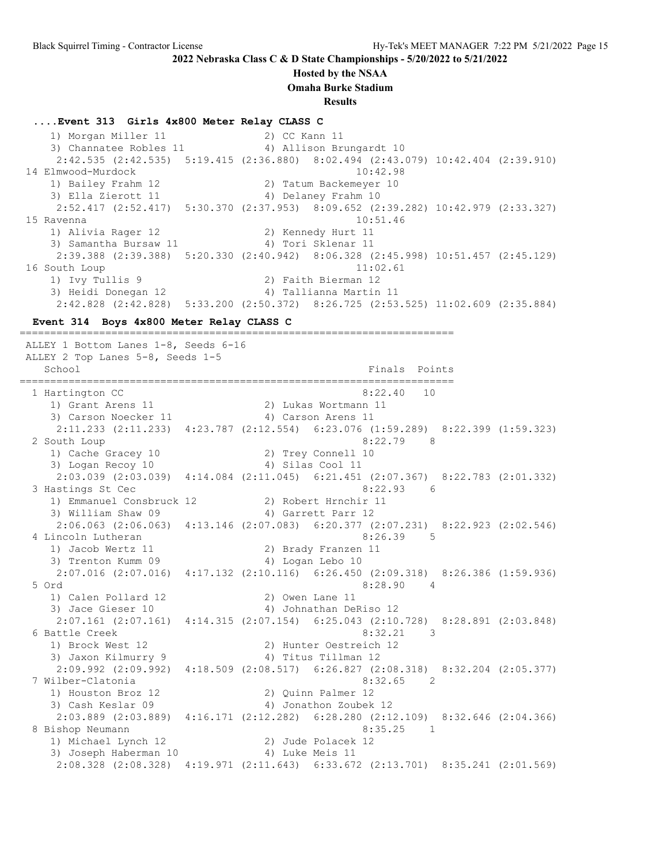#### **Hosted by the NSAA**

**Omaha Burke Stadium**

**Results**

#### **....Event 313 Girls 4x800 Meter Relay CLASS C**

1) Morgan Miller 11 2) CC Kann 11 3) Channatee Robles 11 4) Allison Brungardt 10 2:42.535 (2:42.535) 5:19.415 (2:36.880) 8:02.494 (2:43.079) 10:42.404 (2:39.910) 14 Elmwood-Murdock 10:42.98 1) Bailey Frahm 12 2) Tatum Backemeyer 10 3) Ella Zierott 11 (4) Delaney Frahm 10 2:52.417 (2:52.417) 5:30.370 (2:37.953) 8:09.652 (2:39.282) 10:42.979 (2:33.327) 15 Ravenna 10:51.46 1) Alivia Rager 12 2) Kennedy Hurt 11 3) Samantha Bursaw 11  $\hspace{1cm}$  4) Tori Sklenar 11 2:39.388 (2:39.388) 5:20.330 (2:40.942) 8:06.328 (2:45.998) 10:51.457 (2:45.129) 16 South Loup 11:02.61 1) Ivy Tullis 9 2) Faith Bierman 12 3) Heidi Donegan 12 4) Tallianna Martin 11 2:42.828 (2:42.828) 5:33.200 (2:50.372) 8:26.725 (2:53.525) 11:02.609 (2:35.884)

=======================================================================

#### **Event 314 Boys 4x800 Meter Relay CLASS C**

 ALLEY 1 Bottom Lanes 1-8, Seeds 6-16 ALLEY 2 Top Lanes 5-8, Seeds 1-5 School Finals Points Points and the School Finals Points Points Points Points Points Points Points Points Points Points Points Points Points Points Points Points Points Points Points Points Points Points Points Points Poin ======================================================================= 1 Hartington CC 8:22.40 10 1) Grant Arens 11 2) Lukas Wortmann 11 3) Carson Noecker 11 (4) 4 Australian 4 Australian 4 Australian 4 Australian 4 Australian 4 Australian 4 Australia 2:11.233 (2:11.233) 4:23.787 (2:12.554) 6:23.076 (1:59.289) 8:22.399 (1:59.323) 2 South Loup 8:22.79 8 1) Cache Gracey 10 2) Trey Connell 10 3) Logan Recoy 10 (4) Silas Cool 11 2:03.039 (2:03.039) 4:14.084 (2:11.045) 6:21.451 (2:07.367) 8:22.783 (2:01.332) 3 Hastings St Cec 8:22.93 6 1) Emmanuel Consbruck 12 2) Robert Hrnchir 11 3) William Shaw 09 4) Garrett Parr 12 2:06.063 (2:06.063) 4:13.146 (2:07.083) 6:20.377 (2:07.231) 8:22.923 (2:02.546) 4 Lincoln Lutheran 8:26.39 5 1) Jacob Wertz 11 2) Brady Franzen 11 3) Trenton Kumm 09 (4) Logan Lebo 10 2:07.016 (2:07.016) 4:17.132 (2:10.116) 6:26.450 (2:09.318) 8:26.386 (1:59.936) 5 Ord 8:28.90 4 1) Calen Pollard 12 2) Owen Lane 11 3) Jace Gieser 10 4) Johnathan DeRiso 12 2:07.161 (2:07.161) 4:14.315 (2:07.154) 6:25.043 (2:10.728) 8:28.891 (2:03.848) 6 Battle Creek 8:32.21 3 1) Brock West 12 2) Hunter Oestreich 12 3) Jaxon Kilmurry 9  $\hskip1cm$  4) Titus Tillman 12 2:09.992 (2:09.992) 4:18.509 (2:08.517) 6:26.827 (2:08.318) 8:32.204 (2:05.377) 7 Wilber-Clatonia 8:32.65 2 1) Houston Broz 12 2) Quinn Palmer 12 3) Cash Keslar 09 4) Jonathon Zoubek 12 2:03.889 (2:03.889) 4:16.171 (2:12.282) 6:28.280 (2:12.109) 8:32.646 (2:04.366) 8 Bishop Neumann ann an 1972 ann an 1972. Is an 1972 ann an 1972 an 1972 an 1972. Is an 1972 an 1972 an 1972 an 197 1) Michael Lynch 12 2) Jude Polacek 12 3) Joseph Haberman 10  $\hskip1cm$  4) Luke Meis 11 2:08.328 (2:08.328) 4:19.971 (2:11.643) 6:33.672 (2:13.701) 8:35.241 (2:01.569)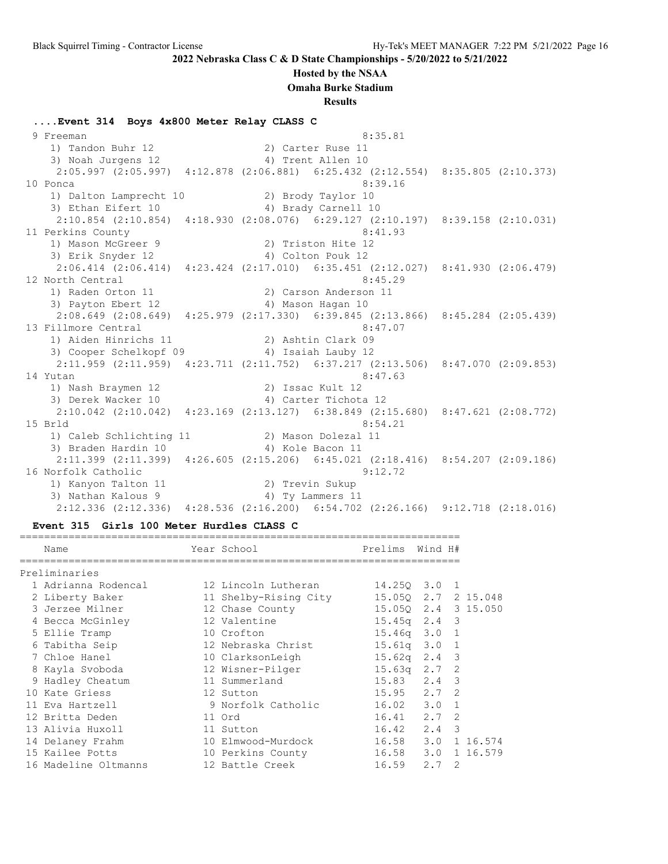#### **Hosted by the NSAA**

**Omaha Burke Stadium**

**Results**

**....Event 314 Boys 4x800 Meter Relay CLASS C** 9 Freeman 8:35.81 1) Tandon Buhr 12 2) Carter Ruse 11 3) Noah Jurgens 12 4) Trent Allen 10 2:05.997 (2:05.997) 4:12.878 (2:06.881) 6:25.432 (2:12.554) 8:35.805 (2:10.373) 10 Ponca 8:39.16 1) Dalton Lamprecht 10 2) Brody Taylor 10 3) Ethan Eifert 10 4) Brady Carnell 10 2:10.854 (2:10.854) 4:18.930 (2:08.076) 6:29.127 (2:10.197) 8:39.158 (2:10.031) 11 Perkins County 8:41.93 1) Mason McGreer 9 2) Triston Hite 12 3) Erik Snyder 12 4) Colton Pouk 12 2:06.414 (2:06.414) 4:23.424 (2:17.010) 6:35.451 (2:12.027) 8:41.930 (2:06.479) 12 North Central 8:45.29<br>1) Raden Orton 11 (2) Carson Anderson 11 1) Raden Orton 11 2) Carson Anderson 11 3) Payton Ebert 12 4) Mason Hagan 10 2:08.649 (2:08.649) 4:25.979 (2:17.330) 6:39.845 (2:13.866) 8:45.284 (2:05.439) 13 Fillmore Central 8:47.07 1) Aiden Hinrichs 11 2) Ashtin Clark 09 3) Cooper Schelkopf 09  $\hspace{1cm}$  4) Isaiah Lauby 12 2:11.959 (2:11.959) 4:23.711 (2:11.752) 6:37.217 (2:13.506) 8:47.070 (2:09.853) 14 Yutan 8:47.63 1) Nash Braymen 12 2) Issac Kult 12 3) Derek Wacker 10 <a>> 4) Carter Tichota<br/> 12 2:10.042 (2:10.042) 4:23.169 (2:13.127) 6:38.849 (2:15.680) 8:47.621 (2:08.772) 15 Brld 8:54.21 1) Caleb Schlichting 11 2) Mason Dolezal 11 3) Braden Hardin 10 (4) 4) Kole Bacon 11 2:11.399 (2:11.399) 4:26.605 (2:15.206) 6:45.021 (2:18.416) 8:54.207 (2:09.186) 16 Norfolk Catholic 9:12.72 1) Kanyon Talton 11 2) Trevin Sukup 3) Nathan Kalous 9 4) Ty Lammers 11 2:12.336 (2:12.336) 4:28.536 (2:16.200) 6:54.702 (2:26.166) 9:12.718 (2:18.016)

#### **Event 315 Girls 100 Meter Hurdles CLASS C**

| Name |                                                                                                                                                                                                                                                                                                                                      | Prelims                                                                                                                                                                                                                                                                |                       |                                                                                                                                                                                                                                                                                                                                                  |
|------|--------------------------------------------------------------------------------------------------------------------------------------------------------------------------------------------------------------------------------------------------------------------------------------------------------------------------------------|------------------------------------------------------------------------------------------------------------------------------------------------------------------------------------------------------------------------------------------------------------------------|-----------------------|--------------------------------------------------------------------------------------------------------------------------------------------------------------------------------------------------------------------------------------------------------------------------------------------------------------------------------------------------|
|      |                                                                                                                                                                                                                                                                                                                                      |                                                                                                                                                                                                                                                                        |                       |                                                                                                                                                                                                                                                                                                                                                  |
|      |                                                                                                                                                                                                                                                                                                                                      |                                                                                                                                                                                                                                                                        |                       |                                                                                                                                                                                                                                                                                                                                                  |
|      |                                                                                                                                                                                                                                                                                                                                      |                                                                                                                                                                                                                                                                        |                       |                                                                                                                                                                                                                                                                                                                                                  |
|      |                                                                                                                                                                                                                                                                                                                                      |                                                                                                                                                                                                                                                                        |                       |                                                                                                                                                                                                                                                                                                                                                  |
|      |                                                                                                                                                                                                                                                                                                                                      |                                                                                                                                                                                                                                                                        |                       |                                                                                                                                                                                                                                                                                                                                                  |
|      |                                                                                                                                                                                                                                                                                                                                      |                                                                                                                                                                                                                                                                        |                       |                                                                                                                                                                                                                                                                                                                                                  |
|      |                                                                                                                                                                                                                                                                                                                                      |                                                                                                                                                                                                                                                                        |                       |                                                                                                                                                                                                                                                                                                                                                  |
|      |                                                                                                                                                                                                                                                                                                                                      |                                                                                                                                                                                                                                                                        |                       |                                                                                                                                                                                                                                                                                                                                                  |
|      |                                                                                                                                                                                                                                                                                                                                      |                                                                                                                                                                                                                                                                        |                       |                                                                                                                                                                                                                                                                                                                                                  |
|      |                                                                                                                                                                                                                                                                                                                                      |                                                                                                                                                                                                                                                                        |                       |                                                                                                                                                                                                                                                                                                                                                  |
|      |                                                                                                                                                                                                                                                                                                                                      |                                                                                                                                                                                                                                                                        |                       |                                                                                                                                                                                                                                                                                                                                                  |
|      |                                                                                                                                                                                                                                                                                                                                      |                                                                                                                                                                                                                                                                        |                       |                                                                                                                                                                                                                                                                                                                                                  |
|      |                                                                                                                                                                                                                                                                                                                                      |                                                                                                                                                                                                                                                                        |                       |                                                                                                                                                                                                                                                                                                                                                  |
|      |                                                                                                                                                                                                                                                                                                                                      |                                                                                                                                                                                                                                                                        |                       |                                                                                                                                                                                                                                                                                                                                                  |
|      |                                                                                                                                                                                                                                                                                                                                      |                                                                                                                                                                                                                                                                        |                       |                                                                                                                                                                                                                                                                                                                                                  |
|      |                                                                                                                                                                                                                                                                                                                                      |                                                                                                                                                                                                                                                                        |                       |                                                                                                                                                                                                                                                                                                                                                  |
|      |                                                                                                                                                                                                                                                                                                                                      |                                                                                                                                                                                                                                                                        |                       |                                                                                                                                                                                                                                                                                                                                                  |
|      | Preliminaries<br>1 Adrianna Rodencal<br>2 Liberty Baker<br>3 Jerzee Milner<br>4 Becca McGinley<br>5 Ellie Tramp<br>6 Tabitha Seip<br>7 Chloe Hanel<br>8 Kayla Svoboda<br>9 Hadley Cheatum<br>10 Kate Griess<br>11 Eva Hartzell<br>12 Britta Deden<br>13 Alivia Huxoll<br>14 Delaney Frahm<br>15 Kailee Potts<br>16 Madeline Oltmanns | Year School<br>12 Lincoln Lutheran<br>12 Chase County<br>12 Valentine<br>10 Crofton<br>12 Nebraska Christ<br>10 ClarksonLeigh<br>11 Summerland<br>12 Sutton<br>9 Norfolk Catholic<br>11 Ord<br>11 Sutton<br>10 Elmwood-Murdock<br>10 Perkins County<br>12 Battle Creek | 11 Shelby-Rising City | Wind H#<br>14.250 3.0 1<br>15.050 2.7 2 15.048<br>15.05Q 2.4 3 15.050<br>$15.45q$ $2.4$ 3<br>$15.46q$ $3.0$ 1<br>$15.61q$ $3.0$ 1<br>$15.62q$ 2.4 3<br>12 Wisner-Pilger 15.63q 2.7 2<br>15.83 2.4 3<br>$15.95$ $2.7$ 2<br>$16.02$ $3.0$ 1<br>$16.41$ $2.7$ 2<br>$16.42 \t2.4 \t3$<br>16.58 3.0 1 16.574<br>16.58 3.0 1 16.579<br>$16.59$ $2.7$ 2 |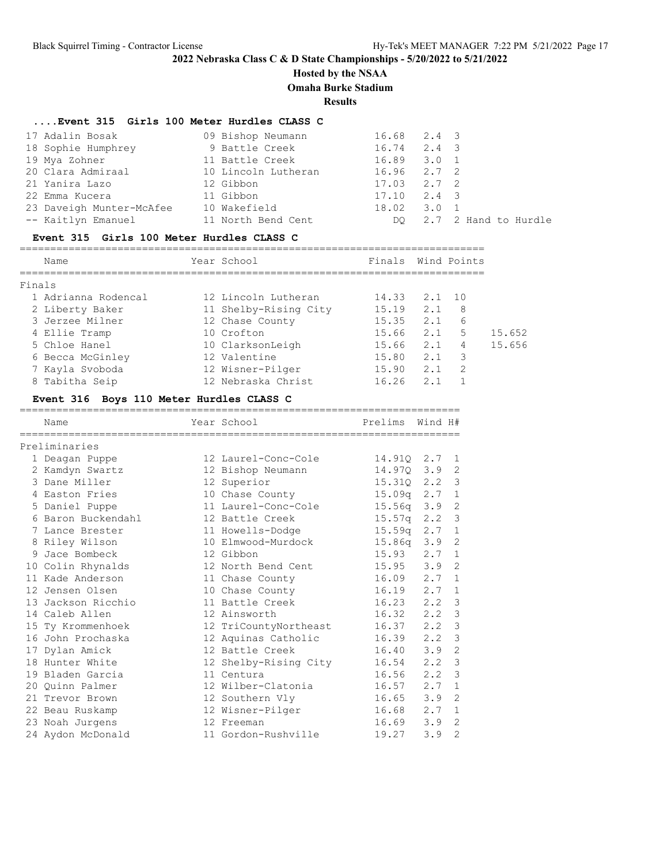# **Hosted by the NSAA**

**Omaha Burke Stadium**

**Results**

## **....Event 315 Girls 100 Meter Hurdles CLASS C**

| 17 Adalin Bosak          |                     | $16.68$ $2.4$ 3 |                         |
|--------------------------|---------------------|-----------------|-------------------------|
|                          | 09 Bishop Neumann   |                 |                         |
| 18 Sophie Humphrey       | 9 Battle Creek      | $16.74$ $2.4$ 3 |                         |
| 19 Mya Zohner            | 11 Battle Creek     | $16.89$ $3.0$ 1 |                         |
| 20 Clara Admiraal        | 10 Lincoln Lutheran | $16.96$ $2.7$ 2 |                         |
| 21 Yanira Lazo           | 12 Gibbon           | $17.03$ $2.7$ 2 |                         |
| 22 Emma Kucera           | 11 Gibbon           | $17.10$ $2.4$ 3 |                         |
| 23 Daveigh Munter-McAfee | 10 Wakefield        | $18.02$ $3.0$ 1 |                         |
| -- Kaitlyn Emanuel       | 11 North Bend Cent  |                 | DO 2.7 2 Hand to Hurdle |
|                          |                     |                 |                         |

#### **Event 315 Girls 100 Meter Hurdles CLASS C**

|        | Name                | Year School           | Finals Wind Points |     |               |        |
|--------|---------------------|-----------------------|--------------------|-----|---------------|--------|
| Finals |                     |                       |                    |     |               |        |
|        | 1 Adrianna Rodencal | 12 Lincoln Lutheran   | 14.33              | 2.1 | 1 O           |        |
|        | 2 Liberty Baker     | 11 Shelby-Rising City | 15.19              | 2.1 | 8             |        |
|        | 3 Jerzee Milner     | 12 Chase County       | 15.35              | 2.1 | 6             |        |
|        | 4 Ellie Tramp       | 10 Crofton            | 15.66              | 2.1 | .5            | 15.652 |
|        | 5 Chloe Hanel       | 10 ClarksonLeigh      | 15.66              | 2.1 | 4             | 15.656 |
|        | 6 Becca McGinley    | 12 Valentine          | 15.80              | 2.1 | 3             |        |
|        | 7 Kayla Svoboda     | 12 Wisner-Pilger      | 15.90              | 2.1 | $\mathcal{D}$ |        |
|        | 8 Tabitha Seip      | 12 Nebraska Christ    | 16.26              | 2.1 |               |        |

## **Event 316 Boys 110 Meter Hurdles CLASS C**

| ===========================<br>Name | Year School           | -------------------------------<br>Prelims | Wind H#     |                |
|-------------------------------------|-----------------------|--------------------------------------------|-------------|----------------|
| Preliminaries                       |                       |                                            |             |                |
| 1 Deagan Puppe                      | 12 Laurel-Conc-Cole   | 14.910 2.7                                 |             | -1             |
| 2 Kamdyn Swartz                     | 12 Bishop Neumann     | 14.97Q                                     | 3.9         | 2              |
| 3 Dane Miller                       | 12 Superior           | 15.310                                     | 2, 2        | 3              |
| 4 Easton Fries                      | 10 Chase County       | 15.09q                                     | 2.7         | 1              |
| 5 Daniel Puppe                      | 11 Laurel-Conc-Cole   | 15.56q                                     | 3.9         | 2              |
| 6 Baron Buckendahl                  | 12 Battle Creek       | 15.57q                                     | $2 \cdot 2$ | 3              |
| 7 Lance Brester                     | 11 Howells-Dodge      | 15 <b>.</b> 59a                            | 2.7         | 1              |
| 8 Riley Wilson                      | 10 Elmwood-Murdock    | 15.86q                                     | 3.9         | 2              |
| 9 Jace Bombeck                      | 12 Gibbon             | 15.93                                      | 2.7         | 1              |
| 10 Colin Rhynalds                   | 12 North Bend Cent    | $15.95$ $3.9$                              |             | 2              |
| 11 Kade Anderson                    | 11 Chase County       | 16.09                                      | 2.7         | 1              |
| 12 Jensen Olsen                     | 10 Chase County       | 16.19                                      | 2.7         | 1              |
| 13 Jackson Ricchio                  | 11 Battle Creek       | 16.23                                      | 2.2         | 3              |
| 14 Caleb Allen                      | 12 Ainsworth          | 16.32                                      | 2, 2        | 3              |
| 15 Ty Krommenhoek                   | 12 TriCountyNortheast | 16.37                                      | 2.2         | 3              |
| 16 John Prochaska                   | 12 Aquinas Catholic   | 16.39                                      | 2, 2        | 3              |
| 17 Dylan Amick                      | 12 Battle Creek       | 16.40                                      | 3.9         | $\overline{2}$ |
| 18 Hunter White                     | 12 Shelby-Rising City | 16.54                                      | 2.2         | 3              |
| 19 Bladen Garcia                    | 11 Centura            | 16.56                                      | 2, 2        | 3              |
| 20 Quinn Palmer                     | 12 Wilber-Clatonia    | 16.57                                      | 2.7         | $\mathbf{1}$   |
| 21 Trevor Brown                     | 12 Southern Vly       | 16.65                                      | 3.9         | 2              |
| 22 Beau Ruskamp                     | 12 Wisner-Pilger      | 16.68                                      | 2.7         | $\mathbf{1}$   |
| 23 Noah Jurgens                     | 12 Freeman            | 16.69                                      | 3.9         | $\overline{2}$ |
| 24 Aydon McDonald                   | 11 Gordon-Rushville   | 19.27                                      | 3.9         | $\overline{2}$ |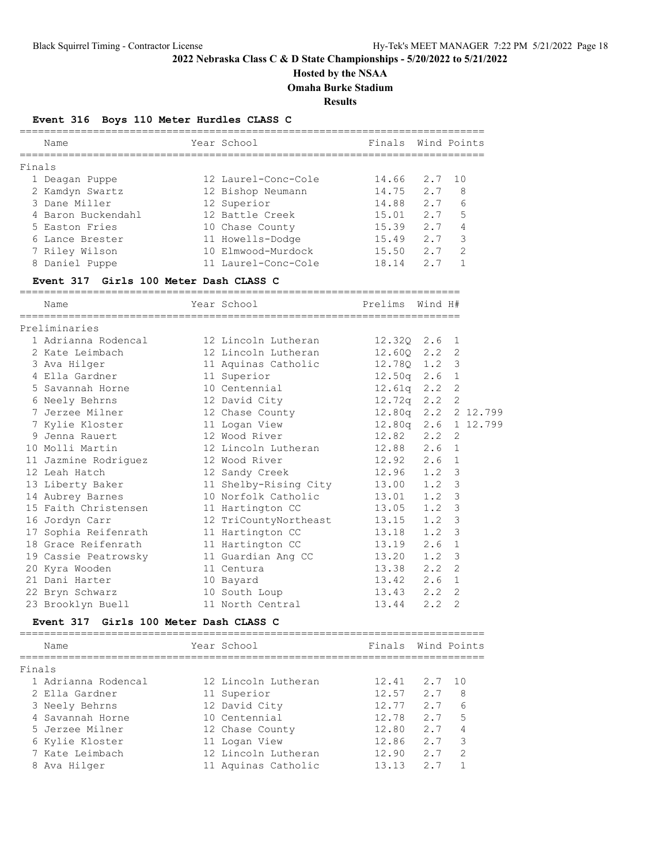# **Hosted by the NSAA**

**Omaha Burke Stadium**

**Results**

## **Event 316 Boys 110 Meter Hurdles CLASS C**

|        | Name                                   | Year School                     | Finals Wind Points |     |                     |
|--------|----------------------------------------|---------------------------------|--------------------|-----|---------------------|
| Finals |                                        |                                 |                    |     |                     |
|        | 1 Deagan Puppe                         | 12 Laurel-Conc-Cole             | 14.66 2.7          |     | 10                  |
|        | 2 Kamdyn Swartz                        | 12 Bishop Neumann               | 14.75 2.7          |     | 8                   |
|        | 3 Dane Miller                          | 12 Superior                     | 14.88 2.7          |     | 6                   |
|        | 4 Baron Buckendahl                     | 12 Battle Creek                 | 15.01 2.7          |     | 5                   |
|        | 5 Easton Fries                         | 10 Chase County                 | 15.39 2.7          |     | $\overline{4}$      |
|        | 6 Lance Brester                        | 11 Howells-Dodge                | 15.49 2.7          |     | 3                   |
|        | 7 Riley Wilson                         | 10 Elmwood-Murdock              | 15.50 2.7          |     | -2                  |
|        | 8 Daniel Puppe                         | 11 Laurel-Conc-Cole 18.14 2.7 1 |                    |     |                     |
|        | Event 317 Girls 100 Meter Dash CLASS C |                                 |                    |     |                     |
|        | Name                                   | Year School                     | Prelims Wind H#    |     |                     |
|        | Preliminaries                          |                                 |                    |     |                     |
|        | 1 Adrianna Rodencal                    | 12 Lincoln Lutheran             | 12.320 2.6         |     | 1                   |
|        | 2 Kate Leimbach                        | 12 Lincoln Lutheran             | 12.60Q 2.2         |     | 2                   |
|        | 3 Ava Hilger                           | 11 Aquinas Catholic             | 12.780 1.2         |     | 3                   |
|        | 4 Ella Gardner                         | 11 Superior                     | 12.50q 2.6 1       |     |                     |
|        | 5 Savannah Horne                       | 10 Centennial                   | $12.61q$ $2.2$     |     | 2                   |
|        | 6 Neely Behrns                         | 12 David City                   | 12.72q 2.2         |     | 2                   |
|        | 7 Jerzee Milner                        | 12 Chase County                 |                    |     | 12.80q 2.2 2 12.799 |
|        | 7 Kylie Kloster                        | 11 Logan View                   |                    |     | 12.80q 2.6 1 12.799 |
|        | 9 Jenna Rauert                         | 12 Wood River                   | 12.82 2.2          |     | 2                   |
|        | 10 Molli Martin                        | 12 Lincoln Lutheran             | 12.88 2.6          |     | $\mathbf{1}$        |
|        | 11 Jazmine Rodriguez                   | 12 Wood River                   | 12.92 2.6          |     | $\mathbf{1}$        |
|        | 12 Leah Hatch                          | 12 Sandy Creek                  | $12.96$ $1.2$      |     | 3                   |
|        | 13 Liberty Baker                       | 11 Shelby-Rising City 13.00     |                    | 1.2 | 3                   |
|        | 14 Aubrey Barnes                       | 10 Norfolk Catholic             | $13.01$ 1.2        |     | 3                   |
|        | 15 Faith Christensen                   | 11 Hartington CC                | $13.05$ $1.2$      |     | 3                   |
|        | 16 Jordyn Carr                         | 12 TriCountyNortheast           | 13.15              | 1.2 | 3                   |
|        | 17 Sophia Reifenrath                   | 11 Hartington CC                | $13.18$ 1.2        |     | 3                   |
|        | 18 Grace Reifenrath                    | 11 Hartington CC                | 13.19 2.6          |     | $\mathbf 1$         |
|        | 19 Cassie Peatrowsky                   | 11 Guardian Ang CC              | 13.20              | 1.2 | 3                   |
|        | 20 Kyra Wooden                         | 11 Centura                      | 13.38 2.2          |     | $\overline{2}$      |
|        | 21 Dani Harter                         | 10 Bayard                       | $13.42$ $2.6$      |     | $\mathbf{1}$        |
|        | 22 Bryn Schwarz                        | 10 South Loup                   | 13.43 2.2          |     | $\overline{2}$      |
|        | 23 Brooklyn Buell                      | 11 North Central                | 13.44 2.2          |     | $\overline{2}$      |
|        | Event 317 Girls 100 Meter Dash CLASS C |                                 |                    |     |                     |
|        | Name                                   | Year School                     | Finals Wind Points |     |                     |

| Finals |                     |                     |       |        |                          |
|--------|---------------------|---------------------|-------|--------|--------------------------|
|        | 1 Adrianna Rodencal | 12 Lincoln Lutheran | 12.41 | 2.7 10 |                          |
|        | 2 Ella Gardner      | 11 Superior         | 12.57 | 2.7    | 8                        |
|        | 3 Neely Behrns      | 12 David City       | 12.77 | 2.7    | 6                        |
|        | 4 Savannah Horne    | 10 Centennial       | 12.78 | 2.7    | -5                       |
|        | 5 Jerzee Milner     | 12 Chase County     | 12.80 | 2.7    | 4                        |
|        | 6 Kylie Kloster     | 11 Logan View       | 12.86 | 2.7    | $\overline{\phantom{a}}$ |
|        | 7 Kate Leimbach     | 12 Lincoln Lutheran | 12.90 | 2.7    | $\mathcal{P}$            |
|        | 8 Ava Hilger        | 11 Aquinas Catholic | 13.13 | 2.7    |                          |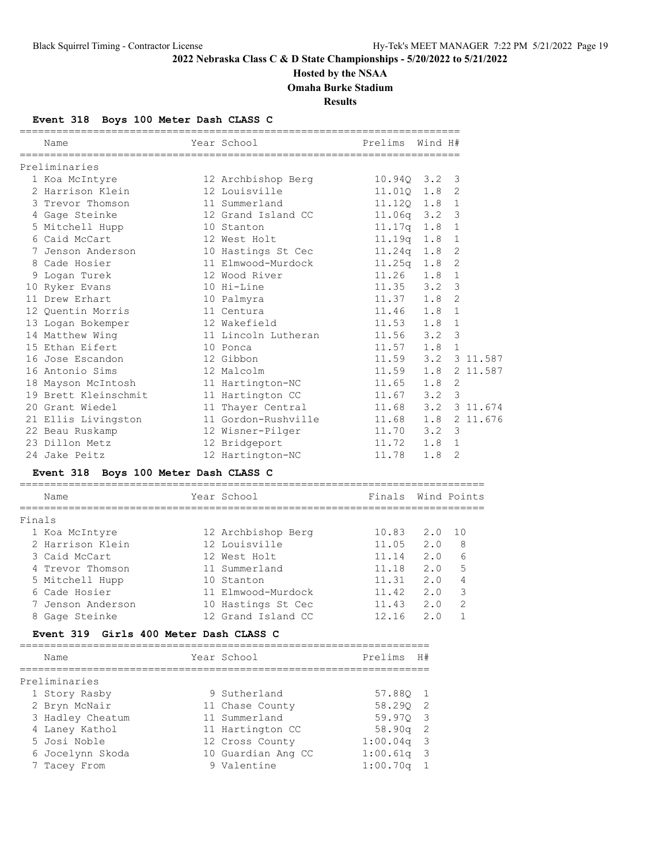# **Hosted by the NSAA**

**Omaha Burke Stadium**

**Results**

## **Event 318 Boys 100 Meter Dash CLASS C**

| Name                                  | Year School Search            | Prelims            | Wind H#     |                |          |
|---------------------------------------|-------------------------------|--------------------|-------------|----------------|----------|
| Preliminaries                         |                               |                    |             |                |          |
| 1 Koa McIntyre                        | 12 Archbishop Berg            | $10.94Q$ $3.2$     |             | 3              |          |
| 2 Harrison Klein                      | 12 Louisville                 | $11.010 \quad 1.8$ |             | $\overline{c}$ |          |
| 3 Trevor Thomson                      | 11 Summerland                 | 11.120 1.8         |             | $\mathbf{1}$   |          |
| 4 Gage Steinke                        | 12 Grand Island CC            | $11.06q$ $3.2$     |             | 3              |          |
| 5 Mitchell Hupp                       | 10 Stanton                    | $11.17q$ $1.8$     |             | $\mathbf{1}$   |          |
| 6 Caid McCart                         | 12 West Holt                  | 11.19q 1.8         |             | $\mathbf{1}$   |          |
| 7 Jenson Anderson                     | 10 Hastings St Cec            | 11.24q 1.8         |             | 2              |          |
| 8 Cade Hosier                         | 11 Elmwood-Murdock            | $11.25q$ $1.8$     |             | 2              |          |
| 9 Logan Turek                         | 12 Wood River                 | $11.26$ $1.8$      |             | $\mathbf{1}$   |          |
| 10 Ryker Evans                        | 10 Hi-Line                    | $11.35$ $3.2$      |             | 3              |          |
| 11 Drew Erhart                        | 10 Palmyra                    | $11.37$ $1.8$      |             | $\overline{2}$ |          |
| 12 Quentin Morris                     | 11 Centura                    | $11.46$ $1.8$      |             | $\mathbf{1}$   |          |
| 13 Logan Bokemper                     | 12 Wakefield                  | $11.53$ $1.8$      |             | 1              |          |
| 14 Matthew Wing                       | 11 Lincoln Lutheran           | $11.56$ $3.2$      |             | 3              |          |
| 15 Ethan Eifert                       | 10 Ponca                      | $11.57$ 1.8        |             | $\mathbf{1}$   |          |
| 16 Jose Escandon                      | 12 Gibbon                     | $11.59$ $3.2$      |             |                | 3 11.587 |
| 16 Antonio Sims                       | 12 Malcolm                    | $11.59$ $1.8$      |             |                | 2 11.587 |
| 18 Mayson McIntosh 11 Hartington-NC   |                               | $11.65$ $1.8$      |             | 2              |          |
| 19 Brett Kleinschmit                  | 11 Hartington CC              | $11.67$ $3.2$      |             | 3              |          |
| 20 Grant Wiedel                       | 11 Thayer Central             | 11.68 3.2 3 11.674 |             |                |          |
| 21 Ellis Livingston                   | 11 Gordon-Rushville 11.68 1.8 |                    |             |                | 2 11.676 |
| 22 Beau Ruskamp                       | 12 Wisner-Pilger              | 11.70 3.2          |             | $\mathbf{3}$   |          |
| 23 Dillon Metz                        | 12 Bridgeport                 | $11.72$ 1.8        |             | 1              |          |
| 24 Jake Peitz                         | 12 Hartington-NC              | 11.78              | 1.8         | 2              |          |
| Event 318 Boys 100 Meter Dash CLASS C |                               |                    |             |                |          |
| Name                                  | Year School                   | Finals             | Wind Points |                |          |

### ============================================================================ Finals 1 Koa McIntyre 12 Archbishop Berg 10.83 2.0 10 2 Harrison Klein 12 Louisville 11.05 2.0 8 3 Caid McCart 12 West Holt 11.14 2.0 6 4 Trevor Thomson 11 Summerland 11.18 2.0 5 5 Mitchell Hupp 10 Stanton 11.31 2.0 4 6 Cade Hosier 11 Elmwood-Murdock 11.42 2.0 3 7 Jenson Anderson 10 Hastings St Cec 11.43 2.0 2 8 Gage Steinke 12 Grand Island CC 12.16 2.0 1

#### **Event 319 Girls 400 Meter Dash CLASS C**

| Name             | Year School        | Prelims      | H# |
|------------------|--------------------|--------------|----|
| Preliminaries    |                    |              |    |
| 1 Story Rasby    | 9 Sutherland       | 57.880 1     |    |
| 2 Bryn McNair    | 11 Chase County    | 58.290 2     |    |
| 3 Hadley Cheatum | 11 Summerland      | 59.970 3     |    |
| 4 Laney Kathol   | 11 Hartington CC   | $58.90q$ 2   |    |
| 5 Josi Noble     | 12 Cross County    | $1:00.04q$ 3 |    |
| 6 Jocelynn Skoda | 10 Guardian Ang CC | $1:00.61q$ 3 |    |
| 7 Tacey From     | 9 Valentine        | $1:00.70q$ 1 |    |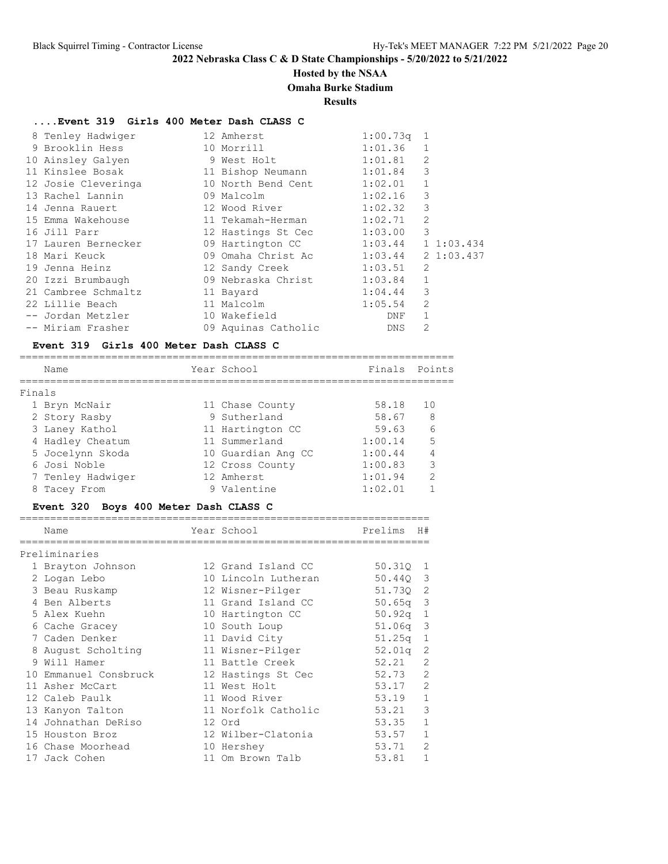## **Hosted by the NSAA**

### **Omaha Burke Stadium**

**Results**

## **....Event 319 Girls 400 Meter Dash CLASS C**

| 8 Tenley Hadwiger                            | 12 Amherst                 | $1:00.73q$ 1 |                |               |
|----------------------------------------------|----------------------------|--------------|----------------|---------------|
| 9 Brooklin Hess Sandard                      | 10 Morrill                 | 1:01.36      | $\mathbf{1}$   |               |
| 10 Ainsley Galyen                            | 9 West Holt 1:01.81        |              | 2              |               |
| 11 Kinslee Bosak                             | 11 Bishop Neumann 1:01.84  |              | 3              |               |
| 12 Josie Cleveringa                          | 10 North Bend Cent 1:02.01 |              | $\mathbf{1}$   |               |
| 13 Rachel Lannin                             | 09 Malcolm                 | 1:02.16      | 3              |               |
| 14 Jenna Rauert                              | 12 Wood River              | 1:02.32      | 3              |               |
| 15 Emma Wakehouse                            | 11 Tekamah-Herman          | 1:02.71      | 2              |               |
| 16 Jill Parr                                 | 12 Hastings St Cec 1:03.00 |              | 3              |               |
| 17 Lauren Bernecker                          | 09 Hartington CC 1:03.44   |              |                | $1\;1:03.434$ |
| 18 Mari Keuck                                | 09 Omaha Christ Ac 1:03.44 |              |                | $2\;1:03.437$ |
| 19 Jenna Heinz                               | 12 Sandy Creek 1:03.51     |              | 2              |               |
| 20 Izzi Brumbaugh 69 Nebraska Christ 1:03.84 |                            |              | $\mathbf{1}$   |               |
| 21 Cambree Schmaltz                          | 11 Bayard                  | 1:04.44      | 3              |               |
| 22 Lillie Beach                              | 11 Malcolm                 | 1:05.54      | $\overline{2}$ |               |
| -- Jordan Metzler                            | 10 Wakefield               | DNF          | $\mathbf{1}$   |               |
| -- Miriam Frasher                            | 09 Aquinas Catholic        | <b>DNS</b>   | 2              |               |

### **Event 319 Girls 400 Meter Dash CLASS C**

|        | Name              | Year School        | Finals  | Points        |
|--------|-------------------|--------------------|---------|---------------|
| Finals |                   |                    |         |               |
|        | 1 Bryn McNair     | 11 Chase County    | 58.18   | 10            |
|        | 2 Story Rasby     | 9 Sutherland       | 58.67   | 8             |
|        | 3 Laney Kathol    | 11 Hartington CC   | 59.63   | 6             |
|        | 4 Hadley Cheatum  | 11 Summerland      | 1:00.14 | 5             |
|        | 5 Jocelynn Skoda  | 10 Guardian Ang CC | 1:00.44 |               |
|        | 6 Josi Noble      | 12 Cross County    | 1:00.83 | 3             |
|        | 7 Tenley Hadwiger | 12 Amherst         | 1:01.94 | $\mathcal{D}$ |
|        | 8 Tacey From      | 9 Valentine        | 1:02.01 |               |
|        |                   |                    |         |               |

## **Event 320 Boys 400 Meter Dash CLASS C**

|   | Name                  | Year School         | Prelims            | H#             |
|---|-----------------------|---------------------|--------------------|----------------|
|   |                       |                     |                    |                |
|   | Preliminaries         |                     |                    |                |
|   | 1 Brayton Johnson     | 12 Grand Island CC  | 50.310             | 1              |
|   | 2 Logan Lebo          | 10 Lincoln Lutheran | 50.440 3           |                |
|   | 3 Beau Ruskamp        | 12 Wisner-Pilger    | 51.730 2           |                |
|   | 4 Ben Alberts         | 11 Grand Island CC  | $50.65q$ 3         |                |
|   | 5 Alex Kuehn          | 10 Hartington CC    | 50.92q             | $\mathbf{1}$   |
|   | 6 Cache Gracey        | 10 South Loup       | 51.06 <sub>q</sub> | 3              |
|   | 7 Caden Denker        | 11 David City       | 51.25q             | 1              |
|   | August Scholting      | 11 Wisner-Pilger    | 52.01q             | $\overline{c}$ |
| 9 | Will Hamer            | 11 Battle Creek     | 52.21              | $\overline{2}$ |
|   | 10 Emmanuel Consbruck | 12 Hastings St Cec  | 52.73              | $\overline{2}$ |
|   | 11 Asher McCart       | 11 West Holt        | 53.17              | $\overline{2}$ |
|   | 12 Caleb Paulk        | 11 Wood River       | 53.19              | 1              |
|   | 13 Kanyon Talton      | 11 Norfolk Catholic | 53.21              | 3              |
|   | 14 Johnathan DeRiso   | 12 Ord              | 53.35              | $\mathbf{1}$   |
|   | 15 Houston Broz       | 12 Wilber-Clatonia  | 53.57              | $\mathbf{1}$   |
|   | 16 Chase Moorhead     | 10 Hershey          | 53.71              | $\overline{2}$ |
|   | 17 Jack Cohen         | 11 Om Brown Talb    | 53.81              | $\mathbf{1}$   |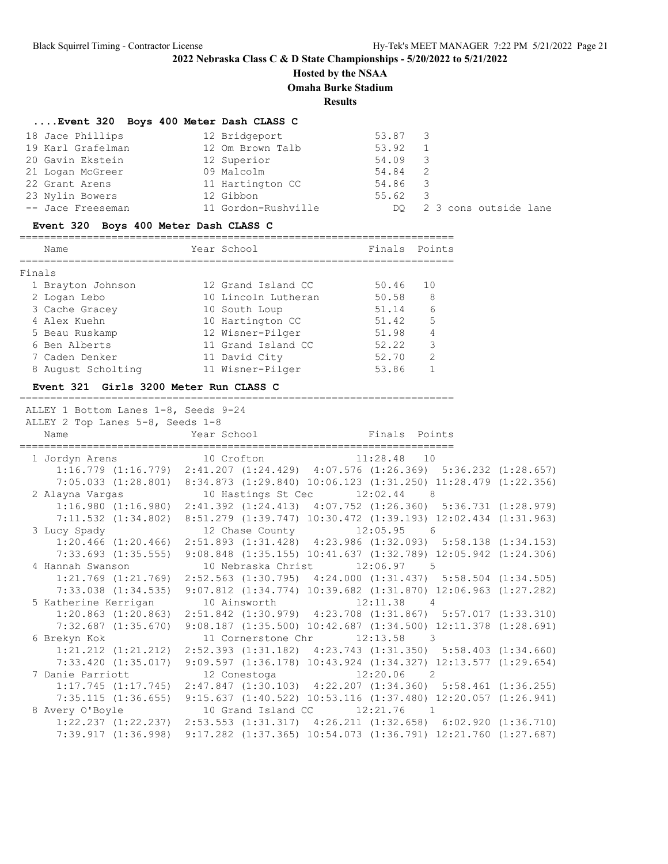## **Hosted by the NSAA**

**Omaha Burke Stadium**

**Results**

### **....Event 320 Boys 400 Meter Dash CLASS C**

| 18 Jace Phillips  | 12 Bridgeport       | 53.87 3         |                          |
|-------------------|---------------------|-----------------|--------------------------|
| 19 Karl Grafelman | 12 Om Brown Talb    | 53.92           |                          |
| 20 Gavin Ekstein  | 12 Superior         | 54.09 3         |                          |
| 21 Logan McGreer  | 09 Malcolm          | 54.84           | $\overline{2}$           |
| 22 Grant Arens    | 11 Hartington CC    | 54.86 3         |                          |
| 23 Nylin Bowers   | 12 Gibbon           | $55.62 \quad 3$ |                          |
| -- Jace Freeseman | 11 Gordon-Rushville |                 | DO 2 3 cons outside lane |

## **Event 320 Boys 400 Meter Dash CLASS C**

|        | Name               | Year School         | Finals Points |                |
|--------|--------------------|---------------------|---------------|----------------|
| Finals |                    |                     |               |                |
|        | 1 Brayton Johnson  | 12 Grand Island CC  | 50.46         | 10             |
|        | 2 Logan Lebo       | 10 Lincoln Lutheran | 50.58         | - 8            |
|        | 3 Cache Gracey     | 10 South Loup       | 51.14         | $\epsilon$     |
|        | 4 Alex Kuehn       | 10 Hartington CC    | 51.42         | 5              |
|        | 5 Beau Ruskamp     | 12 Wisner-Pilger    | 51.98         | $\overline{4}$ |
|        | 6 Ben Alberts      | 11 Grand Island CC  | 52.22         | 3              |
|        | 7 Caden Denker     | 11 David City       | 52.70         | $\mathcal{L}$  |
|        | 8 August Scholting | 11 Wisner-Pilger    | 53.86         |                |
|        |                    |                     |               |                |

### **Event 321 Girls 3200 Meter Run CLASS C**

=======================================================================

ALLEY 1 Bottom Lanes 1-8, Seeds 9-24

| ALLEY 2 Top Lanes 5-8, Seeds 1-8                                                                |  |                                                                                                 |  |  |  |  |
|-------------------------------------------------------------------------------------------------|--|-------------------------------------------------------------------------------------------------|--|--|--|--|
| Name                                                                                            |  | Year School <a> Finals Points</a>                                                               |  |  |  |  |
| $1\ \texttt{Jordan \texttt{Arens}} \texttt{10\ \texttt{Crofton}} \texttt{11:28.48} \texttt{10}$ |  |                                                                                                 |  |  |  |  |
|                                                                                                 |  | 1:16.779 (1:16.779) 2:41.207 (1:24.429) 4:07.576 (1:26.369) 5:36.232 (1:28.657)                 |  |  |  |  |
|                                                                                                 |  | 7:05.033 (1:28.801) 8:34.873 (1:29.840) 10:06.123 (1:31.250) 11:28.479 (1:22.356)               |  |  |  |  |
| 2 Alayna Vargas                                                                                 |  | 10 Hastings St Cec 12:02.44 8                                                                   |  |  |  |  |
|                                                                                                 |  | 1:16.980 (1:16.980) 2:41.392 (1:24.413) 4:07.752 (1:26.360) 5:36.731 (1:28.979)                 |  |  |  |  |
|                                                                                                 |  | 7:11.532 (1:34.802) 8:51.279 (1:39.747) 10:30.472 (1:39.193) 12:02.434 (1:31.963)               |  |  |  |  |
| 3 Lucy Spady Sandy                                                                              |  | 12 Chase County 12:05.95 6                                                                      |  |  |  |  |
|                                                                                                 |  | $1:20.466$ (1:20.466) $2:51.893$ (1:31.428) $4:23.986$ (1:32.093) $5:58.138$ (1:34.153)         |  |  |  |  |
|                                                                                                 |  | 7:33.693 (1:35.555) 9:08.848 (1:35.155) 10:41.637 (1:32.789) 12:05.942 (1:24.306)               |  |  |  |  |
| 4 Hannah Swanson                                                                                |  | 10 Nebraska Christ 12:06.97 5                                                                   |  |  |  |  |
|                                                                                                 |  | 1:21.769 (1:21.769) 2:52.563 (1:30.795) 4:24.000 (1:31.437) 5:58.504 (1:34.505)                 |  |  |  |  |
| 7:33.038 (1:34.535)                                                                             |  | $9:07.812$ $(1:34.774)$ $10:39.682$ $(1:31.870)$ $12:06.963$ $(1:27.282)$                       |  |  |  |  |
| 5 Katherine Kerrigan 10 Ainsworth 12:11.38 4                                                    |  |                                                                                                 |  |  |  |  |
|                                                                                                 |  | 1:20.863 (1:20.863) 2:51.842 (1:30.979) 4:23.708 (1:31.867) 5:57.017 (1:33.310)                 |  |  |  |  |
| $7:32.687$ $(1:35.670)$                                                                         |  | $9:08.187$ (1:35.500) 10:42.687 (1:34.500) 12:11.378 (1:28.691)                                 |  |  |  |  |
| 6 Brekyn Kok                                                                                    |  | 11 Cornerstone Chr 12:13.58 3                                                                   |  |  |  |  |
| $1:21.212$ $(1:21.212)$                                                                         |  | 2:52.393 (1:31.182) 4:23.743 (1:31.350) 5:58.403 (1:34.660)                                     |  |  |  |  |
| 7:33.420 (1:35.017)                                                                             |  | 9:09.597 (1:36.178) 10:43.924 (1:34.327) 12:13.577 (1:29.654)                                   |  |  |  |  |
| 7 Danie Parriott                                                                                |  | 12 Conestoga 12:20.06 2                                                                         |  |  |  |  |
| 1:17.745(1:17.745)                                                                              |  | 2:47.847 (1:30.103) 4:22.207 (1:34.360) 5:58.461 (1:36.255)                                     |  |  |  |  |
|                                                                                                 |  | 7:35.115 (1:36.655) 9:15.637 (1:40.522) 10:53.116 (1:37.480) 12:20.057 (1:26.941)               |  |  |  |  |
| 8 Avery O'Boyle 10 Grand Island CC 12:21.76 1                                                   |  |                                                                                                 |  |  |  |  |
|                                                                                                 |  | $1:22.237$ $(1:22.237)$ $2:53.553$ $(1:31.317)$ $4:26.211$ $(1:32.658)$ $6:02.920$ $(1:36.710)$ |  |  |  |  |
| 7:39.917 (1:36.998)                                                                             |  | $9:17.282$ $(1:37.365)$ $10:54.073$ $(1:36.791)$ $12:21.760$ $(1:27.687)$                       |  |  |  |  |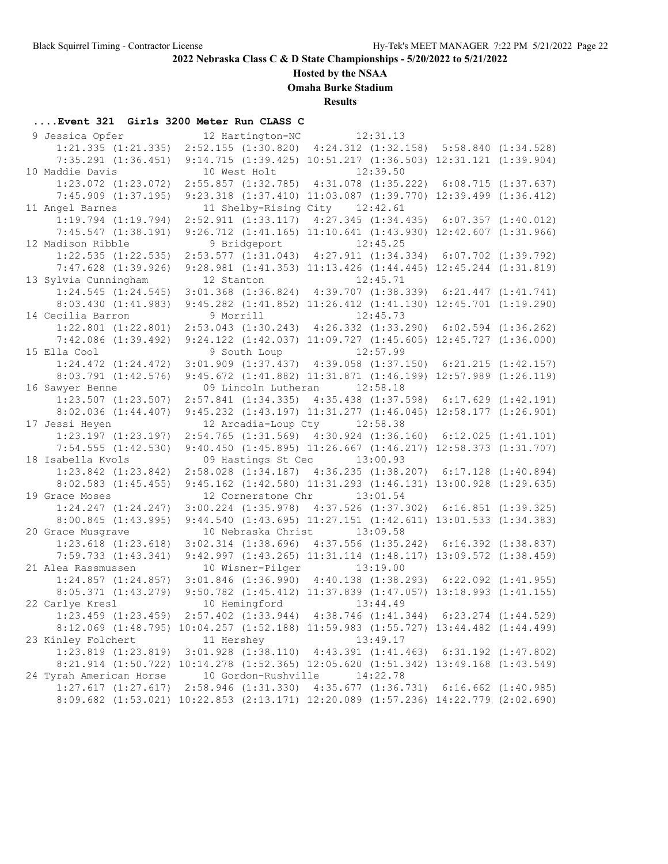# **Hosted by the NSAA**

**Omaha Burke Stadium**

**Results**

## **....Event 321 Girls 3200 Meter Run CLASS C**

| 9 Jessica Opfer                                                                    |            |                     | 12 Hartington-NC 12:31.13                                                    |          |  |
|------------------------------------------------------------------------------------|------------|---------------------|------------------------------------------------------------------------------|----------|--|
| $1:21.335$ $(1:21.335)$                                                            |            |                     | 2:52.155 (1:30.820) 4:24.312 (1:32.158) 5:58.840 (1:34.528)                  |          |  |
| $7:35.291$ $(1:36.451)$                                                            |            |                     | 9:14.715 (1:39.425) 10:51.217 (1:36.503) 12:31.121 (1:39.904)                |          |  |
| 10 Maddie Davis                                                                    |            | 10 West Holt        |                                                                              | 12:39.50 |  |
| $1:23.072$ $(1:23.072)$                                                            |            |                     | 2:55.857 (1:32.785) 4:31.078 (1:35.222) 6:08.715 (1:37.637)                  |          |  |
| $7:45.909$ $(1:37.195)$                                                            |            |                     | 9:23.318 (1:37.410) 11:03.087 (1:39.770) 12:39.499 (1:36.412)                |          |  |
| 11 Angel Barnes                                                                    |            |                     | 11 Shelby-Rising City 12:42.61                                               |          |  |
| $1:19.794$ $(1:19.794)$                                                            |            |                     | 2:52.911 (1:33.117) 4:27.345 (1:34.435) 6:07.357 (1:40.012)                  |          |  |
| $7:45.547$ $(1:38.191)$                                                            |            |                     | 9:26.712 (1:41.165) 11:10.641 (1:43.930) 12:42.607 (1:31.966)                |          |  |
| 12 Madison Ribble                                                                  |            |                     | 9 Bridgeport 12:45.25                                                        |          |  |
| $1:22.535$ $(1:22.535)$                                                            |            |                     | 2:53.577 (1:31.043) 4:27.911 (1:34.334) 6:07.702 (1:39.792)                  |          |  |
| $7:47.628$ $(1:39.926)$                                                            |            |                     | 9:28.981 (1:41.353) 11:13.426 (1:44.445) 12:45.244 (1:31.819)                |          |  |
| 13 Sylvia Cunningham                                                               | 12 Stanton |                     |                                                                              | 12:45.71 |  |
| $1:24.545$ $(1:24.545)$                                                            |            |                     | 3:01.368 (1:36.824) 4:39.707 (1:38.339) 6:21.447 (1:41.741)                  |          |  |
| 8:03.430(1:41.983)                                                                 |            |                     | 9:45.282 (1:41.852) 11:26.412 (1:41.130) 12:45.701 (1:19.290)                |          |  |
| 14 Cecilia Barron                                                                  | 9 Morrill  |                     | 12:45.73                                                                     |          |  |
| $1:22.801$ $(1:22.801)$                                                            |            |                     | 2:53.043 (1:30.243) 4:26.332 (1:33.290) 6:02.594 (1:36.262)                  |          |  |
| $7:42.086$ $(1:39.492)$                                                            |            |                     | 9:24.122 (1:42.037) 11:09.727 (1:45.605) 12:45.727 (1:36.000)                |          |  |
| 15 Ella Cool                                                                       |            | 9 South Loup        |                                                                              | 12:57.99 |  |
| $1:24.472$ $(1:24.472)$                                                            |            |                     | $3:01.909$ $(1:37.437)$ $4:39.058$ $(1:37.150)$ $6:21.215$ $(1:42.157)$      |          |  |
| $8:03.791$ $(1:42.576)$                                                            |            |                     | 9:45.672 (1:41.882) 11:31.871 (1:46.199) 12:57.989 (1:26.119)                |          |  |
| 16 Sawyer Benne                                                                    |            |                     | 09 Lincoln Lutheran 12:58.18                                                 |          |  |
| $1:23.507$ $(1:23.507)$                                                            |            |                     | 2:57.841 (1:34.335) 4:35.438 (1:37.598) 6:17.629 (1:42.191)                  |          |  |
| $8:02.036$ $(1:44.407)$                                                            |            |                     | 9:45.232 (1:43.197) 11:31.277 (1:46.045) 12:58.177 (1:26.901)                |          |  |
| 17 Jessi Heyen                                                                     |            |                     | 12 Arcadia-Loup Cty 12:58.38                                                 |          |  |
| $1:23.197$ $(1:23.197)$                                                            |            |                     | $2:54.765$ (1:31.569) $4:30.924$ (1:36.160) 6:12.025 (1:41.101)              |          |  |
| $7:54.555$ $(1:42.530)$                                                            |            |                     | 9:40.450 (1:45.895) 11:26.667 (1:46.217) 12:58.373 (1:31.707)                |          |  |
| 18 Isabella Kvols                                                                  |            |                     | 09 Hastings St Cec 13:00.93                                                  |          |  |
| $1:23.842$ $(1:23.842)$                                                            |            |                     | 2:58.028 (1:34.187) 4:36.235 (1:38.207) 6:17.128 (1:40.894)                  |          |  |
| $8:02.583$ $(1:45.455)$                                                            |            |                     | 9:45.162 (1:42.580) 11:31.293 (1:46.131) 13:00.928 (1:29.635)                |          |  |
| 19 Grace Moses                                                                     |            |                     | 12 Cornerstone Chr 13:01.54                                                  |          |  |
| $1:24.247$ $(1:24.247)$                                                            |            |                     | 3:00.224 (1:35.978) 4:37.526 (1:37.302) 6:16.851 (1:39.325)                  |          |  |
| 8:00.845(1:43.995)                                                                 |            |                     | 9:44.540 (1:43.695) 11:27.151 (1:42.611) 13:01.533 (1:34.383)                |          |  |
| 20 Grace Musgrave                                                                  |            |                     | 10 Nebraska Christ 13:09.58                                                  |          |  |
| $1:23.618$ $(1:23.618)$                                                            |            |                     | 3:02.314 (1:38.696) 4:37.556 (1:35.242) 6:16.392 (1:38.837)                  |          |  |
| $7:59.733$ $(1:43.341)$                                                            |            |                     | 9:42.997 (1:43.265) 11:31.114 (1:48.117) 13:09.572 (1:38.459)                |          |  |
| 21 Alea Rassmussen                                                                 |            |                     | 10 Wisner-Pilger 13:19.00                                                    |          |  |
| $1:24.857$ $(1:24.857)$                                                            |            |                     | $3:01.846$ (1:36.990) $4:40.138$ (1:38.293) 6:22.092 (1:41.955)              |          |  |
| 8:05.371(1:43.279)                                                                 |            |                     | 9:50.782 (1:45.412) 11:37.839 (1:47.057) 13:18.993 (1:41.155)                |          |  |
| 22 Carlye Kresl                                                                    |            |                     |                                                                              |          |  |
| $1:23.459$ $(1:23.459)$                                                            |            |                     | 10 Hemingford<br>2:57.402 (1:33.944) 4:38.746 (1:41.344) 6:23.274 (1:44.529) |          |  |
| 8:12.069 (1:48.795) 10:04.257 (1:52.188) 11:59.983 (1:55.727) 13:44.482 (1:44.499) |            |                     |                                                                              |          |  |
| 23 Kinley Folchert                                                                 | 11 Hershey |                     |                                                                              | 13:49.17 |  |
| 1:23.819 (1:23.819) 3:01.928 (1:38.110) 4:43.391 (1:41.463) 6:31.192 (1:47.802)    |            |                     |                                                                              |          |  |
| 8:21.914 (1:50.722) 10:14.278 (1:52.365) 12:05.620 (1:51.342) 13:49.168 (1:43.549) |            |                     |                                                                              |          |  |
| 24 Tyrah American Horse                                                            |            | 10 Gordon-Rushville |                                                                              | 14:22.78 |  |
| 1:27.617(1:27.617)                                                                 |            |                     | 2:58.946 (1:31.330) 4:35.677 (1:36.731) 6:16.662 (1:40.985)                  |          |  |
| 8:09.682 (1:53.021) 10:22.853 (2:13.171) 12:20.089 (1:57.236) 14:22.779 (2:02.690) |            |                     |                                                                              |          |  |
|                                                                                    |            |                     |                                                                              |          |  |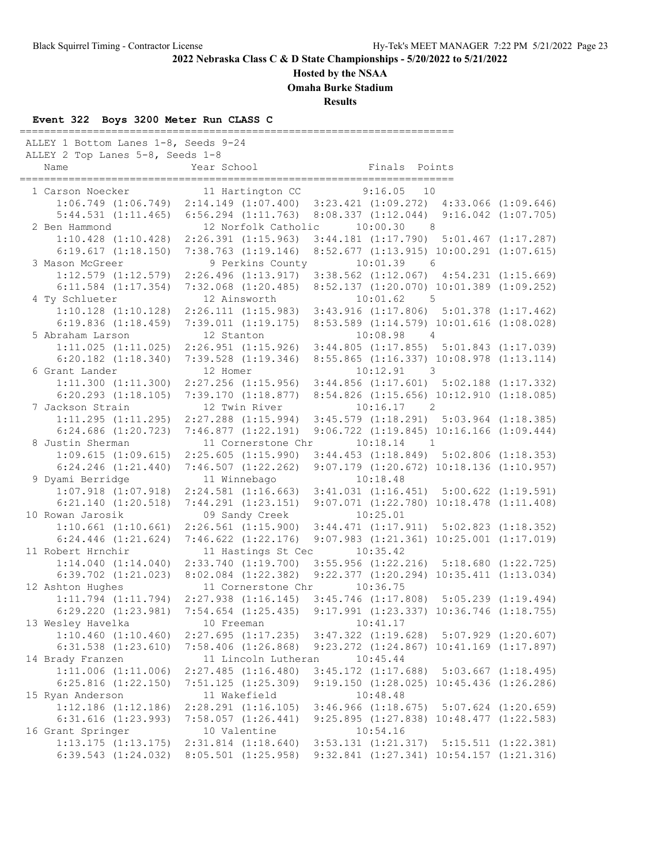#### **Hosted by the NSAA**

**Omaha Burke Stadium**

**Results**

#### **Event 322 Boys 3200 Meter Run CLASS C**

======================================================================= ALLEY 1 Bottom Lanes 1-8, Seeds 9-24 ALLEY 2 Top Lanes 5-8, Seeds 1-8 Name Year School Finals Points ======================================================================= 1 Carson Noecker 11 Hartington CC 9:16.05 10 1:06.749 (1:06.749) 2:14.149 (1:07.400) 3:23.421 (1:09.272) 4:33.066 (1:09.646) 5:44.531 (1:11.465) 6:56.294 (1:11.763) 8:08.337 (1:12.044) 9:16.042 (1:07.705) 2 Ben Hammond 12 Norfolk Catholic 10:00.30 8 1:10.428 (1:10.428) 2:26.391 (1:15.963) 3:44.181 (1:17.790) 5:01.467 (1:17.287) 6:19.617 (1:18.150) 7:38.763 (1:19.146) 8:52.677 (1:13.915) 10:00.291 (1:07.615) 3 Mason McGreer 9 Perkins County 10:01.39 6 1:12.579 (1:12.579) 2:26.496 (1:13.917) 3:38.562 (1:12.067) 4:54.231 (1:15.669) 6:11.584 (1:17.354) 7:32.068 (1:20.485) 8:52.137 (1:20.070) 10:01.389 (1:09.252) 4 Ty Schlueter 12 Ainsworth 10:01.62 5 1:10.128 (1:10.128) 2:26.111 (1:15.983) 3:43.916 (1:17.806) 5:01.378 (1:17.462) 6:19.836 (1:18.459) 7:39.011 (1:19.175) 8:53.589 (1:14.579) 10:01.616 (1:08.028) 5 Abraham Larson 12 Stanton 10:08.98 4 1:11.025 (1:11.025) 2:26.951 (1:15.926) 3:44.805 (1:17.855) 5:01.843 (1:17.039) 6:20.182 (1:18.340) 7:39.528 (1:19.346) 8:55.865 (1:16.337) 10:08.978 (1:13.114) 6 Grant Lander 12 Homer 10:12.91 3 1:11.300 (1:11.300) 2:27.256 (1:15.956) 3:44.856 (1:17.601) 5:02.188 (1:17.332) 6:20.293 (1:18.105) 7:39.170 (1:18.877) 8:54.826 (1:15.656) 10:12.910 (1:18.085) 7 Jackson Strain 12 Twin River 1:11.295 (1:11.295) 2:27.288 (1:15.994) 3:45.579 (1:18.291) 5:03.964 (1:18.385) 6:24.686 (1:20.723) 7:46.877 (1:22.191) 9:06.722 (1:19.845) 10:16.166 (1:09.444) 8 Justin Sherman 11 Cornerstone Chr 10:18.14 1 1:09.615 (1:09.615) 2:25.605 (1:15.990) 3:44.453 (1:18.849) 5:02.806 (1:18.353) 6:24.246 (1:21.440) 7:46.507 (1:22.262) 9:07.179 (1:20.672) 10:18.136 (1:10.957) 9 Dyami Berridge 11 Winnebago 1:07.918 (1:07.918) 2:24.581 (1:16.663) 3:41.031 (1:16.451) 5:00.622 (1:19.591) 6:21.140 (1:20.518) 7:44.291 (1:23.151) 9:07.071 (1:22.780) 10:18.478 (1:11.408) 10 Rowan Jarosik 09 Sandy Creek 10:25.01 1:10.661 (1:10.661) 2:26.561 (1:15.900) 3:44.471 (1:17.911) 5:02.823 (1:18.352) 6:24.446 (1:21.624) 7:46.622 (1:22.176) 9:07.983 (1:21.361) 10:25.001 (1:17.019) 11 Robert Hrnchir 11 Hastings St Cec 10:35.42 1:14.040 (1:14.040) 2:33.740 (1:19.700) 3:55.956 (1:22.216) 5:18.680 (1:22.725) 6:39.702 (1:21.023) 8:02.084 (1:22.382) 9:22.377 (1:20.294) 10:35.411 (1:13.034) 12 Ashton Hughes 11 Cornerstone Chr 10:36.75 1:11.794 (1:11.794) 2:27.938 (1:16.145) 3:45.746 (1:17.808) 5:05.239 (1:19.494) 6:29.220 (1:23.981) 7:54.654 (1:25.435) 9:17.991 (1:23.337) 10:36.746 (1:18.755) 13 Wesley Havelka 10 Freeman 1:10.460 (1:10.460) 2:27.695 (1:17.235) 3:47.322 (1:19.628) 5:07.929 (1:20.607) 6:31.538 (1:23.610) 7:58.406 (1:26.868) 9:23.272 (1:24.867) 10:41.169 (1:17.897) 14 Brady Franzen 11 Lincoln Lutheran 10:45.44 1:11.006 (1:11.006) 2:27.485 (1:16.480) 3:45.172 (1:17.688) 5:03.667 (1:18.495) 6:25.816 (1:22.150) 7:51.125 (1:25.309) 9:19.150 (1:28.025) 10:45.436 (1:26.286) 15 Ryan Anderson 11 Wakefield 1:12.186 (1:12.186) 2:28.291 (1:16.105) 3:46.966 (1:18.675) 5:07.624 (1:20.659) 6:31.616 (1:23.993) 7:58.057 (1:26.441) 9:25.895 (1:27.838) 10:48.477 (1:22.583) 16 Grant Springer 10 Valentine 10:54.16 1:13.175 (1:13.175) 2:31.814 (1:18.640) 3:53.131 (1:21.317) 5:15.511 (1:22.381) 6:39.543 (1:24.032) 8:05.501 (1:25.958) 9:32.841 (1:27.341) 10:54.157 (1:21.316)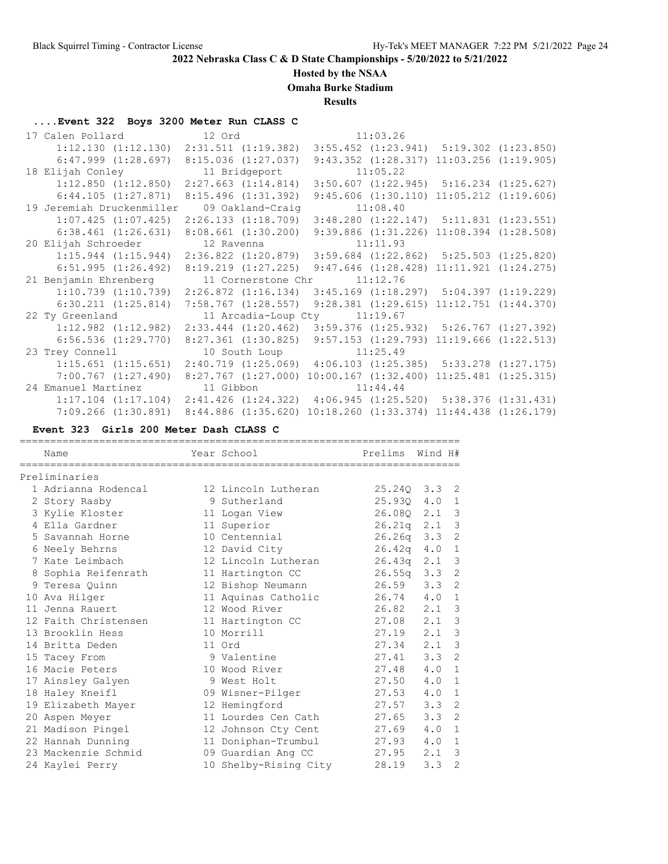## **Hosted by the NSAA**

**Omaha Burke Stadium**

**Results**

# **....Event 322 Boys 3200 Meter Run CLASS C**

| 17 Calen Pollard 12 Ord                                                                                                    |           |                                                                         | 11:03.26 |                                                  |                                                  |
|----------------------------------------------------------------------------------------------------------------------------|-----------|-------------------------------------------------------------------------|----------|--------------------------------------------------|--------------------------------------------------|
| $1:12.130$ $(1:12.130)$ $2:31.511$ $(1:19.382)$ $3:55.452$ $(1:23.941)$ $5:19.302$ $(1:23.850)$                            |           |                                                                         |          |                                                  |                                                  |
| 6:47.999 (1:28.697)                                                                                                        |           | 8:15.036(1:27.037)                                                      |          | $9:43.352$ $(1:28.317)$                          | $11:03.256$ $(1:19.905)$                         |
| 18 Elijah Conley 11 Bridgeport                                                                                             |           |                                                                         | 11:05.22 |                                                  |                                                  |
| $1:12.850$ $(1:12.850)$                                                                                                    |           | $2:27.663$ $(1:14.814)$ $3:50.607$ $(1:22.945)$ $5:16.234$ $(1:25.627)$ |          |                                                  |                                                  |
| $6:44.105$ $(1:27.871)$                                                                                                    |           | 8:15.496(1:31.392)                                                      |          | $9:45.606$ $(1:30.110)$                          | $11:05.212$ $(1:19.606)$                         |
| 19 Jeremiah Druckenmiller                                                                                                  |           | 09 Oakland-Craig                                                        | 11:08.40 |                                                  |                                                  |
| $1:07.425$ $(1:07.425)$                                                                                                    |           | $2:26.133$ $(1:18.709)$ $3:48.280$ $(1:22.147)$ $5:11.831$ $(1:23.551)$ |          |                                                  |                                                  |
| $6:38.461$ $(1:26.631)$                                                                                                    |           | $8:08.661$ $(1:30.200)$                                                 |          | $9:39.886$ $(1:31.226)$ $11:08.394$ $(1:28.508)$ |                                                  |
| 20 Elijah Schroeder 12 Ravenna                                                                                             |           |                                                                         | 11:11.93 |                                                  |                                                  |
| $1:15.944$ $(1:15.944)$ $2:36.822$ $(1:20.879)$ $3:59.684$ $(1:22.862)$ $5:25.503$ $(1:25.820)$                            |           |                                                                         |          |                                                  |                                                  |
| 6:51.995(1:26.492)                                                                                                         |           | $8:19.219$ $(1:27.225)$                                                 |          | $9:47.646$ $(1:28.428)$                          | $11:11.921$ $(1:24.275)$                         |
|                                                                                                                            |           |                                                                         |          |                                                  |                                                  |
| 21 Benjamin Ehrenberg 11 Cornerstone Chr                                                                                   |           |                                                                         | 11:12.76 |                                                  |                                                  |
| $1:10.739$ $(1:10.739)$ $2:26.872$ $(1:16.134)$ $3:45.169$ $(1:18.297)$ $5:04.397$ $(1:19.229)$                            |           |                                                                         |          |                                                  |                                                  |
| $6:30.211$ $(1:25.814)$                                                                                                    |           | $7:58.767$ $(1:28.557)$                                                 |          |                                                  | $9:28.381$ $(1:29.615)$ $11:12.751$ $(1:44.370)$ |
| 22 Ty Greenland                                                                                                            |           | 11 Arcadia-Loup Cty 11:19.67                                            |          |                                                  |                                                  |
| $1:12.982$ $(1:12.982)$                                                                                                    |           | $2:33.444$ (1:20.462) 3:59.376 (1:25.932) 5:26.767 (1:27.392)           |          |                                                  |                                                  |
| $6:56.536$ $(1:29.770)$                                                                                                    |           | $8:27.361$ $(1:30.825)$ $9:57.153$ $(1:29.793)$                         |          |                                                  | $11:19.666$ $(1:22.513)$                         |
| 23 Trey Connell                                                                                                            |           | 10 South Loup 11:25.49                                                  |          |                                                  |                                                  |
| $1:15.651$ $(1:15.651)$                                                                                                    |           | $2:40.719$ $(1:25.069)$ $4:06.103$ $(1:25.385)$ $5:33.278$ $(1:27.175)$ |          |                                                  |                                                  |
| $7:00.767$ $(1:27.490)$                                                                                                    |           | $8:27.767$ $(1:27.000)$                                                 |          | $10:00.167$ $(1:32.400)$                         | $11:25.481$ $(1:25.315)$                         |
| 24 Emanuel Martinez                                                                                                        | 11 Gibbon |                                                                         | 11:44.44 |                                                  |                                                  |
| $1:17.104$ $(1:17.104)$ $2:41.426$ $(1:24.322)$ $4:06.945$ $(1:25.520)$ $5:38.376$ $(1:31.431)$<br>$7:09.266$ $(1:30.891)$ |           | $8:44.886$ $(1:35.620)$                                                 |          |                                                  | 10:18.260 (1:33.374) 11:44.438 (1:26.179)        |

#### **Event 323 Girls 200 Meter Dash CLASS C**

| Name                 | Year School           | Prelims            | Wind H# |                |
|----------------------|-----------------------|--------------------|---------|----------------|
| Preliminaries        |                       |                    |         |                |
| 1 Adrianna Rodencal  | 12 Lincoln Lutheran   | 25.240 3.3 2       |         |                |
| 2 Story Rasby        | 9 Sutherland          | 25.930             | 4.0     | 1              |
| 3 Kylie Kloster      | 11 Logan View         | 26.080             | 2.1     | 3              |
| 4 Ella Gardner       | 11 Superior           | 26.21q             | 2.1     | $\mathcal{E}$  |
| 5 Savannah Horne     | 10 Centennial         | 26.26q             | 3.3     | $\overline{c}$ |
| 6 Neely Behrns       | 12 David City         | 26.42q             | 4.0     | 1              |
| 7 Kate Leimbach      | 12 Lincoln Lutheran   | 26.43 <sub>q</sub> | 2.1     | $\mathcal{E}$  |
| 8 Sophia Reifenrath  | 11 Hartington CC      | 26.55q             | 3.3     | $\overline{c}$ |
| 9 Teresa Quinn       | 12 Bishop Neumann     | 26.59              | 3.3     | 2              |
| 10 Ava Hilger        | 11 Aquinas Catholic   | 26.74              | 4.0     | $\mathbf{1}$   |
| 11 Jenna Rauert      | 12 Wood River         | 26.82              | 2.1     | 3              |
| 12 Faith Christensen | 11 Hartington CC      | 27.08              | 2.1     | 3              |
| 13 Brooklin Hess     | 10 Morrill            | 27.19              | 2.1     | $\mathcal{E}$  |
| 14 Britta Deden      | 11 Ord                | 27.34              | 2.1     | $\mathcal{S}$  |
| 15 Tacey From        | 9 Valentine           | 27.41              | 3.3     | 2              |
| 16 Macie Peters      | 10 Wood River         | 27.48              | 4.0     | $\mathbf{1}$   |
| 17 Ainsley Galyen    | 9 West Holt           | 27.50              | 4.0     | $\mathbf{1}$   |
| 18 Haley Kneifl      | 09 Wisner-Pilger      | 27.53              | 4.0     | 1              |
| 19 Elizabeth Mayer   | 12 Hemingford         | 27.57              | 3.3     | 2              |
| 20 Aspen Meyer       | 11 Lourdes Cen Cath   | 27.65              | 3.3     | 2              |
| 21 Madison Pingel    | 12 Johnson Cty Cent   | 27.69              | 4.0     | $\mathbf{1}$   |
| 22 Hannah Dunning    | 11 Doniphan-Trumbul   | 27.93              | 4.0     | 1              |
| 23 Mackenzie Schmid  | 09 Guardian Ang CC    | 27.95              | 2.1     | 3              |
| 24 Kaylei Perry      | 10 Shelby-Rising City | 28.19              | 3.3     | $\overline{2}$ |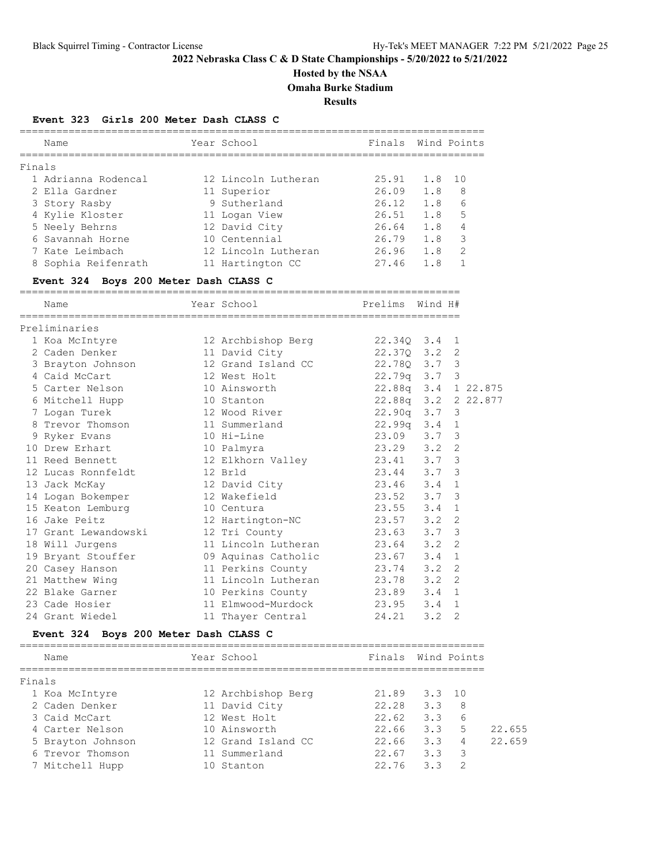# **Hosted by the NSAA**

**Omaha Burke Stadium**

**Results**

### **Event 323 Girls 200 Meter Dash CLASS C**

|        | Name                                               | Year School                             Finals  Wind Points |                                                              |               |                     |
|--------|----------------------------------------------------|-------------------------------------------------------------|--------------------------------------------------------------|---------------|---------------------|
| Finals |                                                    |                                                             |                                                              |               |                     |
|        | 1 Adrianna Rodencal 12 Lincoln Lutheran 25.91      |                                                             |                                                              | 1.8 10        |                     |
|        | 2 Ella Gardner                                     | 11 Superior                                                 | $26.09$ 1.8 8                                                |               |                     |
|        | 3 Story Rasby                                      | 9 Sutherland                                                | 26.12                                                        | 1.8%          |                     |
|        | 4 Kylie Kloster 11 Logan View 26.51                |                                                             |                                                              | $1.8$ 5       |                     |
|        | 5 Neely Behrns                                     | 12 David City 26.64 1.8 4                                   |                                                              |               |                     |
|        | 6 Savannah Horne                                   | 10 Centennial                                               |                                                              |               | 3                   |
|        | 7 Kate Leimbach                                    | 12 Lincoln Lutheran                                         | 26.79 1.8<br>26.96 1.8                                       |               | 2                   |
|        | 8 Sophia Reifenrath 11 Hartington CC               |                                                             | 27.46 1.8                                                    |               | 1                   |
|        | Event 324 Boys 200 Meter Dash CLASS C              |                                                             |                                                              |               |                     |
|        | Name                                               | Year School                                                 | Prelims Wind H#                                              |               |                     |
|        | Preliminaries                                      |                                                             |                                                              |               |                     |
|        | 1 Koa McIntyre 12 Archbishop Berg 22.340 3.4 1     |                                                             |                                                              |               |                     |
|        | 2 Caden Denker 11 David City 22.370 3.2 2          |                                                             |                                                              |               |                     |
|        | 3 Brayton Johnson 12 Grand Island CC               |                                                             | 22.780 3.7 3                                                 |               |                     |
|        | 4 Caid McCart                                      | 12 West Holt                                                |                                                              |               |                     |
|        | 5 Carter Nelson                                    | 10 Ainsworth                                                | $22.79q$ 3.7 3<br>22.88q 3.4 1 22.875<br>22.88q 3.4 1 22.875 |               |                     |
|        |                                                    | 10 Stanton                                                  |                                                              |               | 22.88q 3.2 2 22.877 |
|        |                                                    |                                                             | $22.90q$ $3.7$ 3                                             |               |                     |
|        | 8 Trevor Thomson                                   | 11 Summerland                                               | 22.99q 3.4 1                                                 |               |                     |
|        | 9 Ryker Evans                                      | 10 Hi-Line                                                  | 23.09 3.7 3                                                  |               |                     |
|        | 10 Drew Erhart                                     |                                                             |                                                              |               |                     |
|        | 11 Reed Bennett                                    | 10 Palmyra<br>12 Elkhorn Valley                             | 23.29 3.2 2<br>23.41 3.7 3                                   |               |                     |
|        | 12 Lucas Ronnfeldt                                 | 12 Brld                                                     | 23.44 3.7 3                                                  |               |                     |
|        | 13 Jack McKay                                      | 12 David City                                               | 23.46                                                        | $3.4 \quad 1$ |                     |
|        | 14 Logan Bokemper                                  | 12 Wakefield                                                | 23.52 3.7                                                    |               | 3                   |
|        | 15 Keaton Lemburg 10 Centura                       |                                                             | 23.55 3.4                                                    |               | 1                   |
|        | 16 Jake Peitz                                      | -- - -<br>12 Hartington-NC<br>12 Tri County                 |                                                              |               |                     |
|        | 17 Grant Lewandowski                               |                                                             | 23.57 3.2 2<br>23.63 3.7 3                                   |               |                     |
|        | 18 Will Jurgens                                    | 11 Lincoln Lutheran 23.64 3.2 2                             |                                                              |               |                     |
|        | 19 Bryant Stouffer 09 Aquinas Catholic 23.67 3.4 1 |                                                             |                                                              |               |                     |
|        | 20 Casey Hanson                                    | 11 Perkins County 23.74 3.2 2                               |                                                              |               |                     |
|        | 21 Matthew Wing                                    | 11 Lincoln Lutheran 23.78 3.2 2                             |                                                              |               |                     |
|        | 22 Blake Garner                                    | 10 Perkins County                                           |                                                              |               |                     |
|        | 23 Cade Hosier                                     | 11 Elmwood-Murdock                                          | 23.89 3.4 1<br>23.95 3.4 1                                   |               |                     |
|        | 24 Grant Wiedel                                    | 11 Thayer Central                                           | 24.21 3.2 2                                                  |               |                     |
|        | Event 324 Boys 200 Meter Dash CLASS C              |                                                             |                                                              |               |                     |
|        | Name                                               | Year School                                                 | Finals Wind Points                                           |               |                     |
|        |                                                    |                                                             |                                                              |               |                     |
| Finals | 1 Koa McIntyre                                     | 12 Archbishop Berg                                          | 21.89                                                        | 3.3           | 10                  |
|        | 2 Caden Denker                                     | 11 David City                                               | 22.28                                                        | 3.3           | 8                   |
|        | 3 Caid McCart                                      | 12 West Holt                                                | 22.62                                                        | 3.3           | 6                   |
|        | 4 Carter Nelson                                    | 10 Ainsworth                                                | 22.66                                                        | 3.3           | 5<br>22.655         |
|        | 5 Brayton Johnson                                  | 12 Grand Island CC                                          | 22.66                                                        | 3.3           | 22.659<br>4         |

 6 Trevor Thomson 11 Summerland 22.67 3.3 3 7 Mitchell Hupp 10 Stanton 22.76 3.3 2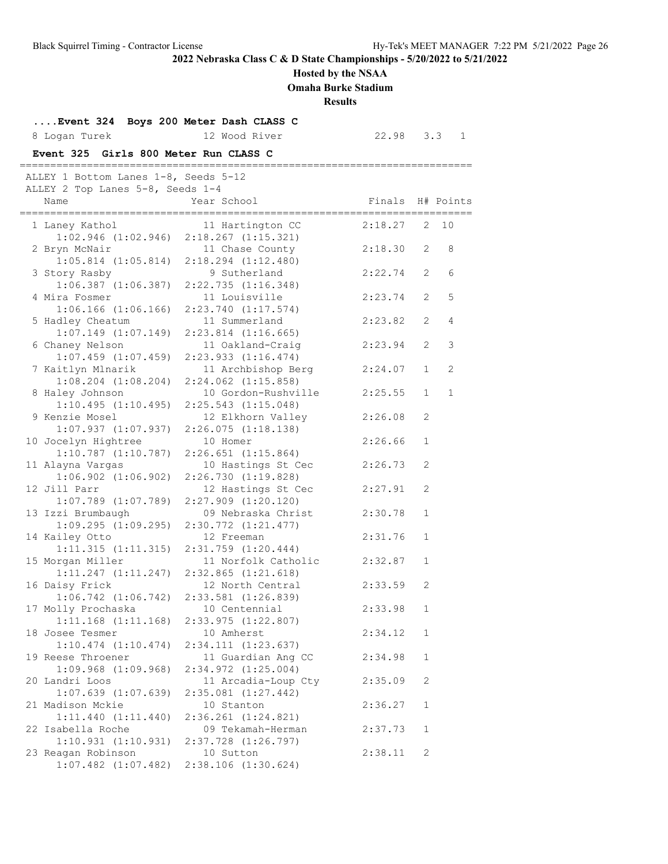# **Hosted by the NSAA**

**Omaha Burke Stadium**

**Results**

| Event 324 Boys 200 Meter Dash CLASS C<br>8 Logan Turek<br>Event 325 Girls 800 Meter Run CLASS C | 12 Wood River                                   | $22.98$ $3.3$ 1 |              |                |
|-------------------------------------------------------------------------------------------------|-------------------------------------------------|-----------------|--------------|----------------|
| ALLEY 1 Bottom Lanes 1-8, Seeds 5-12                                                            | -------------------------------------           |                 |              |                |
| ALLEY 2 Top Lanes 5-8, Seeds 1-4<br>Name                                                        | Year School                                     | Finals          |              | H# Points      |
| 1 Laney Kathol                                                                                  | 11 Hartington CC                                | 2:18.27         | 2            | 10             |
|                                                                                                 | $1:02.946$ $(1:02.946)$ $2:18.267$ $(1:15.321)$ |                 |              |                |
| 2 Bryn McNair                                                                                   | 11 Chase County                                 | 2:18.30         | 2            | 8              |
| $1:05.814$ $(1:05.814)$<br>3 Story Rasby                                                        | $2:18.294$ $(1:12.480)$<br>9 Sutherland         | 2:22.74         | 2            | 6              |
| $1:06.387$ $(1:06.387)$                                                                         | $2:22.735$ $(1:16.348)$                         |                 |              |                |
| 4 Mira Fosmer                                                                                   | 11 Louisville                                   | 2:23.74         | 2            | 5              |
| $1:06.166$ $(1:06.166)$                                                                         | $2:23.740$ $(1:17.574)$                         |                 |              |                |
| 5 Hadley Cheatum                                                                                | 11 Summerland                                   | 2:23.82         | 2            | 4              |
| $1:07.149$ $(1:07.149)$                                                                         | $2:23.814$ $(1:16.665)$                         |                 |              |                |
| 6 Chaney Nelson                                                                                 | 11 Oakland-Craig                                | 2:23.94         | 2            | 3              |
| $1:07.459$ $(1:07.459)$                                                                         | $2:23.933$ $(1:16.474)$                         |                 |              |                |
| 7 Kaitlyn Mlnarik                                                                               | 11 Archbishop Berg                              | 2:24.07         | $\mathbf{1}$ | $\overline{2}$ |
| $1:08.204$ $(1:08.204)$                                                                         | $2:24.062$ $(1:15.858)$<br>10 Gordon-Rushville  | 2:25.55         | $\mathbf{1}$ | $\mathbf{1}$   |
| 8 Haley Johnson<br>1:10.495(1:10.495)                                                           | 2:25.543 (1:15.048)                             |                 |              |                |
| 9 Kenzie Mosel                                                                                  | 12 Elkhorn Valley                               | 2:26.08         | 2            |                |
| 1:07.937(1:07.937)                                                                              | 2:26.075(1:18.138)                              |                 |              |                |
| 10 Jocelyn Hightree                                                                             | 10 Homer                                        | 2:26.66         | 1            |                |
| $1:10.787$ $(1:10.787)$                                                                         | $2:26.651$ $(1:15.864)$                         |                 |              |                |
| 11 Alayna Vargas                                                                                | 10 Hastings St Cec                              | 2:26.73         | 2            |                |
| $1:06.902$ $(1:06.902)$                                                                         | 2:26.730(1:19.828)                              |                 |              |                |
| 12 Jill Parr                                                                                    | 12 Hastings St Cec                              | 2:27.91         | 2            |                |
| $1:07.789$ $(1:07.789)$                                                                         | $2:27.909$ $(1:20.120)$                         |                 |              |                |
| 13 Izzi Brumbaugh                                                                               | 09 Nebraska Christ                              | 2:30.78         | $\mathbf{1}$ |                |
| $1:09.295$ $(1:09.295)$<br>14 Kailey Otto                                                       | 2:30.772 (1:21.477)<br>12 Freeman               | 2:31.76         | 1            |                |
| 1:11.315(1:11.315)                                                                              | $2:31.759$ $(1:20.444)$                         |                 |              |                |
| 15 Morgan Miller                                                                                | 11 Norfolk Catholic                             | 2:32.87         | 1            |                |
| 1:11.247(1:11.247)                                                                              | $2:32.865$ $(1:21.618)$                         |                 |              |                |
| 16 Daisy Frick                                                                                  | 12 North Central                                | 2:33.59         | 2            |                |
| $1:06.742$ $(1:06.742)$                                                                         | 2:33.581 (1:26.839)                             |                 |              |                |
| 17 Molly Prochaska                                                                              | 10 Centennial                                   | 2:33.98         | 1            |                |
| $1:11.168$ $(1:11.168)$                                                                         | $2:33.975$ $(1:22.807)$                         |                 |              |                |
| 18 Josee Tesmer                                                                                 | 10 Amherst                                      | 2:34.12         | $\mathbf{1}$ |                |
| $1:10.474$ $(1:10.474)$<br>19 Reese Throener                                                    | $2:34.111$ $(1:23.637)$<br>11 Guardian Ang CC   | 2:34.98         | $\mathbf{1}$ |                |
| $1:09.968$ $(1:09.968)$                                                                         | 2:34.972 (1:25.004)                             |                 |              |                |
| 20 Landri Loos                                                                                  | 11 Arcadia-Loup Cty                             | 2:35.09         | 2            |                |
| $1:07.639$ $(1:07.639)$                                                                         | $2:35.081$ $(1:27.442)$                         |                 |              |                |
| 21 Madison Mckie                                                                                | 10 Stanton                                      | 2:36.27         | 1            |                |
| $1:11.440$ $(1:11.440)$                                                                         | $2:36.261$ $(1:24.821)$                         |                 |              |                |
| 22 Isabella Roche                                                                               | 09 Tekamah-Herman                               | 2:37.73         | $\mathbf{1}$ |                |
| 1:10.931(1:10.931)                                                                              | 2:37.728 (1:26.797)                             |                 |              |                |
| 23 Reagan Robinson                                                                              | 10 Sutton                                       | 2:38.11         | 2            |                |
| $1:07.482$ $(1:07.482)$                                                                         | $2:38.106$ $(1:30.624)$                         |                 |              |                |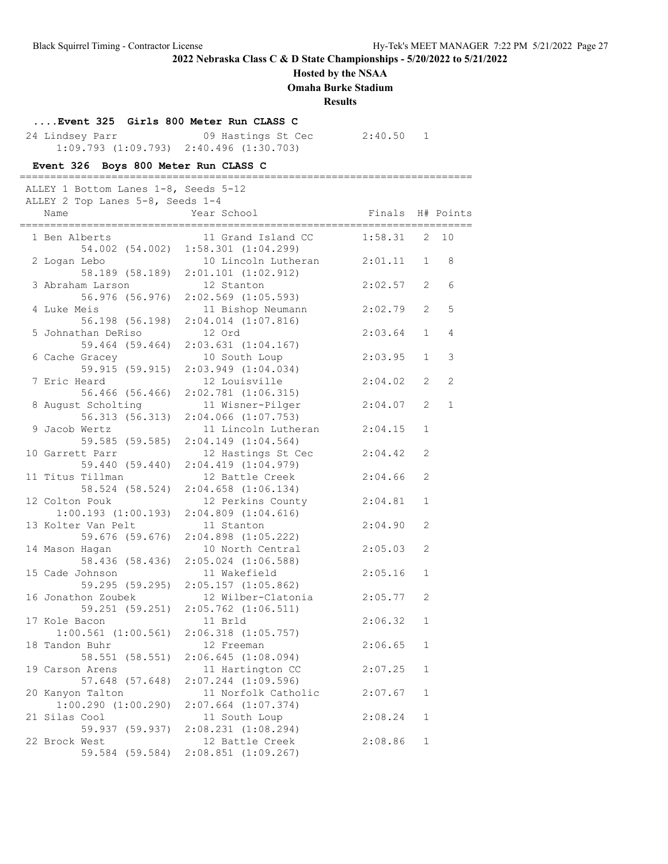## **Hosted by the NSAA**

**Omaha Burke Stadium**

#### **Results**

## **....Event 325 Girls 800 Meter Run CLASS C**

24 Lindsey Parr 09 Hastings St Cec 2:40.50 1 1:09.793 (1:09.793) 2:40.496 (1:30.703)

#### **Event 326 Boys 800 Meter Run CLASS C** ==========================================================================

| ALLEY 1 Bottom Lanes 1-8, Seeds 5-12<br>ALLEY 2 Top Lanes 5-8, Seeds 1-4 |                                                                                          |                    |                                |             |
|--------------------------------------------------------------------------|------------------------------------------------------------------------------------------|--------------------|--------------------------------|-------------|
| Name                                                                     | Year School                                                                              | Finals H# Points   |                                |             |
| 1 Ben Alberts<br>54.002 (54.002)                                         | 11 Grand Island CC<br>$1:58.301$ $(1:04.299)$                                            | 1:58.31            | $\mathbf{2}$                   | 10          |
| 2 Logan Lebo<br>58.189 (58.189)                                          | 10 Lincoln Lutheran 2:01.11<br>$2:01.101$ $(1:02.912)$                                   |                    | 1                              | 8           |
| 3 Abraham Larson<br>56.976 (56.976)                                      | 12 Stanton<br>$2:02.569$ $(1:05.593)$                                                    | 2:02.57            | 2                              | 6           |
| 4 Luke Meis<br>56.198 (56.198)                                           | 11 Bishop Neumann<br>$2:04.014$ $(1:07.816)$                                             | 2:02.79            | 2                              | 5           |
| 5 Johnathan DeRiso<br>59.464 (59.464)                                    | 12 Ord<br>$2:03.631$ $(1:04.167)$                                                        | 2:03.64            | $\mathbf{1}$                   | 4           |
| 6 Cache Gracey<br>59.915 (59.915)<br>7 Eric Heard                        | 10 South Loup<br>2:03.949(1:04.034)<br>12 Louisville                                     | 2:03.95<br>2:04.02 | $\mathbf{1}$<br>$\overline{2}$ | 3<br>2      |
| 56.466 (56.466)<br>8 August Scholting                                    | $2:02.781$ $(1:06.315)$<br>11 Wisner-Pilger                                              | 2:04.07            | 2                              | $\mathbf 1$ |
| 56.313 (56.313)<br>9 Jacob Wertz                                         | $2:04.066$ $(1:07.753)$<br>11 Lincoln Lutheran                                           | 2:04.15            | 1                              |             |
| 59.585 (59.585)<br>10 Garrett Parr                                       | $2:04.149$ $(1:04.564)$<br>12 Hastings St Cec                                            | 2:04.42            | 2                              |             |
| 59.440 (59.440)<br>11 Titus Tillman                                      | 2:04.419(1:04.979)<br>12 Battle Creek                                                    | 2:04.66            | 2                              |             |
| 58.524 (58.524)<br>12 Colton Pouk                                        | $2:04.658$ $(1:06.134)$<br>12 Perkins County                                             | 2:04.81            | $\mathbf{1}$                   |             |
| $1:00.193$ $(1:00.193)$<br>13 Kolter Van Pelt                            | $2:04.809$ $(1:04.616)$<br>11 Stanton                                                    | 2:04.90            | 2                              |             |
| 59.676 (59.676)<br>14 Mason Hagan                                        | $2:04.898$ $(1:05.222)$<br>10 North Central                                              | 2:05.03            | 2                              |             |
| 58.436 (58.436)<br>15 Cade Johnson                                       | $2:05.024$ $(1:06.588)$<br>11 Wakefield                                                  | 2:05.16            | 1                              |             |
| 59.295 (59.295)<br>16 Jonathon Zoubek                                    | $2:05.157$ $(1:05.862)$<br>12 Wilber-Clatonia                                            | 2:05.77            | 2                              |             |
| 59.251 (59.251)<br>17 Kole Bacon                                         | $2:05.762$ $(1:06.511)$<br>11 Brld                                                       | 2:06.32            | $\mathbf{1}$                   |             |
| 18 Tandon Buhr<br>58.551 (58.551)                                        | $1:00.561$ $(1:00.561)$ $2:06.318$ $(1:05.757)$<br>12 Freeman<br>$2:06.645$ $(1:08.094)$ | 2:06.65            | $\mathbf{1}$                   |             |
| 19 Carson Arens 11 Hartington CC<br>57.648 (57.648)                      | $2:07.244$ $(1:09.596)$                                                                  | 2:07.25 1          |                                |             |
| 20 Kanyon Talton<br>$1:00.290$ $(1:00.290)$                              | 11 Norfolk Catholic<br>$2:07.664$ $(1:07.374)$                                           | 2:07.67            | 1                              |             |
| 21 Silas Cool<br>59.937 (59.937)                                         | 11 South Loup<br>$2:08.231$ $(1:08.294)$                                                 | 2:08.24            | $\mathbf 1$                    |             |
| 22 Brock West<br>59.584 (59.584)                                         | 12 Battle Creek<br>$2:08.851$ $(1:09.267)$                                               | 2:08.86            | $\mathbf 1$                    |             |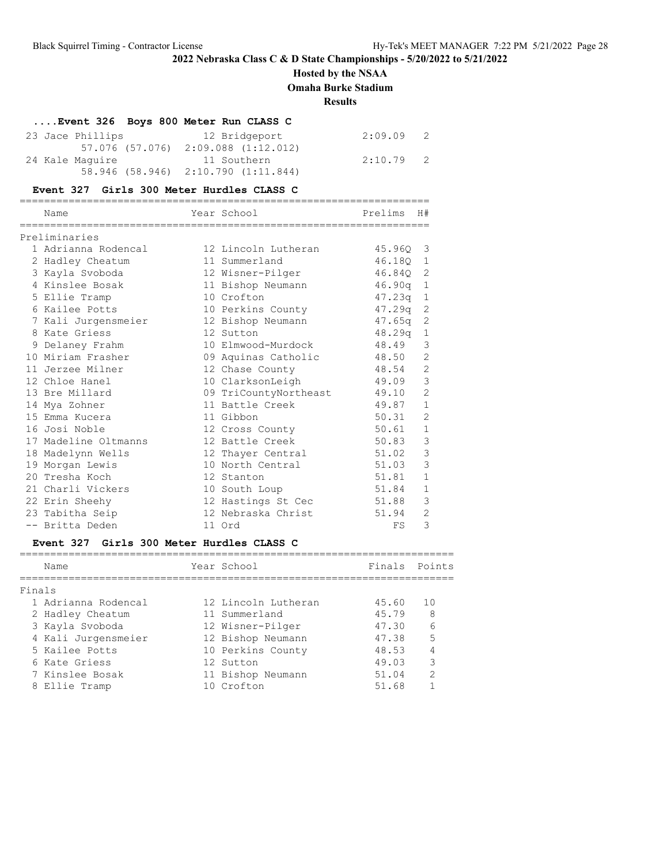## **Hosted by the NSAA**

**Omaha Burke Stadium**

**Results**

| Event 326 Boys 800 Meter Run CLASS C |                                     |             |  |
|--------------------------------------|-------------------------------------|-------------|--|
| 23 Jace Phillips                     | 12 Bridgeport                       | $2:09.09$ 2 |  |
|                                      | 57.076 (57.076) 2:09.088 (1:12.012) |             |  |
| 24 Kale Maquire                      | 11 Southern                         | 2:10.79 2   |  |
|                                      | 58.946 (58.946) 2:10.790 (1:11.844) |             |  |

## **Event 327 Girls 300 Meter Hurdles CLASS C**

| Name                 | Year School           | Prelims    | H#             |
|----------------------|-----------------------|------------|----------------|
| Preliminaries        |                       |            |                |
| 1 Adrianna Rodencal  | 12 Lincoln Lutheran   | 45.960 3   |                |
| 2 Hadley Cheatum     | 11 Summerland         | 46.180 1   |                |
| 3 Kayla Svoboda      | 12 Wisner-Pilger      | 46.84Q 2   |                |
| 4 Kinslee Bosak      | 11 Bishop Neumann     | $46.90q$ 1 |                |
| 5 Ellie Tramp        | 10 Crofton            | 47.23q     | $\mathbf{1}$   |
| 6 Kailee Potts       | 10 Perkins County     | 47.29q     | 2              |
| 7 Kali Jurgensmeier  | 12 Bishop Neumann     | 47.65q     | 2              |
| 8 Kate Griess        | 12 Sutton             | 48.29q     | $\mathbf{1}$   |
| 9 Delaney Frahm      | 10 Elmwood-Murdock    | 48.49      | 3              |
| 10 Miriam Frasher    |                       |            | 2              |
|                      | 09 Aquinas Catholic   | 48.50      |                |
| 11 Jerzee Milner     | 12 Chase County       | 48.54      | $\mathbf{2}$   |
| 12 Chloe Hanel       | 10 ClarksonLeigh      | 49.09      | 3              |
| 13 Bre Millard       | 09 TriCountyNortheast | 49.10      | $\overline{2}$ |
| 14 Mya Zohner        | 11 Battle Creek       | 49.87      | $\mathbf{1}$   |
| 15 Emma Kucera       | 11 Gibbon             | 50.31      | 2              |
| 16 Josi Noble        | 12 Cross County       | 50.61      | $\mathbf{1}$   |
| 17 Madeline Oltmanns | 12 Battle Creek       | 50.83      | $\mathcal{E}$  |
| 18 Madelynn Wells    | 12 Thayer Central     | 51.02      | $\mathfrak{Z}$ |
| 19 Morgan Lewis      | 10 North Central      | 51.03      | 3              |
| 20 Tresha Koch       | 12 Stanton            | 51.81      | $\mathbf{1}$   |
| 21 Charli Vickers    | 10 South Loup         | 51.84      | $\mathbf{1}$   |
| 22 Erin Sheehy       | 12 Hastings St Cec    | 51.88      | $\mathcal{E}$  |
| 23 Tabitha Seip      | 12 Nebraska Christ    | 51.94      | $\overline{2}$ |
| -- Britta Deden      | 11 Ord                | FS         | 3              |

## **Event 327 Girls 300 Meter Hurdles CLASS C**

|        | Name                | Year School         | Finals Points |               |
|--------|---------------------|---------------------|---------------|---------------|
| Finals |                     |                     |               |               |
|        | 1 Adrianna Rodencal | 12 Lincoln Lutheran | 45.60         | 1 O           |
|        | 2 Hadley Cheatum    | 11 Summerland       | 45.79         | 8             |
|        | 3 Kayla Svoboda     | 12 Wisner-Pilger    | 47.30         | 6             |
|        | 4 Kali Jurgensmeier | 12 Bishop Neumann   | 47.38         | 5             |
|        | 5 Kailee Potts      | 10 Perkins County   | 48.53         |               |
|        | 6 Kate Griess       | 12 Sutton           | 49.03         | 3             |
|        | 7 Kinslee Bosak     | 11 Bishop Neumann   | 51.04         | $\mathcal{P}$ |
|        | 8 Ellie Tramp       | 10 Crofton          | 51.68         |               |
|        |                     |                     |               |               |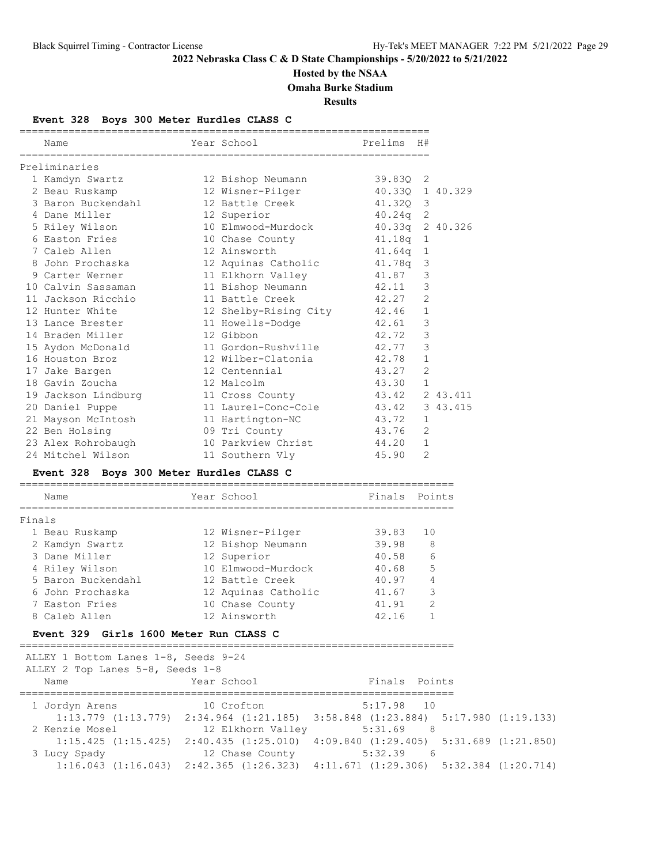# **Hosted by the NSAA**

**Omaha Burke Stadium**

**Results**

## **Event 328 Boys 300 Meter Hurdles CLASS C**

|        | Name                                     | Year School                 | Prelims              | H#             |        |
|--------|------------------------------------------|-----------------------------|----------------------|----------------|--------|
|        | Preliminaries                            |                             |                      |                |        |
|        | 1 Kamdyn Swartz                          | 12 Bishop Neumann           | 39.83Q 2             |                |        |
|        | 2 Beau Ruskamp                           | 12 Wisner-Pilger            | 40.330 1 40.329      |                |        |
|        | 3 Baron Buckendahl                       | 12 Battle Creek             | 41.320 3             |                |        |
|        | 4 Dane Miller                            | 12 Superior                 | $40.24q$ 2           |                |        |
|        | 5 Riley Wilson                           | 10 Elmwood-Murdock          | 40.33q 2 40.326      |                |        |
|        | 6 Easton Fries                           | 10 Chase County             | $41.18q$ 1           |                |        |
|        | 7 Caleb Allen                            | 12 Ainsworth                | 41.64q               | $\mathbf{1}$   |        |
|        | 8 John Prochaska                         | 12 Aquinas Catholic         | 41.78q               | 3              |        |
|        | 9 Carter Werner                          | 11 Elkhorn Valley           | 41.87                | 3              |        |
|        | 10 Calvin Sassaman                       | 11 Bishop Neumann           | 42.11                | 3              |        |
|        | 11 Jackson Ricchio                       | 11 Battle Creek             | 42.27                | $\overline{2}$ |        |
|        | 12 Hunter White                          | 12 Shelby-Rising City 42.46 |                      | $\mathbf{1}$   |        |
|        | 13 Lance Brester                         | 11 Howells-Dodge            | 42.61                | 3              |        |
|        | 14 Braden Miller                         | 12 Gibbon                   | 42.72                | 3              |        |
|        | 15 Aydon McDonald                        | 11 Gordon-Rushville         | 42.77                | 3              |        |
|        | 16 Houston Broz                          | 12 Wilber-Clatonia          | 42.78                | $\mathbf{1}$   |        |
|        | 17 Jake Bargen                           | 12 Centennial               | 43.27                | $\overline{2}$ |        |
|        | 18 Gavin Zoucha                          | 12 Malcolm                  | 43.30                | $\mathbf{1}$   |        |
|        | 19 Jackson Lindburg                      | 11 Cross County             | 43.42 2 43.411       |                |        |
|        | 20 Daniel Puppe                          | 11 Laurel-Conc-Cole         | 43.42 3 43.415       |                |        |
|        | 21 Mayson McIntosh                       | 11 Hartington-NC            | 43.72                | $\mathbf{1}$   |        |
|        | 22 Ben Holsing                           | 09 Tri County               | 43.76                | $\mathfrak{D}$ |        |
|        | 23 Alex Rohrobaugh                       | 10 Parkview Christ          | 44.20                | $\mathbf{1}$   |        |
|        | 24 Mitchel Wilson                        | 11 Southern Vly             | 45.90                | $\overline{2}$ |        |
|        | Event 328 Boys 300 Meter Hurdles CLASS C |                             |                      |                |        |
|        |                                          |                             |                      |                |        |
|        | Name                                     | Year School                 | Finals               |                | Points |
| Finals |                                          |                             |                      |                |        |
|        | 1 Beau Ruskamp                           | 12 Wisner-Pilger            | 39.83                | 10             |        |
|        | 2 Kamdyn Swartz                          | 12 Bishop Neumann           | 39.98                | 8              |        |
|        | 3 Dane Miller                            | 12 Superior                 | 40.58                | 6              |        |
|        | 4 Riley Wilson                           | 10 Elmwood-Murdock          | 40.68                | 5              |        |
|        |                                          |                             | $\sim$ $\sim$ $\sim$ |                |        |

 5 Baron Buckendahl 12 Battle Creek 40.97 4 6 John Prochaska 12 Aquinas Catholic 41.67 3 7 Easton Fries 10 Chase County 41.91 2 8 Caleb Allen 12 Ainsworth 42.16 1

=======================================================================

### **Event 329 Girls 1600 Meter Run CLASS C**

| ALLEY 1 Bottom Lanes 1-8, Seeds 9-24<br>ALLEY 2 Top Lanes 5-8, Seeds 1-8 |                                                                                                 |               |  |  |  |  |  |
|--------------------------------------------------------------------------|-------------------------------------------------------------------------------------------------|---------------|--|--|--|--|--|
| Name                                                                     | Year School                                                                                     | Finals Points |  |  |  |  |  |
| 1 Jordyn Arens                                                           | 10 Crofton                                                                                      | $5:17.98$ 10  |  |  |  |  |  |
|                                                                          | $1:13.779$ $(1:13.779)$ $2:34.964$ $(1:21.185)$ $3:58.848$ $(1:23.884)$ $5:17.980$ $(1:19.133)$ |               |  |  |  |  |  |
| 2 Kenzie Mosel                                                           | 12 Elkhorn Valley                                                                               | 5:31.69<br>8  |  |  |  |  |  |
|                                                                          | $1:15.425$ $(1:15.425)$ $2:40.435$ $(1:25.010)$ $4:09.840$ $(1:29.405)$ $5:31.689$ $(1:21.850)$ |               |  |  |  |  |  |
| 3 Lucy Spady                                                             | 12 Chase County                                                                                 | 5:32.39<br>-6 |  |  |  |  |  |
|                                                                          | $1:16.043$ $(1:16.043)$ $2:42.365$ $(1:26.323)$ $4:11.671$ $(1:29.306)$ $5:32.384$ $(1:20.714)$ |               |  |  |  |  |  |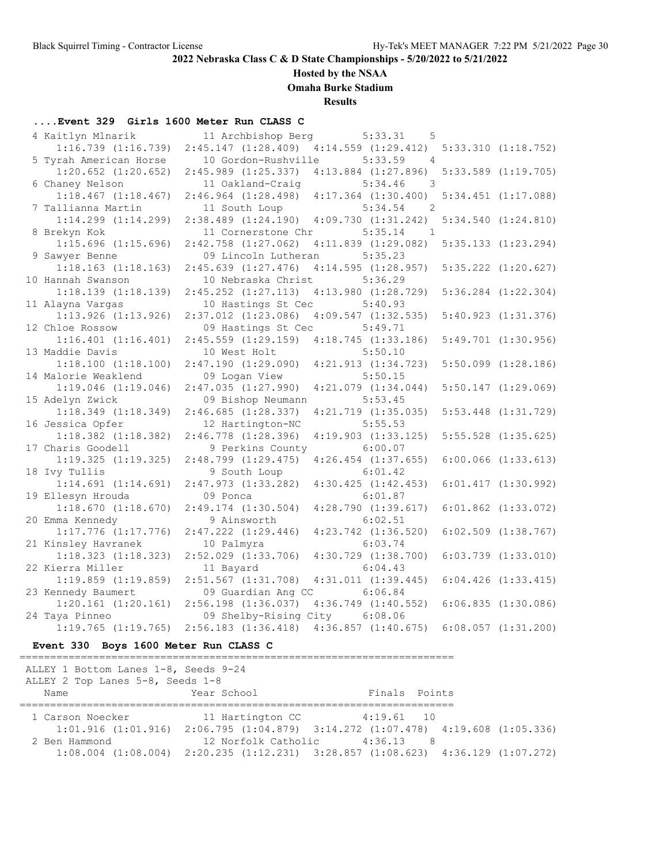## **Hosted by the NSAA**

**Omaha Burke Stadium**

**Results**

## **....Event 329 Girls 1600 Meter Run CLASS C**

| 4 Kaitlyn Mlnarik       | 11 Archbishop Berg                              | 5:33.31<br>$5^{\circ}$    |                         |
|-------------------------|-------------------------------------------------|---------------------------|-------------------------|
| $1:16.739$ $(1:16.739)$ | 2:45.147(1:28.409)                              | 4:14.559(1:29.412)        | 5:33.310 (1:18.752)     |
| 5 Tyrah American Horse  | 10 Gordon-Rushville                             | 5:33.59<br>$\overline{4}$ |                         |
| $1:20.652$ $(1:20.652)$ | $2:45.989$ $(1:25.337)$                         | $4:13.884$ $(1:27.896)$   | $5:33.589$ $(1:19.705)$ |
| 6 Chaney Nelson         | 11 Oakland-Craig                                | 5:34.46<br>3              |                         |
| $1:18.467$ $(1:18.467)$ | $2:46.964$ $(1:28.498)$ $4:17.364$ $(1:30.400)$ |                           | $5:34.451$ $(1:17.088)$ |
| 7 Tallianna Martin      | 11 South Loup                                   | 5:34.54<br>2              |                         |
| $1:14.299$ $(1:14.299)$ | $2:38.489$ $(1:24.190)$ $4:09.730$ $(1:31.242)$ |                           | $5:34.540$ $(1:24.810)$ |
| 8 Brekyn Kok            | 11 Cornerstone Chr                              | 5:35.14<br>$\overline{1}$ |                         |
| $1:15.696$ $(1:15.696)$ | $2:42.758$ $(1:27.062)$                         | 4:11.839(1:29.082)        | $5:35.133$ $(1:23.294)$ |
| 9 Sawyer Benne          | 09 Lincoln Lutheran                             | 5:35.23                   |                         |
| $1:18.163$ $(1:18.163)$ | $2:45.639$ $(1:27.476)$                         | 4:14.595(1:28.957)        | $5:35.222$ $(1:20.627)$ |
| 10 Hannah Swanson       | 10 Nebraska Christ                              | 5:36.29                   |                         |
| $1:18.139$ $(1:18.139)$ | $2:45.252$ $(1:27.113)$                         | $4:13.980$ $(1:28.729)$   | $5:36.284$ $(1:22.304)$ |
| 11 Alayna Vargas        | 10 Hastings St Cec                              | 5:40.93                   |                         |
| $1:13.926$ $(1:13.926)$ | $2:37.012$ $(1:23.086)$                         | $4:09.547$ $(1:32.535)$   | $5:40.923$ $(1:31.376)$ |
| 12 Chloe Rossow         | 09 Hastings St Cec                              | 5:49.71                   |                         |
| $1:16.401$ $(1:16.401)$ | $2:45.559$ $(1:29.159)$                         | 4:18.745(1:33.186)        | $5:49.701$ $(1:30.956)$ |
| 13 Maddie Davis         | 10 West Holt                                    | 5:50.10                   |                         |
| $1:18.100$ $(1:18.100)$ | 2:47.190(1:29.090)                              | $4:21.913$ $(1:34.723)$   | $5:50.099$ $(1:28.186)$ |
| 14 Malorie Weaklend     | 09 Logan View                                   | 5:50.15                   |                         |
| $1:19.046$ $(1:19.046)$ | 2:47.035(1:27.990)                              | $4:21.079$ $(1:34.044)$   | $5:50.147$ $(1:29.069)$ |
| 15 Adelyn Zwick         | 09 Bishop Neumann                               | 5:53.45                   |                         |
| $1:18.349$ $(1:18.349)$ | 2:46.685(1:28.337)                              | $4:21.719$ $(1:35.035)$   | $5:53.448$ $(1:31.729)$ |
| 16 Jessica Opfer        | 12 Hartington-NC                                | 5:55.53                   |                         |
| $1:18.382$ $(1:18.382)$ | $2:46.778$ $(1:28.396)$                         | $4:19.903$ $(1:33.125)$   | $5:55.528$ $(1:35.625)$ |
| 17 Charis Goodell       | 9 Perkins County                                | 6:00.07                   |                         |
| 1:19.325(1:19.325)      | 2:48.799(1:29.475)                              | $4:26.454$ $(1:37.655)$   | $6:00.066$ $(1:33.613)$ |
| 18 Ivy Tullis           | 9 South Loup                                    | 6:01.42                   |                         |
| $1:14.691$ $(1:14.691)$ | 2:47.973 (1:33.282)                             | $4:30.425$ $(1:42.453)$   | $6:01.417$ $(1:30.992)$ |
| 19 Ellesyn Hrouda       | 09 Ponca                                        | 6:01.87                   |                         |
| 1:18.670(1:18.670)      | $2:49.174$ $(1:30.504)$                         | $4:28.790$ $(1:39.617)$   | $6:01.862$ $(1:33.072)$ |
| 20 Emma Kennedy         | 9 Ainsworth                                     | 6:02.51                   |                         |
| $1:17.776$ $(1:17.776)$ | $2:47.222$ $(1:29.446)$                         | $4:23.742$ $(1:36.520)$   | $6:02.509$ $(1:38.767)$ |
| 21 Kinsley Havranek     | 10 Palmyra                                      | 6:03.74                   |                         |
| $1:18.323$ $(1:18.323)$ | $2:52.029$ $(1:33.706)$                         | $4:30.729$ $(1:38.700)$   | $6:03.739$ $(1:33.010)$ |
| 22 Kierra Miller        | 11 Bayard                                       | 6:04.43                   |                         |
| $1:19.859$ $(1:19.859)$ | $2:51.567$ $(1:31.708)$ $4:31.011$ $(1:39.445)$ |                           | $6:04.426$ $(1:33.415)$ |
| 23 Kennedy Baumert      | 09 Guardian Ang CC                              | 6:06.84                   |                         |
| $1:20.161$ $(1:20.161)$ | $2:56.198$ $(1:36.037)$                         | $4:36.749$ $(1:40.552)$   | 6:06.835(1:30.086)      |
| 24 Taya Pinneo          | 09 Shelby-Rising City                           | 6:08.06                   |                         |
| $1:19.765$ $(1:19.765)$ | $2:56.183$ $(1:36.418)$                         | $4:36.857$ $(1:40.675)$   | $6:08.057$ $(1:31.200)$ |

# **Event 330 Boys 1600 Meter Run CLASS C**

| ALLEY 1 Bottom Lanes 1-8, Seeds 9-24 |             |                                                                                                 |  |
|--------------------------------------|-------------|-------------------------------------------------------------------------------------------------|--|
| ALLEY 2 Top Lanes 5-8, Seeds 1-8     |             |                                                                                                 |  |
| Name                                 | Year School | Finals Points                                                                                   |  |
|                                      |             |                                                                                                 |  |
| 1 Carson Noecker                     |             | 11 Hartington CC 4:19.61 10                                                                     |  |
|                                      |             | $1:01.916$ (1:01.916) $2:06.795$ (1:04.879) $3:14.272$ (1:07.478) $4:19.608$ (1:05.336)         |  |
| 2 Ben Hammond                        |             | 12 Norfolk Catholic 4:36.13<br>-8                                                               |  |
|                                      |             | $1:08.004$ $(1:08.004)$ $2:20.235$ $(1:12.231)$ $3:28.857$ $(1:08.623)$ $4:36.129$ $(1:07.272)$ |  |
|                                      |             |                                                                                                 |  |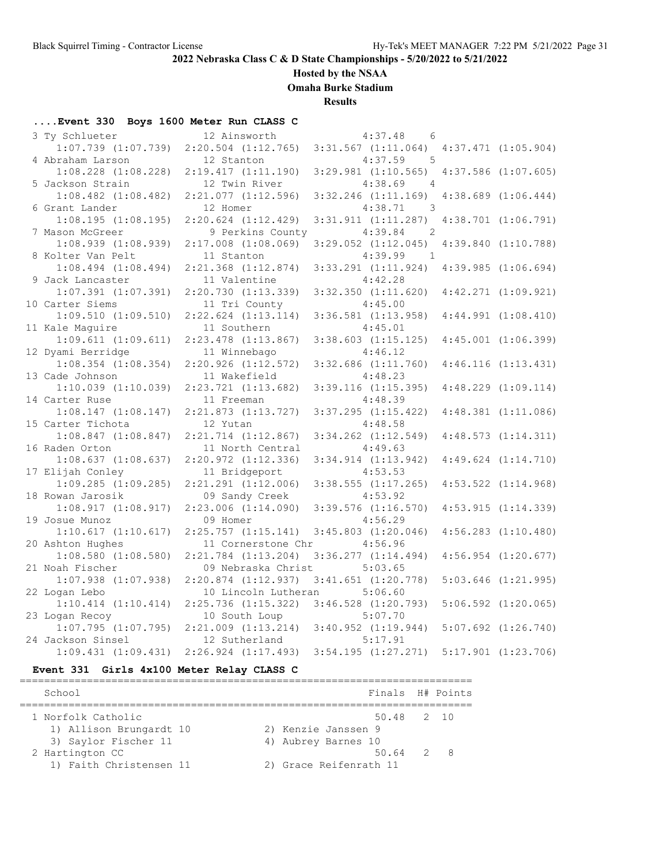## **Hosted by the NSAA**

**Omaha Burke Stadium**

**Results**

## **....Event 330 Boys 1600 Meter Run CLASS C**

| 3 Ty Schlueter          | 12 Ainsworth            | 4:37.48<br>- 6                      |                         |
|-------------------------|-------------------------|-------------------------------------|-------------------------|
| $1:07.739$ $(1:07.739)$ | $2:20.504$ $(1:12.765)$ | $3:31.567$ $(1:11.064)$             | $4:37.471$ $(1:05.904)$ |
| 4 Abraham Larson        | 12 Stanton              | 4:37.59<br>$-5$                     |                         |
| $1:08.228$ $(1:08.228)$ | 2:19.417(1:11.190)      | $3:29.981$ $(1:10.565)$             | $4:37.586$ $(1:07.605)$ |
| 5 Jackson Strain        | 12 Twin River           | 4:38.69<br>$\overline{4}$           |                         |
| $1:08.482$ $(1:08.482)$ | $2:21.077$ $(1:12.596)$ | $3:32.246$ $(1:11.169)$             | $4:38.689$ $(1:06.444)$ |
| 6 Grant Lander          | 12 Homer                | 4:38.71<br>$\overline{\phantom{a}}$ |                         |
| $1:08.195$ $(1:08.195)$ | $2:20.624$ $(1:12.429)$ | 3:31.911(1:11.287)                  | $4:38.701$ $(1:06.791)$ |
| 7 Mason McGreer         | 9 Perkins County        | 4:39.84<br>2                        |                         |
| $1:08.939$ $(1:08.939)$ | $2:17.008$ $(1:08.069)$ | $3:29.052$ $(1:12.045)$             | $4:39.840$ $(1:10.788)$ |
| 8 Kolter Van Pelt       | 11 Stanton              | 4:39.99<br>$\overline{1}$           |                         |
| $1:08.494$ $(1:08.494)$ | $2:21.368$ $(1:12.874)$ | $3:33.291$ $(1:11.924)$             | $4:39.985$ $(1:06.694)$ |
| 9 Jack Lancaster        | 11 Valentine            | 4:42.28                             |                         |
| $1:07.391$ $(1:07.391)$ | 2:20.730 (1:13.339)     | $3:32.350$ $(1:11.620)$             | $4:42.271$ $(1:09.921)$ |
| 10 Carter Siems         | 11 Tri County           | 4:45.00                             |                         |
| $1:09.510$ $(1:09.510)$ | $2:22.624$ $(1:13.114)$ | $3:36.581$ $(1:13.958)$             | $4:44.991$ $(1:08.410)$ |
| 11 Kale Maguire         | 11 Southern             | 4:45.01                             |                         |
| 1:09.611(1:09.611)      | 2:23.478 (1:13.867)     | $3:38.603$ $(1:15.125)$             | $4:45.001$ $(1:06.399)$ |
| 12 Dyami Berridge       | 11 Winnebago            | 4:46.12                             |                         |
| $1:08.354$ $(1:08.354)$ | $2:20.926$ $(1:12.572)$ | $3:32.686$ $(1:11.760)$             | 4:46.116(1:13.431)      |
| 13 Cade Johnson         | 11 Wakefield            | 4:48.23                             |                         |
| $1:10.039$ $(1:10.039)$ | $2:23.721$ $(1:13.682)$ | $3:39.116$ $(1:15.395)$             | $4:48.229$ $(1:09.114)$ |
| 14 Carter Ruse          | 11 Freeman              | 4:48.39                             |                         |
| $1:08.147$ $(1:08.147)$ | $2:21.873$ $(1:13.727)$ | $3:37.295$ $(1:15.422)$             | $4:48.381$ $(1:11.086)$ |
| 15 Carter Tichota       | 12 Yutan                | 4:48.58                             |                         |
| $1:08.847$ $(1:08.847)$ | $2:21.714$ $(1:12.867)$ | $3:34.262$ $(1:12.549)$             | 4:48.573(1:14.311)      |
| 16 Raden Orton          | 11 North Central        | 4:49.63                             |                         |
| $1:08.637$ $(1:08.637)$ | $2:20.972$ $(1:12.336)$ | $3:34.914$ $(1:13.942)$             | $4:49.624$ $(1:14.710)$ |
| 17 Elijah Conley        | 11 Bridgeport           | 4:53.53                             |                         |
| $1:09.285$ $(1:09.285)$ | $2:21.291$ $(1:12.006)$ | $3:38.555$ $(1:17.265)$             | $4:53.522$ $(1:14.968)$ |
| 18 Rowan Jarosik        | 09 Sandy Creek          | 4:53.92                             |                         |
| 1:08.917(1:08.917)      | $2:23.006$ $(1:14.090)$ | $3:39.576$ $(1:16.570)$             | 4:53.915(1:14.339)      |
| 19 Josue Munoz          | 09 Homer                | 4:56.29                             |                         |
| 1:10.617(1:10.617)      | $2:25.757$ $(1:15.141)$ | $3:45.803$ $(1:20.046)$             | $4:56.283$ $(1:10.480)$ |
| 20 Ashton Hughes        | 11 Cornerstone Chr      | 4:56.96                             |                         |
| $1:08.580$ $(1:08.580)$ | $2:21.784$ $(1:13.204)$ | $3:36.277$ $(1:14.494)$             | $4:56.954$ $(1:20.677)$ |
| 21 Noah Fischer         | 09 Nebraska Christ      | 5:03.65                             |                         |
| $1:07.938$ $(1:07.938)$ | 2:20.874 (1:12.937)     | $3:41.651$ $(1:20.778)$             | $5:03.646$ $(1:21.995)$ |
| 22 Logan Lebo           | 10 Lincoln Lutheran     | 5:06.60                             |                         |
| $1:10.414$ $(1:10.414)$ | $2:25.736$ $(1:15.322)$ | $3:46.528$ $(1:20.793)$             | $5:06.592$ $(1:20.065)$ |
| 23 Logan Recoy          | 10 South Loup           | 5:07.70                             |                         |
| $1:07.795$ $(1:07.795)$ | $2:21.009$ $(1:13.214)$ | $3:40.952$ $(1:19.944)$             | $5:07.692$ $(1:26.740)$ |
| 24 Jackson Sinsel       | 12 Sutherland           | 5:17.91                             |                         |
| $1:09.431$ $(1:09.431)$ | $2:26.924$ $(1:17.493)$ | 3:54.195(1:27.271)                  | $5:17.901$ $(1:23.706)$ |

### **Event 331 Girls 4x100 Meter Relay CLASS C**

| School                  | Finals H# Points       |  |  |  |  |  |  |
|-------------------------|------------------------|--|--|--|--|--|--|
| 1 Norfolk Catholic      | 50.48 2 10             |  |  |  |  |  |  |
| 1) Allison Brungardt 10 | 2) Kenzie Janssen 9    |  |  |  |  |  |  |
| 3) Saylor Fischer 11    | 4) Aubrey Barnes 10    |  |  |  |  |  |  |
| 2 Hartington CC         | - 8<br>$50.64$ 2       |  |  |  |  |  |  |
| 1) Faith Christensen 11 | 2) Grace Reifenrath 11 |  |  |  |  |  |  |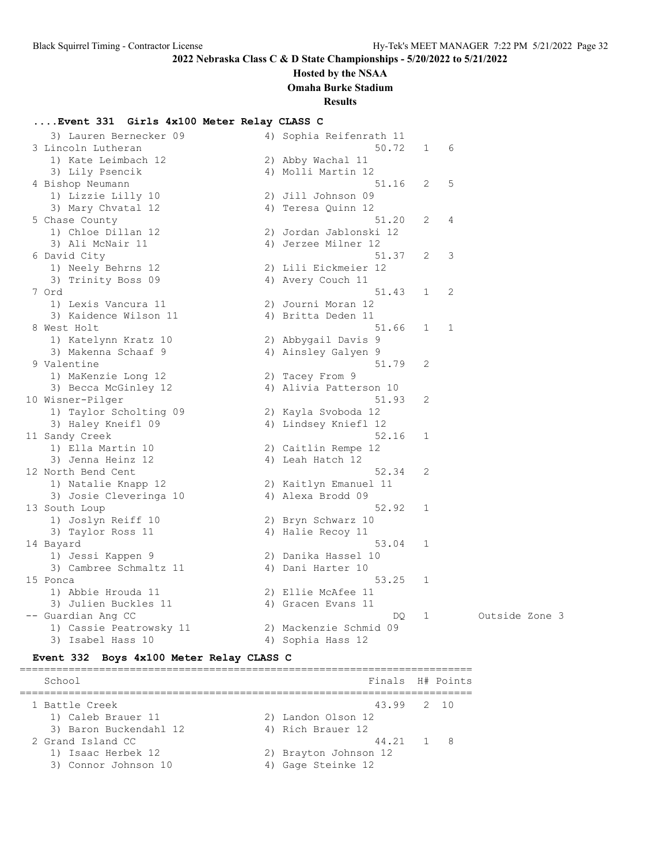## **Hosted by the NSAA**

**Omaha Burke Stadium**

**Results**

#### **....Event 331 Girls 4x100 Meter Relay CLASS C**

| 3) Lauren Bernecker 09  | 4) Sophia Reifenrath 11 |              |                |  |
|-------------------------|-------------------------|--------------|----------------|--|
| 3 Lincoln Lutheran      | 50.72                   | $\mathbf{1}$ | 6              |  |
| 1) Kate Leimbach 12     | 2) Abby Wachal 11       |              |                |  |
| 3) Lily Psencik         | 4) Molli Martin 12      |              |                |  |
| 4 Bishop Neumann        | 51.16                   | 2            | 5              |  |
| 1) Lizzie Lilly 10      | 2) Jill Johnson 09      |              |                |  |
| 3) Mary Chvatal 12      | 4) Teresa Quinn 12      |              |                |  |
| 5 Chase County          | 51.20                   | 2            | 4              |  |
| 1) Chloe Dillan 12      | 2) Jordan Jablonski 12  |              |                |  |
| 3) Ali McNair 11        | 4) Jerzee Milner 12     |              |                |  |
| 6 David City            | 51.37                   | 2            | 3              |  |
| 1) Neely Behrns 12      | 2) Lili Eickmeier 12    |              |                |  |
| 3) Trinity Boss 09      | 4) Avery Couch 11       |              |                |  |
| 7 Ord                   | 51.43                   | 1            | 2              |  |
| 1) Lexis Vancura 11     | 2) Journi Moran 12      |              |                |  |
| 3) Kaidence Wilson 11   | 4) Britta Deden 11      |              |                |  |
| 8 West Holt             | 51.66                   | $\mathbf{1}$ | 1              |  |
| 1) Katelynn Kratz 10    | 2) Abbygail Davis 9     |              |                |  |
| 3) Makenna Schaaf 9     | 4) Ainsley Galyen 9     |              |                |  |
| 9 Valentine             | 51.79                   | 2            |                |  |
| 1) MaKenzie Long 12     | 2) Tacey From 9         |              |                |  |
| 3) Becca McGinley 12    | 4) Alivia Patterson 10  |              |                |  |
| 10 Wisner-Pilger        | 51.93                   | 2            |                |  |
| 1) Taylor Scholting 09  | 2) Kayla Svoboda 12     |              |                |  |
| 3) Haley Kneifl 09      | 4) Lindsey Kniefl 12    |              |                |  |
| 11 Sandy Creek          | 52.16                   | 1            |                |  |
| 1) Ella Martin 10       | 2) Caitlin Rempe 12     |              |                |  |
| 3) Jenna Heinz 12       | 4) Leah Hatch 12        |              |                |  |
| 12 North Bend Cent      | 52.34                   | 2            |                |  |
| 1) Natalie Knapp 12     | 2) Kaitlyn Emanuel 11   |              |                |  |
| 3) Josie Cleveringa 10  | 4) Alexa Brodd 09       |              |                |  |
| 13 South Loup           | 52.92                   | 1            |                |  |
| 1) Joslyn Reiff 10      | 2) Bryn Schwarz 10      |              |                |  |
| 3) Taylor Ross 11       | 4) Halie Recoy 11       |              |                |  |
| 14 Bayard               | 53.04                   | 1            |                |  |
| 1) Jessi Kappen 9       | 2) Danika Hassel 10     |              |                |  |
| 3) Cambree Schmaltz 11  | 4) Dani Harter 10       |              |                |  |
| 15 Ponca                | 53.25                   | 1            |                |  |
| 1) Abbie Hrouda 11      | 2) Ellie McAfee 11      |              |                |  |
| 3) Julien Buckles 11    | 4) Gracen Evans 11      |              |                |  |
| -- Guardian Ang CC      | DQ.                     | 1            | Outside Zone 3 |  |
| 1) Cassie Peatrowsky 11 | 2) Mackenzie Schmid 09  |              |                |  |
| 3) Isabel Hass 10       | 4) Sophia Hass 12       |              |                |  |

#### **Event 332 Boys 4x100 Meter Relay CLASS C**

========================================================================== School **Finals** H# Points ========================================================================== 1 Battle Creek 43.99 2 10 1) Caleb Brauer 11 2) Landon Olson 12 3) Baron Buckendahl 12 (4) Rich Brauer 12 2 Grand Island CC 44.21 1 8 1) Isaac Herbek 12 2) Brayton Johnson 12 3) Connor Johnson 10 (4) Gage Steinke 12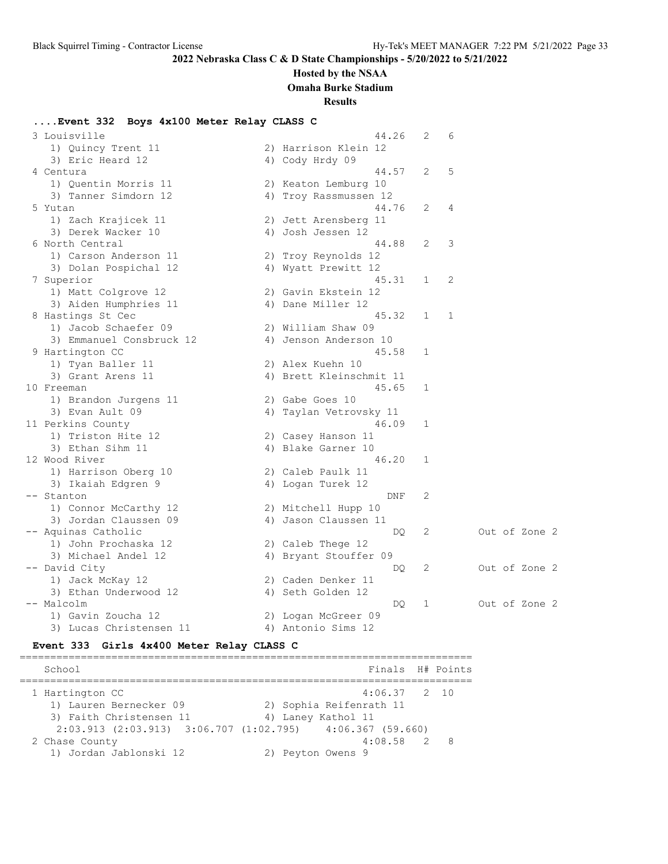#### **Hosted by the NSAA**

**Omaha Burke Stadium**

**Results**

#### **....Event 332 Boys 4x100 Meter Relay CLASS C**

 3 Louisville 44.26 2 6 1) Quincy Trent 11 2) Harrison Klein 12 3) Eric Heard 12 4) Cody Hrdy 09 4 Centura 44.57 2 5 1) Quentin Morris 11 2) Keaton Lemburg 10 3) Tanner Simdorn 12 4) Troy Rassmussen 12 5 Yutan 44.76 2 4 1) Zach Krajicek 11 2) Jett Arensberg 11 3) Derek Wacker 10 <a>
4) Josh Jessen 12 6 North Central 44.88 2 3 1) Carson Anderson 11 2) Troy Reynolds 12 3) Dolan Pospichal 12 12 12 4) Wyatt Prewitt 12 7 Superior 45.31 1 2 1) Matt Colgrove 12 2) Gavin Ekstein 12 3) Aiden Humphries 11 (4) Dane Miller 12 8 Hastings St Cec 20 1 2 2 2 3 2 3 3 3 4 5.32 1 2 1) Jacob Schaefer 09 2) William Shaw 09 3) Emmanuel Consbruck 12 4) Jenson Anderson 10 9 Hartington CC and the set of the set of the set of the set of the set of the set of the set of the set of the set of the set of the set of the set of the set of the set of the set of the set of the set of the set of the 1) Tyan Baller 11 2) Alex Kuehn 10 3) Grant Arens 11 4) Brett Kleinschmit 11 10 Freeman 45.65 1 1) Brandon Jurgens 11 (2) Gabe Goes 10 3) Evan Ault 09 4) Taylan Vetrovsky 11 11 Perkins County 16.09 and 16.09 and 16.09 and 16.09 and 16.09 and 16.09 and 16.09 and 16.09 and 16.09 and 1 1) Triston Hite 12 2) Casey Hanson 11 3) Ethan Sihm 11 4) Blake Garner 10 12 Wood River 2008 12 Wood River 2008 12 Wood River 2008 12 Wood River 2008 12 1) Harrison Oberg 10 2) Caleb Paulk 11 3) Ikaiah Edgren 9 1920 - 40 Logan Turek 12 -- Stanton DNF 2 1) Connor McCarthy 12 2) Mitchell Hupp 10 3) Jordan Claussen 09  $\hspace{1cm}$  4) Jason Claussen 11 -- Aquinas Catholic DQ 2 Out of Zone 2 1) John Prochaska 12 2) Caleb Thege 12 3) Michael Andel 12 4) Bryant Stouffer 09 -- David City DQ 2 Out of Zone 2 1) Jack McKay 12 2) Caden Denker 11 3) Ethan Underwood 12 4) Seth Golden 12 -- Malcolm Church Course 12 And Church Course 2<br>-- Malcolm DQ 1 Out of Zone 2 1) Gavin Zoucha 12 2) Logan McGreer 09 3) Lucas Christensen 11 4) Antonio Sims 12

**Event 333 Girls 4x400 Meter Relay CLASS C**

========================================================================== School **Finals** H# Points ========================================================================== 1 Hartington CC 4:06.37 2 10 1) Lauren Bernecker 09 2) Sophia Reifenrath 11 3) Faith Christensen 11 <a>
4) Laney Kathol 11 2:03.913 (2:03.913) 3:06.707 (1:02.795) 4:06.367 (59.660) 2 Chase County 4:08.58 2 8 1) Jordan Jablonski 12 2) Peyton Owens 9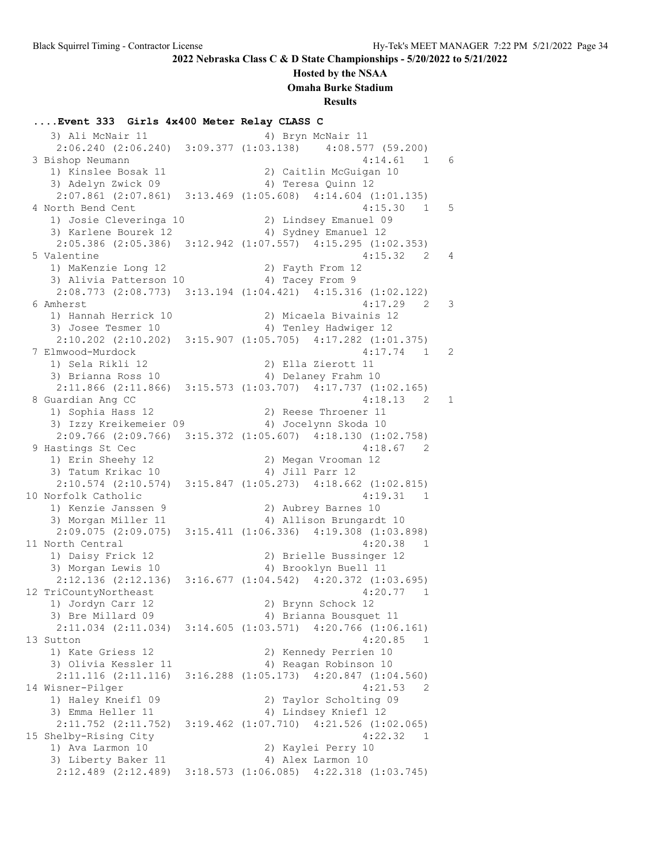### **Hosted by the NSAA**

**Omaha Burke Stadium**

**Results**

**....Event 333 Girls 4x400 Meter Relay CLASS C** 3) Ali McNair 11 4) Bryn McNair 11 2:06.240 (2:06.240) 3:09.377 (1:03.138) 4:08.577 (59.200) 3 Bishop Neumann 1) Kinslee Bosak 11 2) Caitlin McGuigan 10 3) Adelyn Zwick 09 12 12 4) Teresa Quinn 12 2:07.861 (2:07.861) 3:13.469 (1:05.608) 4:14.604 (1:01.135) 4 North Bend Cent 4:15.30 1 5 1) Josie Cleveringa 10 2) Lindsey Emanuel 09 3) Karlene Bourek 12 4) Sydney Emanuel 12 2:05.386 (2:05.386) 3:12.942 (1:07.557) 4:15.295 (1:02.353) 5 Valentine 4:15.32 2 4 1) MaKenzie Long 12 2) Fayth From 12 3) Alivia Patterson 10 <a>
4) Tacey From 9 2:08.773 (2:08.773) 3:13.194 (1:04.421) 4:15.316 (1:02.122) 6 Amherst 4:17.29 2 3 1) Hannah Herrick 10 2) Micaela Bivainis 12 3) Josee Tesmer 10 4) Tenley Hadwiger 12 2:10.202 (2:10.202) 3:15.907 (1:05.705) 4:17.282 (1:01.375) 7 Elmwood-Murdock 4:17.74 1 2 1) Sela Rikli 12 2) Ella Zierott 11 3) Brianna Ross 10 4) Delaney Frahm 10 2:11.866 (2:11.866) 3:15.573 (1:03.707) 4:17.737 (1:02.165) 8 Guardian Ang CC 4:18.13 2 1<br>1) Sophia Hass 12 2) Reese Throener 11 1) Sophia Hass 12 2) Reese Throener 11 3) Izzy Kreikemeier 09 4) Jocelynn Skoda 10 2:09.766 (2:09.766) 3:15.372 (1:05.607) 4:18.130 (1:02.758) 9 Hastings St Cec 4:18.67 2 1) Erin Sheehy 12 2) Megan Vrooman 12 3) Tatum Krikac 10 (4) Jill Parr 12 2:10.574 (2:10.574) 3:15.847 (1:05.273) 4:18.662 (1:02.815) 10 Norfolk Catholic 20 20 20 20 20 20 31 21 22 32 32 33 34:19 1) Kenzie Janssen 9 2) Aubrey Barnes 10 3) Morgan Miller 11 4) Allison Brungardt 10 2:09.075 (2:09.075) 3:15.411 (1:06.336) 4:19.308 (1:03.898) 11 North Central 4:20.38 1 1) Daisy Frick 12 2) Brielle Bussinger 12 3) Morgan Lewis 10 4) Brooklyn Buell 11 2:12.136 (2:12.136) 3:16.677 (1:04.542) 4:20.372 (1:03.695) 12 TriCountyNortheast 4:20.77 1 1) Jordyn Carr 12 2) Brynn Schock 12 3) Bre Millard 09 4) Brianna Bousquet 11 2:11.034 (2:11.034) 3:14.605 (1:03.571) 4:20.766 (1:06.161) 13 Sutton 4:20.85 1 1) Kate Griess 12 2) Kennedy Perrien 10 3) Olivia Kessler 11 4) Reagan Robinson 10 2:11.116 (2:11.116) 3:16.288 (1:05.173) 4:20.847 (1:04.560) 14 Wisner-Pilger 4:21.53 2 1) Haley Kneifl 09 2) Taylor Scholting 09 3) Emma Heller 11 12 14) Lindsey Kniefl 12 1) Haley Kneifl 09<br>3) Emma Heller 11 (2:11.752 (2:11.752) 3:19.462 (1:07.710) 4:21.526 (1:02.065)  $2:11.732$   $(2.11.732)$   $(3.11.732)$   $(4.22.32)$  1<br>15 Shelby-Rising City  $(4.22.32)$  1 1) Ava Larmon 10 2) Kaylei Perry 10 3) Liberty Baker 11 4) Alex Larmon 10 2:12.489 (2:12.489) 3:18.573 (1:06.085) 4:22.318 (1:03.745)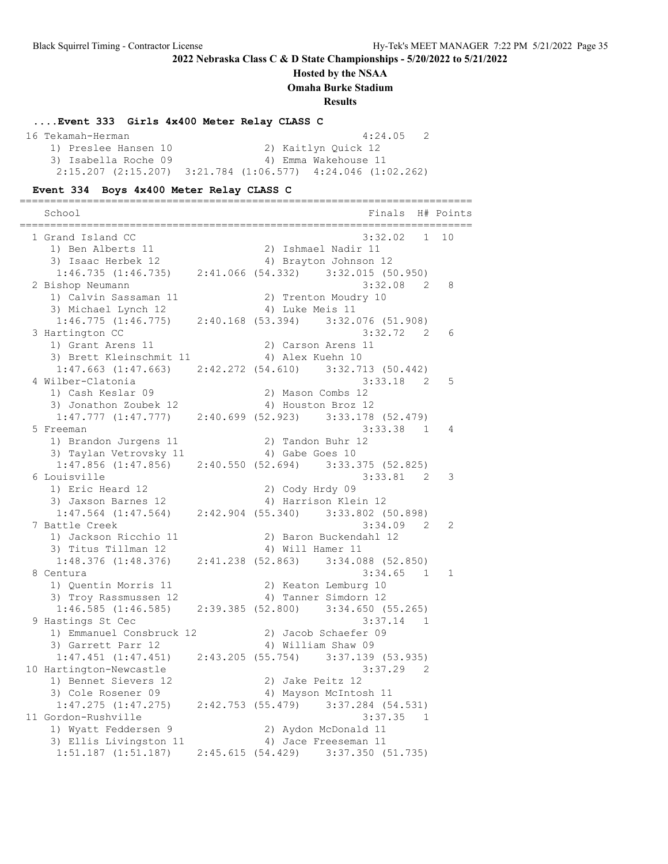#### **Hosted by the NSAA**

**Omaha Burke Stadium**

**Results**

#### **....Event 333 Girls 4x400 Meter Relay CLASS C**

| 16 Tekamah-Herman    | 4:24.05<br>2                                                  |  |
|----------------------|---------------------------------------------------------------|--|
| 1) Preslee Hansen 10 | 2) Kaitlyn Quick 12                                           |  |
| 3) Isabella Roche 09 | 4) Emma Wakehouse 11                                          |  |
|                      | $2:15.207$ (2:15.207) 3:21.784 (1:06.577) 4:24.046 (1:02.262) |  |

#### **Event 334 Boys 4x400 Meter Relay CLASS C**

========================================================================== School **Finals** H# Points ========================================================================== 1 Grand Island CC 3:32.02 1 10 1) Ben Alberts 11 2) Ishmael Nadir 11 3) Isaac Herbek 12 4) Brayton Johnson 12 1:46.735 (1:46.735) 2:41.066 (54.332) 3:32.015 (50.950) 2 Bishop Neumann 3:32.08 2 8 1) Calvin Sassaman 11 2) Trenton Moudry 10 3) Michael Lynch 12 (4) Luke Meis 11 1:46.775 (1:46.775) 2:40.168 (53.394) 3:32.076 (51.908) 3 Hartington CC 3:32.72 2 6 1) Grant Arens 11 2) Carson Arens 11 3) Brett Kleinschmit 11 <a>
4) Alex Kuehn 10 1:47.663 (1:47.663) 2:42.272 (54.610) 3:32.713 (50.442)<br>ilber-Clatonia 3:33.18 2 5 4 Wilber-Clatonia 3:33.18 2 5 1) Cash Keslar 09 2) Mason Combs 12 3) Jonathon Zoubek 12 4) Houston Broz 12 1:47.777 (1:47.777) 2:40.699 (52.923) 3:33.178 (52.479) 5 Freeman 3:33.38 1 4 1) Brandon Jurgens 11 2) Tandon Buhr 12 3) Taylan Vetrovsky 11 4) Gabe Goes 10 1:47.856 (1:47.856) 2:40.550 (52.694) 3:33.375 (52.825) 6 Louisville 3:33.81 2 3 1) Eric Heard 12 2) Cody Hrdy 09 3) Jaxson Barnes 12 (4) Harrison Klein 12 1:47.564 (1:47.564) 2:42.904 (55.340) 3:33.802 (50.898) 7 Battle Creek 3:34.09 2 2 1) Jackson Ricchio 11 2) Baron Buckendahl 12 3) Titus Tillman 12 4) Will Hamer 11 1:48.376 (1:48.376) 2:41.238 (52.863) 3:34.088 (52.850) 8 Centura 3:34.65 1 1 1) Quentin Morris 11 2) Keaton Lemburg 10 3) Troy Rassmussen 12 4) Tanner Simdorn 12 1:46.585 (1:46.585) 2:39.385 (52.800) 3:34.650 (55.265) 9 Hastings St Cec 3:37.14 1 1) Emmanuel Consbruck 12 2) Jacob Schaefer 09 3) Garrett Parr 12 4) William Shaw 09 1:47.451 (1:47.451) 2:43.205 (55.754) 3:37.139 (53.935) 10 Hartington-Newcastle 3:37.29 2 1) Bennet Sievers 12 2) Jake Peitz 12 3) Cole Rosener 09 4) Mayson McIntosh 11 1:47.275 (1:47.275) 2:42.753 (55.479) 3:37.284 (54.531) 11 Gordon-Rushville 3:37.35 1 1) Wyatt Feddersen 9 2) Aydon McDonald 11 3) Ellis Livingston 11 (4) Jace Freeseman 11 1:51.187 (1:51.187) 2:45.615 (54.429) 3:37.350 (51.735)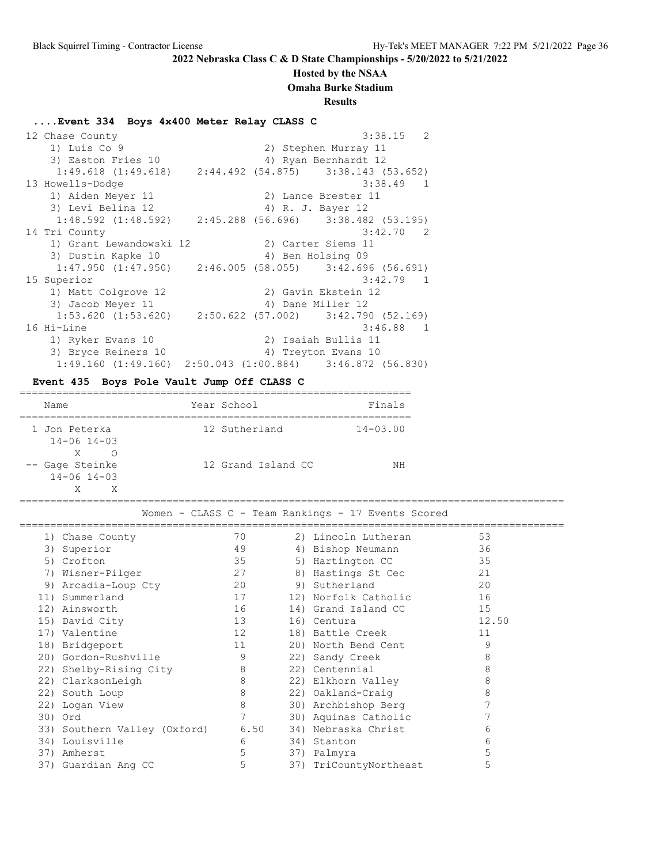#### **Hosted by the NSAA**

**Omaha Burke Stadium**

#### **Results**

#### **....Event 334 Boys 4x400 Meter Relay CLASS C**

12 Chase County 2012 12:38.15 2 1) Luis Co 9 2) Stephen Murray 11 2) Suephen Murray 11<br>3) Easton Fries 10 4) Ryan Bernhardt 12 1:49.618 (1:49.618) 2:44.492 (54.875) 3:38.143 (53.652) 13 Howells-Dodge 3:38.49 1 1) Aiden Meyer 11 2) Lance Brester 11 3) Levi Belina 12 (4) R. J. Bayer 12 1:48.592 (1:48.592) 2:45.288 (56.696) 3:38.482 (53.195) 14 Tri County 3:42.70 2 1) Grant Lewandowski 12 2) Carter Siems 11 3) Dustin Kapke 10 4) Ben Holsing 09 1:47.950 (1:47.950) 2:46.005 (58.055) 3:42.696 (56.691) 15 Superior 3:42.79 1 1) Matt Colgrove 12 2) Gavin Ekstein 12 3) Jacob Meyer 11 4) Dane Miller 12  $\frac{1}{1}$ , banc mirch 12<br>1:53.620 (1:53.620) 2:50.622 (57.002) 3:42.790 (52.169) 16 Hi-Line 3:46.88 1 1) Ryker Evans 10 2) Isaiah Bullis 11 3) Bryce Reiners 10 (4) Treyton Evans 10 1:49.160 (1:49.160) 2:50.043 (1:00.884) 3:46.872 (56.830)

### **Event 435 Boys Pole Vault Jump Off CLASS C**

| Name                                             | Year School        | Finals       |
|--------------------------------------------------|--------------------|--------------|
| 1 Jon Peterka<br>$14 - 06$ $14 - 03$             | 12 Sutherland      | $14 - 03.00$ |
| X<br>Ω<br>-- Gage Steinke<br>$14 - 06$ $14 - 03$ | 12 Grand Island CC | ΝH           |

========================================================================================= Women - CLASS C - Team Rankings - 17 Events Scored

|     | 1) Chase County              | 70   | 2) Lincoln Lutheran    | 53    |  |
|-----|------------------------------|------|------------------------|-------|--|
| 3)  | Superior                     | 49   | 4) Bishop Neumann      | 36    |  |
|     | 5) Crofton                   | 35   | 5) Hartington CC       | 35    |  |
| 7)  | Wisner-Pilger                | 27   | 8) Hastings St Cec     | 21    |  |
| 9)  | Arcadia-Loup Cty             | 20   | 9) Sutherland          | 20    |  |
|     | 11) Summerland               | 17   | 12) Norfolk Catholic   | 16    |  |
|     | 12) Ainsworth                | 16   | 14) Grand Island CC    | 15    |  |
|     | 15) David City               | 13   | 16) Centura            | 12.50 |  |
|     | 17) Valentine                | 12   | 18) Battle Creek       | 11    |  |
|     | 18) Bridgeport               | 11   | 20) North Bend Cent    | 9     |  |
|     | 20) Gordon-Rushville         | 9    | 22) Sandy Creek        | 8     |  |
|     | 22) Shelby-Rising City       | 8    | 22) Centennial         | 8     |  |
|     | 22) ClarksonLeigh            | 8    | 22) Elkhorn Valley     | 8     |  |
|     | 22) South Loup               | 8    | 22) Oakland-Craig      | 8     |  |
|     | 22) Logan View               | 8    | 30) Archbishop Berg    |       |  |
|     | 30) Ord                      |      | 30) Aquinas Catholic   |       |  |
|     | 33) Southern Valley (Oxford) | 6.50 | 34) Nebraska Christ    | 6     |  |
|     | 34) Louisville               | 6    | 34) Stanton            | 6     |  |
| 37) | Amherst                      | 5    | 37) Palmyra            | 5     |  |
|     | 37) Guardian Ang CC          | 5    | 37) TriCountyNortheast | 5     |  |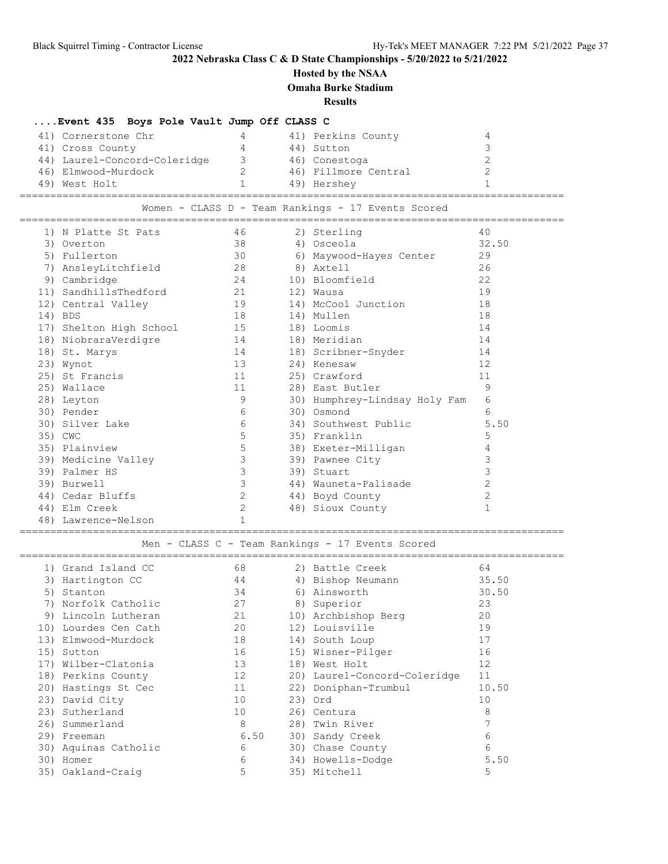## **Hosted by the NSAA**

**Omaha Burke Stadium**

**Results**

## **....Event 435 Boys Pole Vault Jump Off CLASS C**

| 41) Cornerstone Chr<br>41) Perkins County<br>41) Cross County<br>44) Sutton<br>44) Laurel-Concord-Coleridge<br>46) Conestoga<br>3<br>46) Fillmore Central<br>46) Elmwood-Murdock<br>49) West Holt<br>49) Hershey |  |
|------------------------------------------------------------------------------------------------------------------------------------------------------------------------------------------------------------------|--|
|------------------------------------------------------------------------------------------------------------------------------------------------------------------------------------------------------------------|--|

Women - CLASS D - Team Rankings - 17 Events Scored

|    | 1) N Platte St Pats     | 46           | 2) Sterling                   | 40             |
|----|-------------------------|--------------|-------------------------------|----------------|
|    | 3) Overton              | 38           | 4) Osceola                    | 32.50          |
|    | 5) Fullerton            | 30           | 6) Maywood-Hayes Center       | 29             |
| 7) | AnsleyLitchfield        | 28           | 8) Axtell                     | 26             |
|    | 9) Cambridge            | 24           | 10) Bloomfield                | 22             |
|    | 11) SandhillsThedford   | 21           | 12) Wausa                     | 19             |
|    | 12) Central Valley      | 19           | 14) McCool Junction           | 18             |
|    | 14) BDS                 | 18           | 14) Mullen                    | 18             |
|    | 17) Shelton High School | 15           | 18) Loomis                    | 14             |
|    | 18) NiobraraVerdigre    | 14           | 18) Meridian                  | 14             |
|    | 18) St. Marys           | 14           | 18) Scribner-Snyder           | 14             |
|    | 23) Wynot               | 13           | 24) Kenesaw                   | 12             |
|    | 25) St Francis          | 11           | 25) Crawford                  | 11             |
|    | 25) Wallace             | 11           | 28) East Butler               | 9              |
|    | 28) Leyton              | 9            | 30) Humphrey-Lindsay Holy Fam | 6              |
|    | 30) Pender              | 6            | 30) Osmond                    | 6              |
|    | 30) Silver Lake         | 6            | 34) Southwest Public          | 5.50           |
|    | 35) CWC                 | 5            | 35) Franklin                  | 5              |
|    | 35) Plainview           | 5            | 38) Exeter-Milligan           | 4              |
|    | 39) Medicine Valley     | 3            | 39) Pawnee City               | 3              |
|    | 39) Palmer HS           | 3            | 39) Stuart                    | 3              |
|    | 39) Burwell             | 3            | 44) Wauneta-Palisade          | $\overline{c}$ |
|    | 44) Cedar Bluffs        | $\mathbf{2}$ | 44) Boyd County               | $\overline{c}$ |
|    | 44) Elm Creek           | 2            | 48) Sioux County              | $\mathbf 1$    |
|    | 48) Lawrence-Nelson     | $\mathbf{1}$ |                               |                |

### ========================================================================================= Men - CLASS C - Team Rankings - 17 Events Scored

|     | 1) Grand Island CC  | 68   | 2) Battle Creek              | 64    |
|-----|---------------------|------|------------------------------|-------|
| 3)  | Hartington CC       | 44   | 4) Bishop Neumann            | 35.50 |
| 5)  | Stanton             | 34   | 6) Ainsworth                 | 30.50 |
|     | Norfolk Catholic    | 27   | 8) Superior                  | 23    |
| 9)  | Lincoln Lutheran    | 21   | 10) Archbishop Berg          | 20    |
| 10) | Lourdes Cen Cath    | 20   | 12) Louisville               | 19    |
|     | 13) Elmwood-Murdock | 18   | 14) South Loup               | 17    |
| 15) | Sutton              | 16   | 15) Wisner-Pilger            | 16    |
| 17) | Wilber-Clatonia     | 13   | 18) West Holt                | 12    |
|     | 18) Perkins County  | 12   | 20) Laurel-Concord-Coleridge | 11    |
|     | 20) Hastings St Cec | 11   | 22) Doniphan-Trumbul         | 10.50 |
|     | 23) David City      | 10   | 23) Ord                      | 10    |
|     | 23) Sutherland      | 10   | 26) Centura                  | 8     |
| 26) | Summerland          | 8    | 28) Twin River               |       |
| 29) | Freeman             | 6.50 | 30) Sandy Creek              | 6     |
| 30) | Aquinas Catholic    | 6    | 30) Chase County             | 6     |
| 30) | Homer               | 6    | 34) Howells-Dodge            | 5.50  |
|     | 35) Oakland-Craig   | 5    | 35) Mitchell                 | 5     |